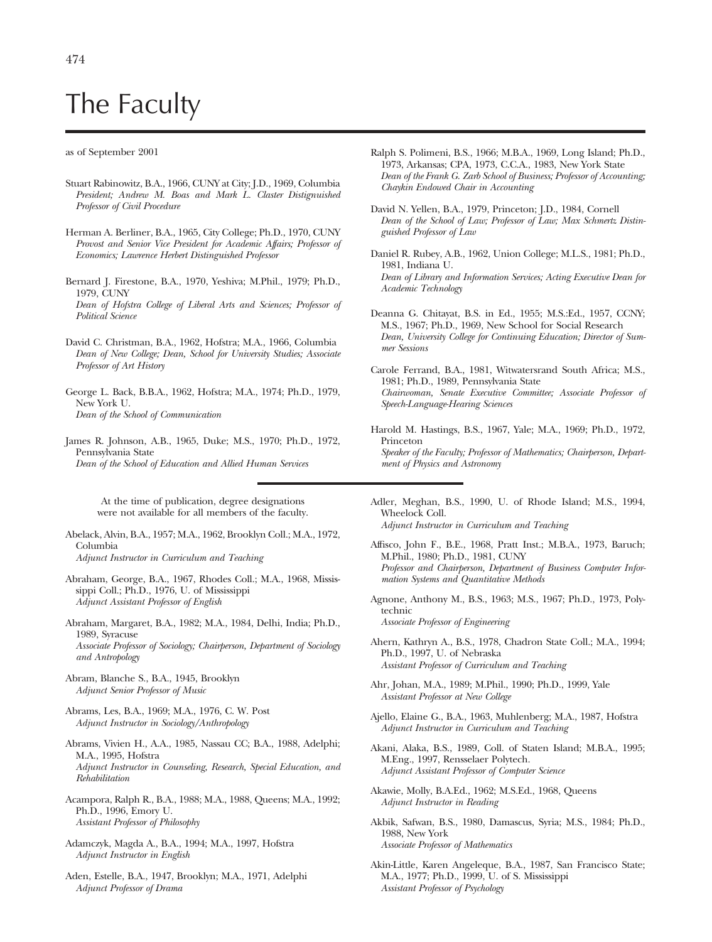## The Faculty

## as of September 2001

- Stuart Rabinowitz, B.A., 1966, CUNY at City; J.D., 1969, Columbia *President; Andrew M. Boas and Mark L. Claster Distignuished Professor of Civil Procedure*
- Herman A. Berliner, B.A., 1965, City College; Ph.D., 1970, CUNY *Provost and Senior Vice President for Academic Affairs; Professor of Economics; Lawrence Herbert Distinguished Professor*
- Bernard J. Firestone, B.A., 1970, Yeshiva; M.Phil., 1979; Ph.D., 1979, CUNY *Dean of Hofstra College of Liberal Arts and Sciences; Professor of Political Science*
- David C. Christman, B.A., 1962, Hofstra; M.A., 1966, Columbia *Dean of New College; Dean, School for University Studies; Associate Professor of Art History*
- George L. Back, B.B.A., 1962, Hofstra; M.A., 1974; Ph.D., 1979, New York U. *Dean of the School of Communication*
- James R. Johnson, A.B., 1965, Duke; M.S., 1970; Ph.D., 1972, Pennsylvania State *Dean of the School of Education and Allied Human Services*

At the time of publication, degree designations were not available for all members of the faculty.

- Abelack, Alvin, B.A., 1957; M.A., 1962, Brooklyn Coll.; M.A., 1972, Columbia *Adjunct Instructor in Curriculum and Teaching*
- Abraham, George, B.A., 1967, Rhodes Coll.; M.A., 1968, Mississippi Coll.; Ph.D., 1976, U. of Mississippi *Adjunct Assistant Professor of English*
- Abraham, Margaret, B.A., 1982; M.A., 1984, Delhi, India; Ph.D., 1989, Syracuse *Associate Professor of Sociology; Chairperson, Department of Sociology and Antropology*
- Abram, Blanche S., B.A., 1945, Brooklyn *Adjunct Senior Professor of Music*
- Abrams, Les, B.A., 1969; M.A., 1976, C. W. Post *Adjunct Instructor in Sociology/Anthropology*
- Abrams, Vivien H., A.A., 1985, Nassau CC; B.A., 1988, Adelphi; M.A., 1995, Hofstra *Adjunct Instructor in Counseling, Research, Special Education, and Rehabilitation*
- Acampora, Ralph R., B.A., 1988; M.A., 1988, Queens; M.A., 1992; Ph.D., 1996, Emory U. *Assistant Professor of Philosophy*
- Adamczyk, Magda A., B.A., 1994; M.A., 1997, Hofstra *Adjunct Instructor in English*
- Aden, Estelle, B.A., 1947, Brooklyn; M.A., 1971, Adelphi *Adjunct Professor of Drama*
- Ralph S. Polimeni, B.S., 1966; M.B.A., 1969, Long Island; Ph.D., 1973, Arkansas; CPA, 1973, C.C.A., 1983, New York State *Dean of the Frank G. Zarb School of Business; Professor of Accounting; Chaykin Endowed Chair in Accounting*
- David N. Yellen, B.A., 1979, Princeton; J.D., 1984, Cornell *Dean of the School of Law; Professor of Law; Max Schmertz Distinguished Professor of Law*
- Daniel R. Rubey, A.B., 1962, Union College; M.L.S., 1981; Ph.D., 1981, Indiana U. *Dean of Library and Information Services; Acting Executive Dean for Academic Technology*
- Deanna G. Chitayat, B.S. in Ed., 1955; M.S.:Ed., 1957, CCNY; M.S., 1967; Ph.D., 1969, New School for Social Research *Dean, University College for Continuing Education; Director of Summer Sessions*
- Carole Ferrand, B.A., 1981, Witwatersrand South Africa; M.S., 1981; Ph.D., 1989, Pennsylvania State *Chairwoman, Senate Executive Committee; Associate Professor of Speech-Language-Hearing Sciences*
- Harold M. Hastings, B.S., 1967, Yale; M.A., 1969; Ph.D., 1972, Princeton *Speaker of the Faculty; Professor of Mathematics; Chairperson, Department of Physics and Astronomy*
- Adler, Meghan, B.S., 1990, U. of Rhode Island; M.S., 1994, Wheelock Coll. *Adjunct Instructor in Curriculum and Teaching*
- Affisco, John F., B.E., 1968, Pratt Inst.; M.B.A., 1973, Baruch; M.Phil., 1980; Ph.D., 1981, CUNY *Professor and Chairperson, Department of Business Computer Information Systems and Quantitative Methods*
- Agnone, Anthony M., B.S., 1963; M.S., 1967; Ph.D., 1973, Polytechnic *Associate Professor of Engineering*
- Ahern, Kathryn A., B.S., 1978, Chadron State Coll.; M.A., 1994; Ph.D., 1997, U. of Nebraska *Assistant Professor of Curriculum and Teaching*
- Ahr, Johan, M.A., 1989; M.Phil., 1990; Ph.D., 1999, Yale *Assistant Professor at New College*
- Ajello, Elaine G., B.A., 1963, Muhlenberg; M.A., 1987, Hofstra *Adjunct Instructor in Curriculum and Teaching*
- Akani, Alaka, B.S., 1989, Coll. of Staten Island; M.B.A., 1995; M.Eng., 1997, Rensselaer Polytech. *Adjunct Assistant Professor of Computer Science*
- Akawie, Molly, B.A.Ed., 1962; M.S.Ed., 1968, Queens *Adjunct Instructor in Reading*
- Akbik, Safwan, B.S., 1980, Damascus, Syria; M.S., 1984; Ph.D., 1988, New York *Associate Professor of Mathematics*
- Akin-Little, Karen Angeleque, B.A., 1987, San Francisco State; M.A., 1977; Ph.D., 1999, U. of S. Mississippi *Assistant Professor of Psychology*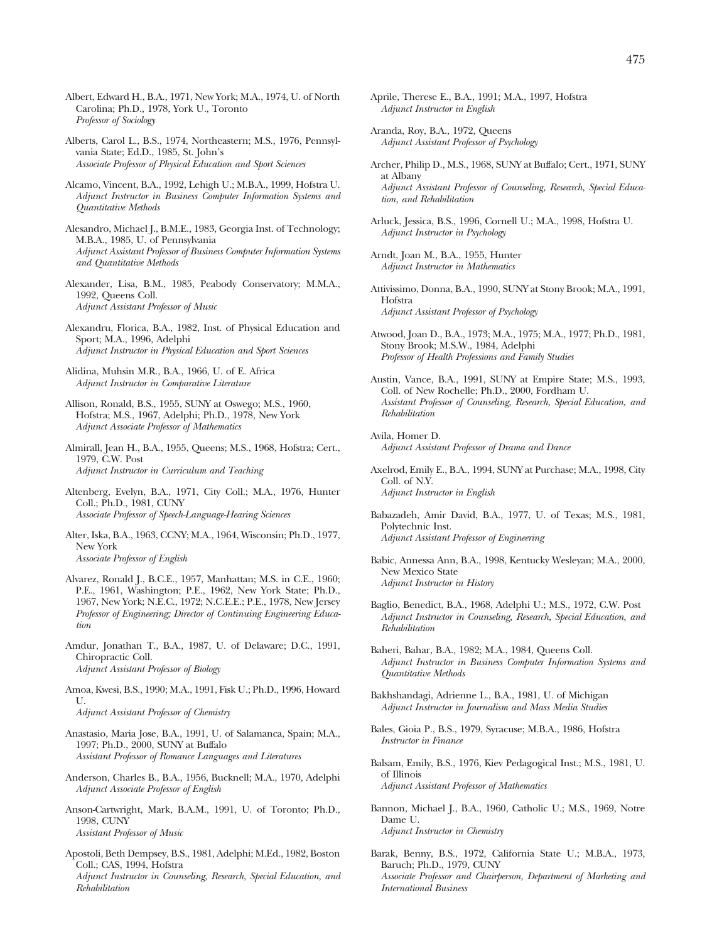- Albert, Edward H., B.A., 1971, New York; M.A., 1974, U. of North Carolina; Ph.D., 1978, York U., Toronto *Professor of Sociology*
- Alberts, Carol L., B.S., 1974, Northeastern; M.S., 1976, Pennsylvania State; Ed.D., 1985, St. John's *Associate Professor of Physical Education and Sport Sciences*
- Alcamo, Vincent, B.A., 1992, Lehigh U.; M.B.A., 1999, Hofstra U. *Adjunct Instructor in Business Computer Information Systems and Quantitative Methods*
- Alesandro, Michael J., B.M.E., 1983, Georgia Inst. of Technology; M.B.A., 1985, U. of Pennsylvania *Adjunct Assistant Professor of Business Computer Information Systems and Quantitative Methods*
- Alexander, Lisa, B.M., 1985, Peabody Conservatory; M.M.A., 1992, Queens Coll. *Adjunct Assistant Professor of Music*
- Alexandru, Florica, B.A., 1982, Inst. of Physical Education and Sport; M.A., 1996, Adelphi *Adjunct Instructor in Physical Education and Sport Sciences*
- Alidina, Muhsin M.R., B.A., 1966, U. of E. Africa *Adjunct Instructor in Comparative Literature*
- Allison, Ronald, B.S., 1955, SUNY at Oswego; M.S., 1960, Hofstra; M.S., 1967, Adelphi; Ph.D., 1978, New York *Adjunct Associate Professor of Mathematics*
- Almirall, Jean H., B.A., 1955, Queens; M.S., 1968, Hofstra; Cert., 1979, C.W. Post *Adjunct Instructor in Curriculum and Teaching*
- Altenberg, Evelyn, B.A., 1971, City Coll.; M.A., 1976, Hunter Coll.; Ph.D., 1981, CUNY *Associate Professor of Speech-Language-Hearing Sciences*
- Alter, Iska, B.A., 1963, CCNY; M.A., 1964, Wisconsin; Ph.D., 1977, New York
	- *Associate Professor of English*
- Alvarez, Ronald J., B.C.E., 1957, Manhattan; M.S. in C.E., 1960; P.E., 1961, Washington; P.E., 1962, New York State; Ph.D., 1967, New York; N.E.C., 1972; N.C.E.E.; P.E., 1978, New Jersey *Professor of Engineering; Director of Continuing Engineering Education*
- Amdur, Jonathan T., B.A., 1987, U. of Delaware; D.C., 1991, Chiropractic Coll. *Adjunct Assistant Professor of Biology*
- Amoa, Kwesi, B.S., 1990; M.A., 1991, Fisk U.; Ph.D., 1996, Howard U. *Adjunct Assistant Professor of Chemistry*
- Anastasio, Maria Jose, B.A., 1991, U. of Salamanca, Spain; M.A., 1997; Ph.D., 2000, SUNY at Buffalo *Assistant Professor of Romance Languages and Literatures*
- Anderson, Charles B., B.A., 1956, Bucknell; M.A., 1970, Adelphi *Adjunct Associate Professor of English*
- Anson-Cartwright, Mark, B.A.M., 1991, U. of Toronto; Ph.D., 1998, CUNY *Assistant Professor of Music*
- Apostoli, Beth Dempsey, B.S., 1981, Adelphi; M.Ed., 1982, Boston Coll.; CAS, 1994, Hofstra *Adjunct Instructor in Counseling, Research, Special Education, and Rehabilitation*
- Aprile, Therese E., B.A., 1991; M.A., 1997, Hofstra *Adjunct Instructor in English*
- Aranda, Roy, B.A., 1972, Queens *Adjunct Assistant Professor of Psychology*
- Archer, Philip D., M.S., 1968, SUNY at Buffalo; Cert., 1971, SUNY at Albany *Adjunct Assistant Professor of Counseling, Research, Special Education, and Rehabilitation*
- Arluck, Jessica, B.S., 1996, Cornell U.; M.A., 1998, Hofstra U. *Adjunct Instructor in Psychology*
- Arndt, Joan M., B.A., 1955, Hunter *Adjunct Instructor in Mathematics*
- Attivissimo, Donna, B.A., 1990, SUNY at Stony Brook; M.A., 1991, Hofstra *Adjunct Assistant Professor of Psychology*
- Atwood, Joan D., B.A., 1973; M.A., 1975; M.A., 1977; Ph.D., 1981, Stony Brook; M.S.W., 1984, Adelphi *Professor of Health Professions and Family Studies*
- Austin, Vance, B.A., 1991, SUNY at Empire State; M.S., 1993, Coll. of New Rochelle; Ph.D., 2000, Fordham U. *Assistant Professor of Counseling, Research, Special Education, and Rehabilitation*
- Avila, Homer D. *Adjunct Assistant Professor of Drama and Dance*
- Axelrod, Emily E., B.A., 1994, SUNY at Purchase; M.A., 1998, City Coll. of N.Y. *Adjunct Instructor in English*
- Babazadeh, Amir David, B.A., 1977, U. of Texas; M.S., 1981, Polytechnic Inst. *Adjunct Assistant Professor of Engineering*
- Babic, Annessa Ann, B.A., 1998, Kentucky Wesleyan; M.A., 2000, New Mexico State *Adjunct Instructor in History*
- Baglio, Benedict, B.A., 1968, Adelphi U.; M.S., 1972, C.W. Post *Adjunct Instructor in Counseling, Research, Special Education, and Rehabilitation*
- Baheri, Bahar, B.A., 1982; M.A., 1984, Queens Coll. *Adjunct Instructor in Business Computer Information Systems and Quantitative Methods*
- Bakhshandagi, Adrienne L., B.A., 1981, U. of Michigan *Adjunct Instructor in Journalism and Mass Media Studies*
- Bales, Gioia P., B.S., 1979, Syracuse; M.B.A., 1986, Hofstra *Instructor in Finance*
- Balsam, Emily, B.S., 1976, Kiev Pedagogical Inst.; M.S., 1981, U. of Illinois *Adjunct Assistant Professor of Mathematics*
- Bannon, Michael J., B.A., 1960, Catholic U.; M.S., 1969, Notre Dame U. *Adjunct Instructor in Chemistry*
- Barak, Benny, B.S., 1972, California State U.; M.B.A., 1973, Baruch; Ph.D., 1979, CUNY *Associate Professor and Chairperson, Department of Marketing and International Business*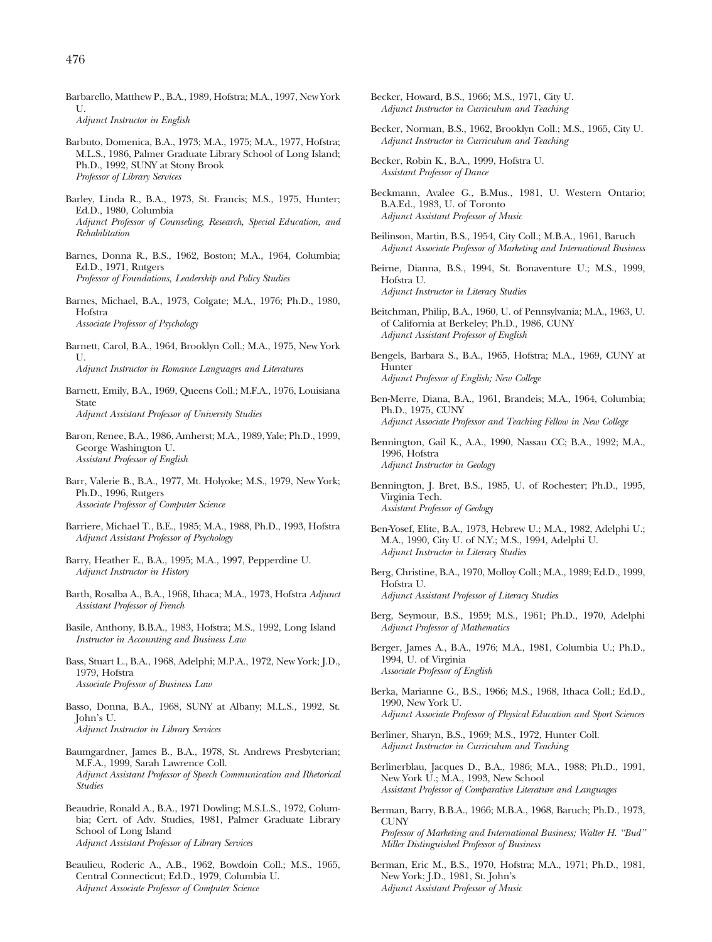Barbarello, Matthew P., B.A., 1989, Hofstra; M.A., 1997, New York  $II$ 

*Adjunct Instructor in English*

- Barbuto, Domenica, B.A., 1973; M.A., 1975; M.A., 1977, Hofstra; M.L.S., 1986, Palmer Graduate Library School of Long Island; Ph.D., 1992, SUNY at Stony Brook *Professor of Library Services*
- Barley, Linda R., B.A., 1973, St. Francis; M.S., 1975, Hunter; Ed.D., 1980, Columbia *Adjunct Professor of Counseling, Research, Special Education, and Rehabilitation*
- Barnes, Donna R., B.S., 1962, Boston; M.A., 1964, Columbia; Ed.D., 1971, Rutgers *Professor of Foundations, Leadership and Policy Studies*
- Barnes, Michael, B.A., 1973, Colgate; M.A., 1976; Ph.D., 1980, Hofstra *Associate Professor of Psychology*
- Barnett, Carol, B.A., 1964, Brooklyn Coll.; M.A., 1975, New York  $U$ . *Adjunct Instructor in Romance Languages and Literatures*
- Barnett, Emily, B.A., 1969, Queens Coll.; M.F.A., 1976, Louisiana State *Adjunct Assistant Professor of University Studies*
- Baron, Renee, B.A., 1986, Amherst; M.A., 1989, Yale; Ph.D., 1999, George Washington U. *Assistant Professor of English*
- Barr, Valerie B., B.A., 1977, Mt. Holyoke; M.S., 1979, New York; Ph.D., 1996, Rutgers *Associate Professor of Computer Science*
- Barriere, Michael T., B.E., 1985; M.A., 1988, Ph.D., 1993, Hofstra *Adjunct Assistant Professor of Psychology*
- Barry, Heather E., B.A., 1995; M.A., 1997, Pepperdine U. *Adjunct Instructor in History*
- Barth, Rosalba A., B.A., 1968, Ithaca; M.A., 1973, Hofstra *Adjunct Assistant Professor of French*
- Basile, Anthony, B.B.A., 1983, Hofstra; M.S., 1992, Long Island *Instructor in Accounting and Business Law*
- Bass, Stuart L., B.A., 1968, Adelphi; M.P.A., 1972, New York; J.D., 1979, Hofstra *Associate Professor of Business Law*
- Basso, Donna, B.A., 1968, SUNY at Albany; M.L.S., 1992, St. John's U. *Adjunct Instructor in Library Services*
- Baumgardner, James B., B.A., 1978, St. Andrews Presbyterian; M.F.A., 1999, Sarah Lawrence Coll. *Adjunct Assistant Professor of Speech Communication and Rhetorical Studies*
- Beaudrie, Ronald A., B.A., 1971 Dowling; M.S.L.S., 1972, Columbia; Cert. of Adv. Studies, 1981, Palmer Graduate Library School of Long Island *Adjunct Assistant Professor of Library Services*
- Beaulieu, Roderic A., A.B., 1962, Bowdoin Coll.; M.S., 1965, Central Connecticut; Ed.D., 1979, Columbia U. *Adjunct Associate Professor of Computer Science*
- Becker, Howard, B.S., 1966; M.S., 1971, City U. *Adjunct Instructor in Curriculum and Teaching*
- Becker, Norman, B.S., 1962, Brooklyn Coll.; M.S., 1965, City U. *Adjunct Instructor in Curriculum and Teaching*
- Becker, Robin K., B.A., 1999, Hofstra U. *Assistant Professor of Dance*
- Beckmann, Avalee G., B.Mus., 1981, U. Western Ontario; B.A.Ed., 1983, U. of Toronto *Adjunct Assistant Professor of Music*
- Beilinson, Martin, B.S., 1954, City Coll.; M.B.A., 1961, Baruch *Adjunct Associate Professor of Marketing and International Business*
- Beirne, Dianna, B.S., 1994, St. Bonaventure U.; M.S., 1999, Hofstra U. *Adjunct Instructor in Literacy Studies*
- Beitchman, Philip, B.A., 1960, U. of Pennsylvania; M.A., 1963, U. of California at Berkeley; Ph.D., 1986, CUNY *Adjunct Assistant Professor of English*
- Bengels, Barbara S., B.A., 1965, Hofstra; M.A., 1969, CUNY at Hunter *Adjunct Professor of English; New College*
- Ben-Merre, Diana, B.A., 1961, Brandeis; M.A., 1964, Columbia; Ph.D., 1975, CUNY *Adjunct Associate Professor and Teaching Fellow in New College*
- Bennington, Gail K., A.A., 1990, Nassau CC; B.A., 1992; M.A., 1996, Hofstra *Adjunct Instructor in Geology*
- Bennington, J. Bret, B.S., 1985, U. of Rochester; Ph.D., 1995, Virginia Tech. *Assistant Professor of Geology*
- Ben-Yosef, Elite, B.A., 1973, Hebrew U.; M.A., 1982, Adelphi U.; M.A., 1990, City U. of N.Y.; M.S., 1994, Adelphi U. *Adjunct Instructor in Literacy Studies*
- Berg, Christine, B.A., 1970, Molloy Coll.; M.A., 1989; Ed.D., 1999, Hofstra U. *Adjunct Assistant Professor of Literacy Studies*
- Berg, Seymour, B.S., 1959; M.S., 1961; Ph.D., 1970, Adelphi *Adjunct Professor of Mathematics*
- Berger, James A., B.A., 1976; M.A., 1981, Columbia U.; Ph.D., 1994, U. of Virginia *Associate Professor of English*
- Berka, Marianne G., B.S., 1966; M.S., 1968, Ithaca Coll.; Ed.D., 1990, New York U. *Adjunct Associate Professor of Physical Education and Sport Sciences*
- Berliner, Sharyn, B.S., 1969; M.S., 1972, Hunter Coll. *Adjunct Instructor in Curriculum and Teaching*
- Berlinerblau, Jacques D., B.A., 1986; M.A., 1988; Ph.D., 1991, New York U.; M.A., 1993, New School *Assistant Professor of Comparative Literature and Languages*
- Berman, Barry, B.B.A., 1966; M.B.A., 1968, Baruch; Ph.D., 1973, **CUNY** *Professor of Marketing and International Business; Walter H. ''Bud'' Miller Distinguished Professor of Business*
- Berman, Eric M., B.S., 1970, Hofstra; M.A., 1971; Ph.D., 1981, New York; J.D., 1981, St. John's *Adjunct Assistant Professor of Music*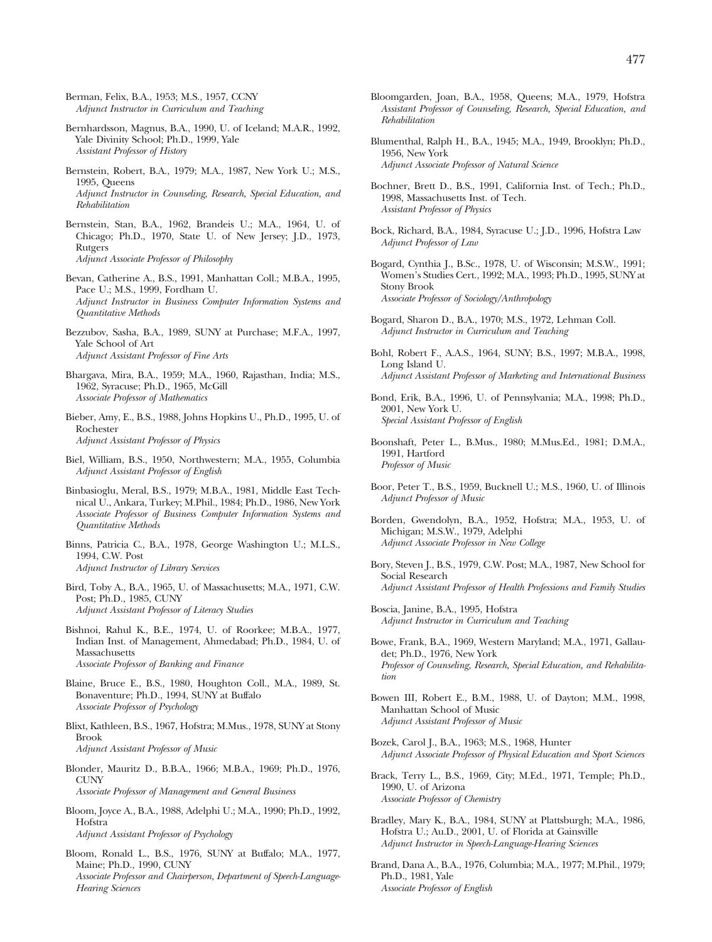Berman, Felix, B.A., 1953; M.S., 1957, CCNY *Adjunct Instructor in Curriculum and Teaching*

- Bernhardsson, Magnus, B.A., 1990, U. of Iceland; M.A.R., 1992, Yale Divinity School; Ph.D., 1999, Yale *Assistant Professor of History*
- Bernstein, Robert, B.A., 1979; M.A., 1987, New York U.; M.S., 1995, Queens *Adjunct Instructor in Counseling, Research, Special Education, and Rehabilitation*
- Bernstein, Stan, B.A., 1962, Brandeis U.; M.A., 1964, U. of Chicago; Ph.D., 1970, State U. of New Jersey; J.D., 1973, **Rutgers** *Adjunct Associate Professor of Philosophy*
- Bevan, Catherine A., B.S., 1991, Manhattan Coll.; M.B.A., 1995, Pace U.; M.S., 1999, Fordham U. *Adjunct Instructor in Business Computer Information Systems and Quantitative Methods*
- Bezzubov, Sasha, B.A., 1989, SUNY at Purchase; M.F.A., 1997, Yale School of Art *Adjunct Assistant Professor of Fine Arts*
- Bhargava, Mira, B.A., 1959; M.A., 1960, Rajasthan, India; M.S., 1962, Syracuse; Ph.D., 1965, McGill *Associate Professor of Mathematics*
- Bieber, Amy, E., B.S., 1988, Johns Hopkins U., Ph.D., 1995, U. of Rochester *Adjunct Assistant Professor of Physics*
- Biel, William, B.S., 1950, Northwestern; M.A., 1955, Columbia *Adjunct Assistant Professor of English*
- Binbasioglu, Meral, B.S., 1979; M.B.A., 1981, Middle East Technical U., Ankara, Turkey; M.Phil., 1984; Ph.D., 1986, New York *Associate Professor of Business Computer Information Systems and Quantitative Methods*
- Binns, Patricia C., B.A., 1978, George Washington U.; M.L.S., 1994, C.W. Post *Adjunct Instructor of Library Services*
- Bird, Toby A., B.A., 1965, U. of Massachusetts; M.A., 1971, C.W. Post; Ph.D., 1985, CUNY *Adjunct Assistant Professor of Literacy Studies*
- Bishnoi, Rahul K., B.E., 1974, U. of Roorkee; M.B.A., 1977, Indian Inst. of Management, Ahmedabad; Ph.D., 1984, U. of Massachusetts *Associate Professor of Banking and Finance*
- Blaine, Bruce E., B.S., 1980, Houghton Coll., M.A., 1989, St. Bonaventure; Ph.D., 1994, SUNY at Buffalo *Associate Professor of Psychology*
- Blixt, Kathleen, B.S., 1967, Hofstra; M.Mus., 1978, SUNY at Stony Brook *Adjunct Assistant Professor of Music*
- Blonder, Mauritz D., B.B.A., 1966; M.B.A., 1969; Ph.D., 1976, CUNY
	- *Associate Professor of Management and General Business*
- Bloom, Joyce A., B.A., 1988, Adelphi U.; M.A., 1990; Ph.D., 1992, Hofstra *Adjunct Assistant Professor of Psychology*
- Bloom, Ronald L., B.S., 1976, SUNY at Buffalo; M.A., 1977, Maine; Ph.D., 1990, CUNY *Associate Professor and Chairperson, Department of Speech-Language-Hearing Sciences*
- Bloomgarden, Joan, B.A., 1958, Queens; M.A., 1979, Hofstra *Assistant Professor of Counseling, Research, Special Education, and Rehabilitation*
- Blumenthal, Ralph H., B.A., 1945; M.A., 1949, Brooklyn; Ph.D., 1956, New York *Adjunct Associate Professor of Natural Science*
- Bochner, Brett D., B.S., 1991, California Inst. of Tech.; Ph.D., 1998, Massachusetts Inst. of Tech. *Assistant Professor of Physics*
- Bock, Richard, B.A., 1984, Syracuse U.; J.D., 1996, Hofstra Law *Adjunct Professor of Law*
- Bogard, Cynthia J., B.Sc., 1978, U. of Wisconsin; M.S.W., 1991; Women's Studies Cert., 1992; M.A., 1993; Ph.D., 1995, SUNY at Stony Brook *Associate Professor of Sociology/Anthropology*
- Bogard, Sharon D., B.A., 1970; M.S., 1972, Lehman Coll. *Adjunct Instructor in Curriculum and Teaching*
- Bohl, Robert F., A.A.S., 1964, SUNY; B.S., 1997; M.B.A., 1998, Long Island U. *Adjunct Assistant Professor of Marketing and International Business*
- Bond, Erik, B.A., 1996, U. of Pennsylvania; M.A., 1998; Ph.D., 2001, New York U. *Special Assistant Professor of English*
- Boonshaft, Peter L., B.Mus., 1980; M.Mus.Ed., 1981; D.M.A., 1991, Hartford *Professor of Music*
- Boor, Peter T., B.S., 1959, Bucknell U.; M.S., 1960, U. of Illinois *Adjunct Professor of Music*
- Borden, Gwendolyn, B.A., 1952, Hofstra; M.A., 1953, U. of Michigan; M.S.W., 1979, Adelphi *Adjunct Associate Professor in New College*
- Bory, Steven J., B.S., 1979, C.W. Post; M.A., 1987, New School for Social Research *Adjunct Assistant Professor of Health Professions and Family Studies*
- Boscia, Janine, B.A., 1995, Hofstra *Adjunct Instructor in Curriculum and Teaching*
- Bowe, Frank, B.A., 1969, Western Maryland; M.A., 1971, Gallaudet; Ph.D., 1976, New York *Professor of Counseling, Research, Special Education, and Rehabilitation*
- Bowen III, Robert E., B.M., 1988, U. of Dayton; M.M., 1998, Manhattan School of Music *Adjunct Assistant Professor of Music*
- Bozek, Carol J., B.A., 1963; M.S., 1968, Hunter *Adjunct Associate Professor of Physical Education and Sport Sciences*
- Brack, Terry L., B.S., 1969, City; M.Ed., 1971, Temple; Ph.D., 1990, U. of Arizona *Associate Professor of Chemistry*
- Bradley, Mary K., B.A., 1984, SUNY at Plattsburgh; M.A., 1986, Hofstra U.; Au.D., 2001, U. of Florida at Gainsville *Adjunct Instructor in Speech-Language-Hearing Sciences*
- Brand, Dana A., B.A., 1976, Columbia; M.A., 1977; M.Phil., 1979; Ph.D., 1981, Yale *Associate Professor of English*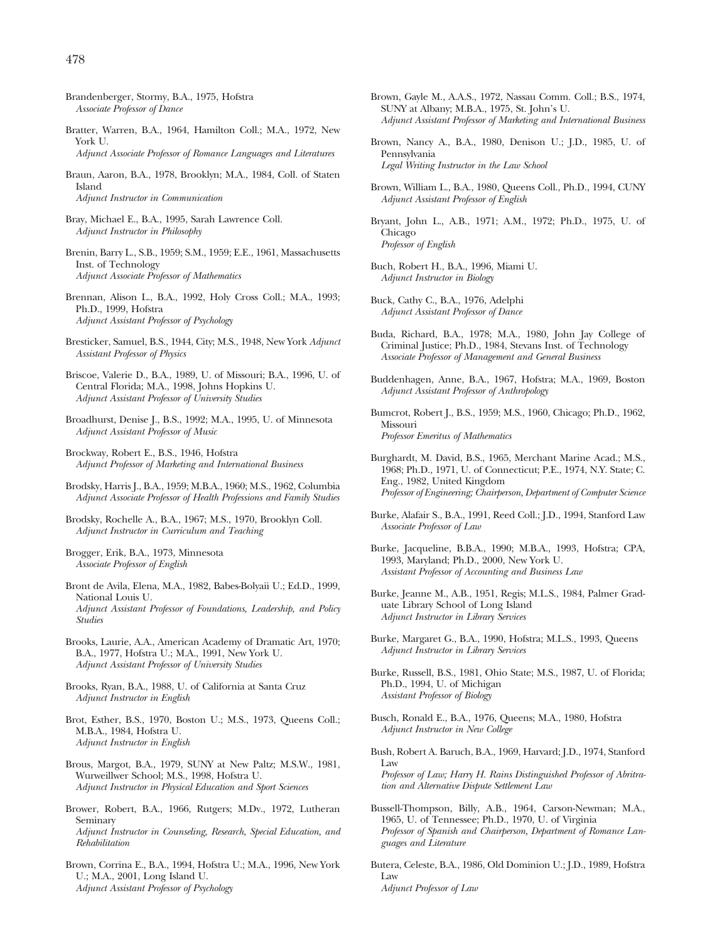- Brandenberger, Stormy, B.A., 1975, Hofstra *Associate Professor of Dance*
- Bratter, Warren, B.A., 1964, Hamilton Coll.; M.A., 1972, New York U.
- *Adjunct Associate Professor of Romance Languages and Literatures*
- Braun, Aaron, B.A., 1978, Brooklyn; M.A., 1984, Coll. of Staten Island *Adjunct Instructor in Communication*
- Bray, Michael E., B.A., 1995, Sarah Lawrence Coll. *Adjunct Instructor in Philosophy*
- Brenin, Barry L., S.B., 1959; S.M., 1959; E.E., 1961, Massachusetts Inst. of Technology *Adjunct Associate Professor of Mathematics*
- Brennan, Alison L., B.A., 1992, Holy Cross Coll.; M.A., 1993; Ph.D., 1999, Hofstra *Adjunct Assistant Professor of Psychology*
- Bresticker, Samuel, B.S., 1944, City; M.S., 1948, New York *Adjunct Assistant Professor of Physics*
- Briscoe, Valerie D., B.A., 1989, U. of Missouri; B.A., 1996, U. of Central Florida; M.A., 1998, Johns Hopkins U. *Adjunct Assistant Professor of University Studies*
- Broadhurst, Denise J., B.S., 1992; M.A., 1995, U. of Minnesota *Adjunct Assistant Professor of Music*
- Brockway, Robert E., B.S., 1946, Hofstra *Adjunct Professor of Marketing and International Business*
- Brodsky, Harris J., B.A., 1959; M.B.A., 1960; M.S., 1962, Columbia *Adjunct Associate Professor of Health Professions and Family Studies*
- Brodsky, Rochelle A., B.A., 1967; M.S., 1970, Brooklyn Coll. *Adjunct Instructor in Curriculum and Teaching*
- Brogger, Erik, B.A., 1973, Minnesota *Associate Professor of English*
- Bront de Avila, Elena, M.A., 1982, Babes-Bolyaii U.; Ed.D., 1999, National Louis U. *Adjunct Assistant Professor of Foundations, Leadership, and Policy Studies*
- Brooks, Laurie, A.A., American Academy of Dramatic Art, 1970; B.A., 1977, Hofstra U.; M.A., 1991, New York U. *Adjunct Assistant Professor of University Studies*
- Brooks, Ryan, B.A., 1988, U. of California at Santa Cruz *Adjunct Instructor in English*
- Brot, Esther, B.S., 1970, Boston U.; M.S., 1973, Queens Coll.; M.B.A., 1984, Hofstra U. *Adjunct Instructor in English*
- Brous, Margot, B.A., 1979, SUNY at New Paltz; M.S.W., 1981, Wurweillwer School; M.S., 1998, Hofstra U. *Adjunct Instructor in Physical Education and Sport Sciences*
- Brower, Robert, B.A., 1966, Rutgers; M.Dv., 1972, Lutheran Seminary *Adjunct Instructor in Counseling, Research, Special Education, and Rehabilitation*
- Brown, Corrina E., B.A., 1994, Hofstra U.; M.A., 1996, New York U.; M.A., 2001, Long Island U. *Adjunct Assistant Professor of Psychology*
- Brown, Gayle M., A.A.S., 1972, Nassau Comm. Coll.; B.S., 1974, SUNY at Albany; M.B.A., 1975, St. John's U. *Adjunct Assistant Professor of Marketing and International Business*
- Brown, Nancy A., B.A., 1980, Denison U.; J.D., 1985, U. of Pennsylvania *Legal Writing Instructor in the Law School*
- Brown, William L., B.A., 1980, Queens Coll., Ph.D., 1994, CUNY *Adjunct Assistant Professor of English*

Bryant, John L., A.B., 1971; A.M., 1972; Ph.D., 1975, U. of Chicago *Professor of English*

- Buch, Robert H., B.A., 1996, Miami U. *Adjunct Instructor in Biology*
- Buck, Cathy C., B.A., 1976, Adelphi *Adjunct Assistant Professor of Dance*
- Buda, Richard, B.A., 1978; M.A., 1980, John Jay College of Criminal Justice; Ph.D., 1984, Stevans Inst. of Technology *Associate Professor of Management and General Business*
- Buddenhagen, Anne, B.A., 1967, Hofstra; M.A., 1969, Boston *Adjunct Assistant Professor of Anthropology*
- Bumcrot, Robert J., B.S., 1959; M.S., 1960, Chicago; Ph.D., 1962, Missouri *Professor Emeritus of Mathematics*
- Burghardt, M. David, B.S., 1965, Merchant Marine Acad.; M.S., 1968; Ph.D., 1971, U. of Connecticut; P.E., 1974, N.Y. State; C. Eng., 1982, United Kingdom *Professor of Engineering; Chairperson, Department of Computer Science*
- Burke, Alafair S., B.A., 1991, Reed Coll.; J.D., 1994, Stanford Law *Associate Professor of Law*
- Burke, Jacqueline, B.B.A., 1990; M.B.A., 1993, Hofstra; CPA, 1993, Maryland; Ph.D., 2000, New York U. *Assistant Professor of Accounting and Business Law*
- Burke, Jeanne M., A.B., 1951, Regis; M.L.S., 1984, Palmer Graduate Library School of Long Island *Adjunct Instructor in Library Services*
- Burke, Margaret G., B.A., 1990, Hofstra; M.L.S., 1993, Queens *Adjunct Instructor in Library Services*
- Burke, Russell, B.S., 1981, Ohio State; M.S., 1987, U. of Florida; Ph.D., 1994, U. of Michigan *Assistant Professor of Biology*
- Busch, Ronald E., B.A., 1976, Queens; M.A., 1980, Hofstra *Adjunct Instructor in New College*
- Bush, Robert A. Baruch, B.A., 1969, Harvard; J.D., 1974, Stanford Law *Professor of Law; Harry H. Rains Distinguished Professor of Abritration and Alternative Dispute Settlement Law*
- Bussell-Thompson, Billy, A.B., 1964, Carson-Newman; M.A., 1965, U. of Tennessee; Ph.D., 1970, U. of Virginia *Professor of Spanish and Chairperson, Department of Romance Languages and Literature*
- Butera, Celeste, B.A., 1986, Old Dominion U.; J.D., 1989, Hofstra Law *Adjunct Professor of Law*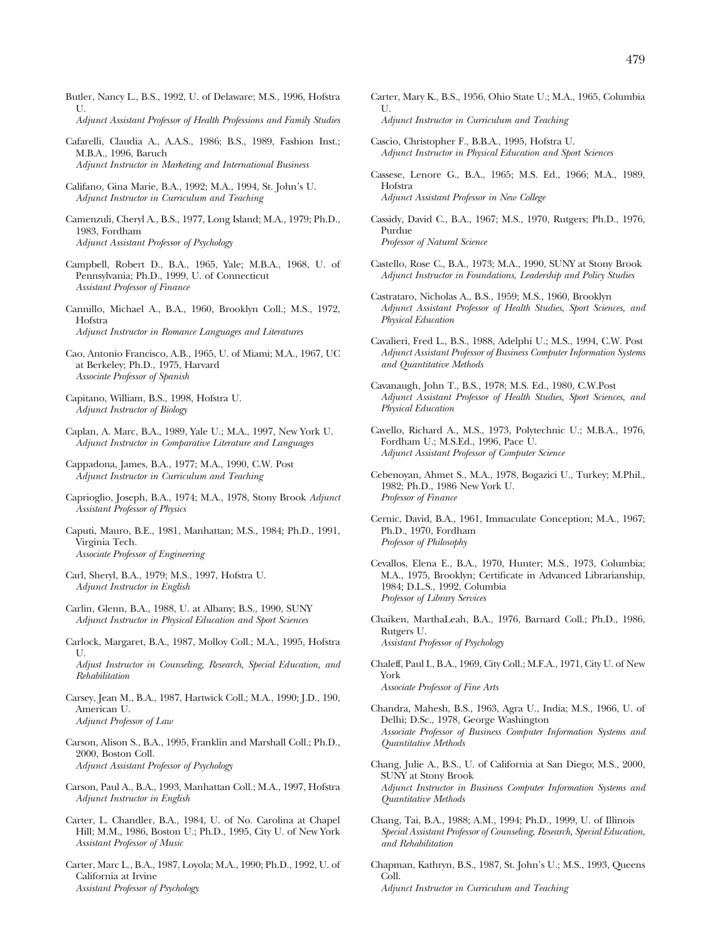- Butler, Nancy L., B.S., 1992, U. of Delaware; M.S., 1996, Hofstra  $II$ *Adjunct Assistant Professor of Health Professions and Family Studies*
- Cafarelli, Claudia A., A.A.S., 1986; B.S., 1989, Fashion Inst.; M.B.A., 1996, Baruch

*Adjunct Instructor in Marketing and International Business*

- Califano, Gina Marie, B.A., 1992; M.A., 1994, St. John's U. *Adjunct Instructor in Curriculum and Teaching*
- Camenzuli, Cheryl A., B.S., 1977, Long Island; M.A., 1979; Ph.D., 1983, Fordham *Adjunct Assistant Professor of Psychology*
- Campbell, Robert D., B.A., 1965, Yale; M.B.A., 1968, U. of Pennsylvania; Ph.D., 1999, U. of Connecticut *Assistant Professor of Finance*
- Cannillo, Michael A., B.A., 1960, Brooklyn Coll.; M.S., 1972, Hofstra *Adjunct Instructor in Romance Languages and Literatures*
- Cao, Antonio Francisco, A.B., 1965, U. of Miami; M.A., 1967, UC at Berkeley; Ph.D., 1975, Harvard *Associate Professor of Spanish*
- Capitano, William, B.S., 1998, Hofstra U. *Adjunct Instructor of Biology*
- Caplan, A. Marc, B.A., 1989, Yale U.; M.A., 1997, New York U. *Adjunct Instructor in Comparative Literature and Languages*
- Cappadona, James, B.A., 1977; M.A., 1990, C.W. Post *Adjunct Instructor in Curriculum and Teaching*
- Caprioglio, Joseph, B.A., 1974; M.A., 1978, Stony Brook *Adjunct Assistant Professor of Physics*
- Caputi, Mauro, B.E., 1981, Manhattan; M.S., 1984; Ph.D., 1991, Virginia Tech. *Associate Professor of Engineering*
- Carl, Sheryl, B.A., 1979; M.S., 1997, Hofstra U. *Adjunct Instructor in English*
- Carlin, Glenn, B.A., 1988, U. at Albany; B.S., 1990, SUNY *Adjunct Instructor in Physical Education and Sport Sciences*
- Carlock, Margaret, B.A., 1987, Molloy Coll.; M.A., 1995, Hofstra U.

*Adjust Instructor in Counseling, Research, Special Education, and Rehabilitation*

- Carsey, Jean M., B.A., 1987, Hartwick Coll.; M.A., 1990; J.D., 190, American U. *Adjunct Professor of Law*
- Carson, Alison S., B.A., 1995, Franklin and Marshall Coll.; Ph.D., 2000, Boston Coll. *Adjunct Assistant Professor of Psychology*
- Carson, Paul A., B.A., 1993, Manhattan Coll.; M.A., 1997, Hofstra *Adjunct Instructor in English*
- Carter, L. Chandler, B.A., 1984, U. of No. Carolina at Chapel Hill; M.M., 1986, Boston U.; Ph.D., 1995, City U. of New York *Assistant Professor of Music*
- Carter, Marc L., B.A., 1987, Loyola; M.A., 1990; Ph.D., 1992, U. of California at Irvine *Assistant Professor of Psychology*
- Carter, Mary K., B.S., 1956, Ohio State U.; M.A., 1965, Columbia  $II$ *Adjunct Instructor in Curriculum and Teaching*
- Cascio, Christopher F., B.B.A., 1995, Hofstra U. *Adjunct Instructor in Physical Education and Sport Sciences*
- Cassese, Lenore G., B.A., 1965; M.S. Ed., 1966; M.A., 1989, Hofstra *Adjunct Assistant Professor in New College*
- Cassidy, David C., B.A., 1967; M.S., 1970, Rutgers; Ph.D., 1976, Purdue *Professor of Natural Science*
- Castello, Rose C., B.A., 1973; M.A., 1990, SUNY at Stony Brook *Adjunct Instructor in Foundations, Leadership and Policy Studies*
- Castrataro, Nicholas A., B.S., 1959; M.S., 1960, Brooklyn *Adjunct Assistant Professor of Health Studies, Sport Sciences, and Physical Education*
- Cavalieri, Fred L., B.S., 1988, Adelphi U.; M.S., 1994, C.W. Post *Adjunct Assistant Professor of Business Computer Information Systems and Quantitative Methods*
- Cavanaugh, John T., B.S., 1978; M.S. Ed., 1980, C.W.Post *Adjunct Assistant Professor of Health Studies, Sport Sciences, and Physical Education*
- Cavello, Richard A., M.S., 1973, Polytechnic U.; M.B.A., 1976, Fordham U.; M.S.Ed., 1996, Pace U. *Adjunct Assistant Professor of Computer Science*
- Cebenoyan, Ahmet S., M.A., 1978, Bogazici U., Turkey; M.Phil., 1982; Ph.D., 1986 New York U. *Professor of Finance*
- Cernic, David, B.A., 1961, Immaculate Conception; M.A., 1967; Ph.D., 1970, Fordham *Professor of Philosophy*
- Cevallos, Elena E., B.A., 1970, Hunter; M.S., 1973, Columbia; M.A., 1975, Brooklyn; Certificate in Advanced Librarianship, 1984; D.L.S., 1992, Columbia *Professor of Library Services*
- Chaiken, MarthaLeah, B.A., 1976, Barnard Coll.; Ph.D., 1986, Rutgers U. *Assistant Professor of Psychology*
- Chaleff, Paul I., B.A., 1969, City Coll.; M.F.A., 1971, City U. of New York *Associate Professor of Fine Arts*
- Chandra, Mahesh, B.S., 1963, Agra U., India; M.S., 1966, U. of Delhi; D.Sc., 1978, George Washington *Associate Professor of Business Computer Information Systems and Quantitative Methods*
- Chang, Julie A., B.S., U. of California at San Diego; M.S., 2000, SUNY at Stony Brook *Adjunct Instructor in Business Computer Information Systems and Quantitative Methods*
- Chang, Tai, B.A., 1988; A.M., 1994; Ph.D., 1999, U. of Illinois *Special Assistant Professor of Counseling, Research, Special Education, and Rehabilitation*
- Chapman, Kathryn, B.S., 1987, St. John's U.; M.S., 1993, Queens Coll. *Adjunct Instructor in Curriculum and Teaching*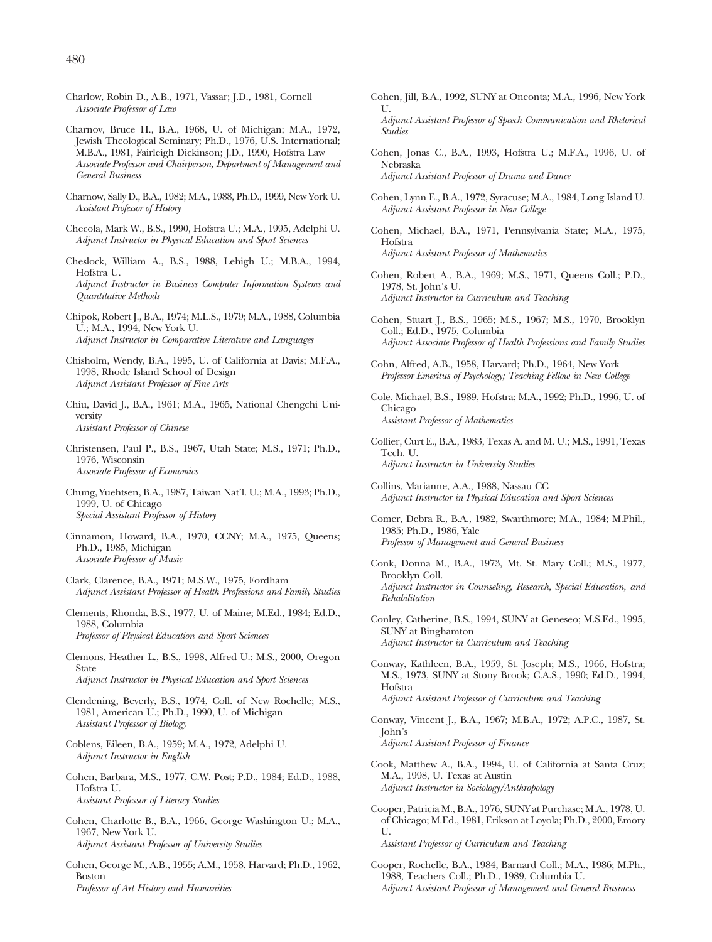- Charlow, Robin D., A.B., 1971, Vassar; J.D., 1981, Cornell *Associate Professor of Law*
- Charnov, Bruce H., B.A., 1968, U. of Michigan; M.A., 1972, Jewish Theological Seminary; Ph.D., 1976, U.S. International; M.B.A., 1981, Fairleigh Dickinson; J.D., 1990, Hofstra Law *Associate Professor and Chairperson, Department of Management and General Business*
- Charnow, Sally D., B.A., 1982; M.A., 1988, Ph.D., 1999, New York U. *Assistant Professor of History*
- Checola, Mark W., B.S., 1990, Hofstra U.; M.A., 1995, Adelphi U. *Adjunct Instructor in Physical Education and Sport Sciences*
- Cheslock, William A., B.S., 1988, Lehigh U.; M.B.A., 1994, Hofstra U. *Adjunct Instructor in Business Computer Information Systems and Quantitative Methods*
- Chipok, Robert J., B.A., 1974; M.L.S., 1979; M.A., 1988, Columbia U.; M.A., 1994, New York U. *Adjunct Instructor in Comparative Literature and Languages*
- Chisholm, Wendy, B.A., 1995, U. of California at Davis; M.F.A., 1998, Rhode Island School of Design *Adjunct Assistant Professor of Fine Arts*
- Chiu, David J., B.A., 1961; M.A., 1965, National Chengchi University *Assistant Professor of Chinese*
- Christensen, Paul P., B.S., 1967, Utah State; M.S., 1971; Ph.D., 1976, Wisconsin *Associate Professor of Economics*
- Chung, Yuehtsen, B.A., 1987, Taiwan Nat'l. U.; M.A., 1993; Ph.D., 1999, U. of Chicago *Special Assistant Professor of History*
- Cinnamon, Howard, B.A., 1970, CCNY; M.A., 1975, Queens; Ph.D., 1985, Michigan *Associate Professor of Music*
- Clark, Clarence, B.A., 1971; M.S.W., 1975, Fordham *Adjunct Assistant Professor of Health Professions and Family Studies*
- Clements, Rhonda, B.S., 1977, U. of Maine; M.Ed., 1984; Ed.D., 1988, Columbia *Professor of Physical Education and Sport Sciences*
- Clemons, Heather L., B.S., 1998, Alfred U.; M.S., 2000, Oregon State *Adjunct Instructor in Physical Education and Sport Sciences*
- Clendening, Beverly, B.S., 1974, Coll. of New Rochelle; M.S., 1981, American U.; Ph.D., 1990, U. of Michigan *Assistant Professor of Biology*
- Coblens, Eileen, B.A., 1959; M.A., 1972, Adelphi U. *Adjunct Instructor in English*
- Cohen, Barbara, M.S., 1977, C.W. Post; P.D., 1984; Ed.D., 1988, Hofstra U. *Assistant Professor of Literacy Studies*
- Cohen, Charlotte B., B.A., 1966, George Washington U.; M.A., 1967, New York U. *Adjunct Assistant Professor of University Studies*
- Cohen, George M., A.B., 1955; A.M., 1958, Harvard; Ph.D., 1962, Boston *Professor of Art History and Humanities*
- Cohen, Jill, B.A., 1992, SUNY at Oneonta; M.A., 1996, New York U. *Adjunct Assistant Professor of Speech Communication and Rhetorical Studies*
- Cohen, Jonas C., B.A., 1993, Hofstra U.; M.F.A., 1996, U. of Nebraska *Adjunct Assistant Professor of Drama and Dance*
- Cohen, Lynn E., B.A., 1972, Syracuse; M.A., 1984, Long Island U. *Adjunct Assistant Professor in New College*
- Cohen, Michael, B.A., 1971, Pennsylvania State; M.A., 1975, Hofstra *Adjunct Assistant Professor of Mathematics*
- Cohen, Robert A., B.A., 1969; M.S., 1971, Queens Coll.; P.D., 1978, St. John's U. *Adjunct Instructor in Curriculum and Teaching*
- Cohen, Stuart J., B.S., 1965; M.S., 1967; M.S., 1970, Brooklyn Coll.; Ed.D., 1975, Columbia *Adjunct Associate Professor of Health Professions and Family Studies*
- Cohn, Alfred, A.B., 1958, Harvard; Ph.D., 1964, New York *Professor Emeritus of Psychology; Teaching Fellow in New College*
- Cole, Michael, B.S., 1989, Hofstra; M.A., 1992; Ph.D., 1996, U. of Chicago *Assistant Professor of Mathematics*
- Collier, Curt E., B.A., 1983, Texas A. and M. U.; M.S., 1991, Texas Tech. U. *Adjunct Instructor in University Studies*
- Collins, Marianne, A.A., 1988, Nassau CC *Adjunct Instructor in Physical Education and Sport Sciences*
- Comer, Debra R., B.A., 1982, Swarthmore; M.A., 1984; M.Phil., 1985; Ph.D., 1986, Yale *Professor of Management and General Business*
- Conk, Donna M., B.A., 1973, Mt. St. Mary Coll.; M.S., 1977, Brooklyn Coll. *Adjunct Instructor in Counseling, Research, Special Education, and Rehabilitation*
- Conley, Catherine, B.S., 1994, SUNY at Geneseo; M.S.Ed., 1995, SUNY at Binghamton *Adjunct Instructor in Curriculum and Teaching*
- Conway, Kathleen, B.A., 1959, St. Joseph; M.S., 1966, Hofstra; M.S., 1973, SUNY at Stony Brook; C.A.S., 1990; Ed.D., 1994, Hofstra *Adjunct Assistant Professor of Curriculum and Teaching*
- Conway, Vincent J., B.A., 1967; M.B.A., 1972; A.P.C., 1987, St. John's *Adjunct Assistant Professor of Finance*
- Cook, Matthew A., B.A., 1994, U. of California at Santa Cruz; M.A., 1998, U. Texas at Austin *Adjunct Instructor in Sociology/Anthropology*
- Cooper, Patricia M., B.A., 1976, SUNY at Purchase; M.A., 1978, U. of Chicago; M.Ed., 1981, Erikson at Loyola; Ph.D., 2000, Emory U.

*Assistant Professor of Curriculum and Teaching*

Cooper, Rochelle, B.A., 1984, Barnard Coll.; M.A., 1986; M.Ph., 1988, Teachers Coll.; Ph.D., 1989, Columbia U. *Adjunct Assistant Professor of Management and General Business*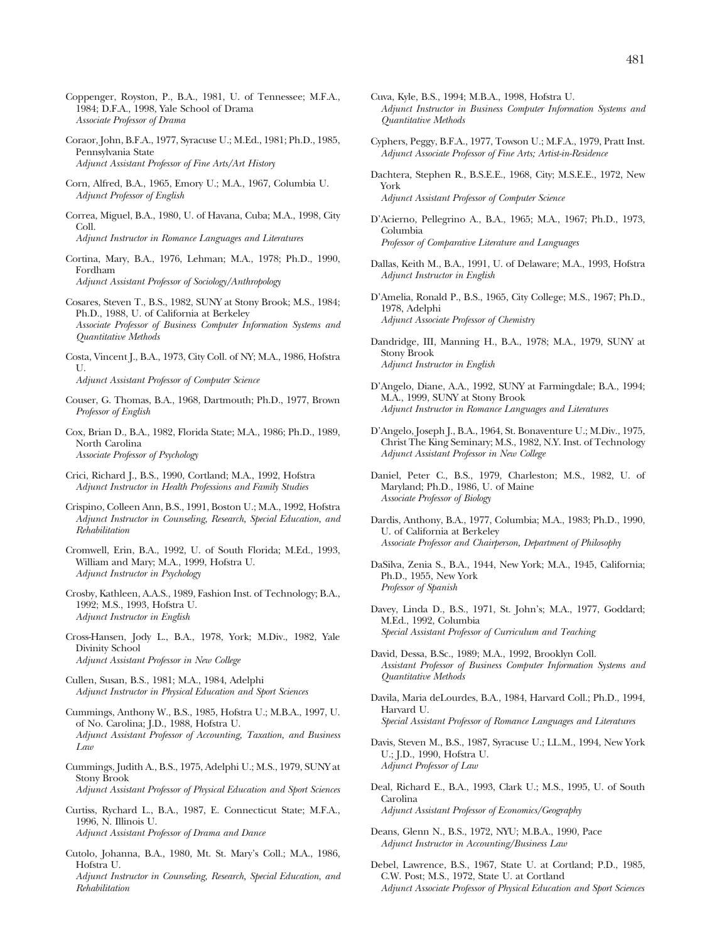- Coppenger, Royston, P., B.A., 1981, U. of Tennessee; M.F.A., 1984; D.F.A., 1998, Yale School of Drama *Associate Professor of Drama*
- Coraor, John, B.F.A., 1977, Syracuse U.; M.Ed., 1981; Ph.D., 1985, Pennsylvania State *Adjunct Assistant Professor of Fine Arts/Art History*
- Corn, Alfred, B.A., 1965, Emory U.; M.A., 1967, Columbia U. *Adjunct Professor of English*
- Correa, Miguel, B.A., 1980, U. of Havana, Cuba; M.A., 1998, City Coll.

*Adjunct Instructor in Romance Languages and Literatures*

Cortina, Mary, B.A., 1976, Lehman; M.A., 1978; Ph.D., 1990, Fordham *Adjunct Assistant Professor of Sociology/Anthropology*

Cosares, Steven T., B.S., 1982, SUNY at Stony Brook; M.S., 1984; Ph.D., 1988, U. of California at Berkeley *Associate Professor of Business Computer Information Systems and Quantitative Methods*

- Costa, Vincent J., B.A., 1973, City Coll. of NY; M.A., 1986, Hofstra  $U$ . *Adjunct Assistant Professor of Computer Science*
- Couser, G. Thomas, B.A., 1968, Dartmouth; Ph.D., 1977, Brown *Professor of English*
- Cox, Brian D., B.A., 1982, Florida State; M.A., 1986; Ph.D., 1989, North Carolina *Associate Professor of Psychology*
- Crici, Richard J., B.S., 1990, Cortland; M.A., 1992, Hofstra *Adjunct Instructor in Health Professions and Family Studies*
- Crispino, Colleen Ann, B.S., 1991, Boston U.; M.A., 1992, Hofstra *Adjunct Instructor in Counseling, Research, Special Education, and Rehabilitation*
- Cromwell, Erin, B.A., 1992, U. of South Florida; M.Ed., 1993, William and Mary; M.A., 1999, Hofstra U. *Adjunct Instructor in Psychology*
- Crosby, Kathleen, A.A.S., 1989, Fashion Inst. of Technology; B.A., 1992; M.S., 1993, Hofstra U. *Adjunct Instructor in English*
- Cross-Hansen, Jody L., B.A., 1978, York; M.Div., 1982, Yale Divinity School *Adjunct Assistant Professor in New College*
- Cullen, Susan, B.S., 1981; M.A., 1984, Adelphi *Adjunct Instructor in Physical Education and Sport Sciences*
- Cummings, Anthony W., B.S., 1985, Hofstra U.; M.B.A., 1997, U. of No. Carolina; J.D., 1988, Hofstra U. *Adjunct Assistant Professor of Accounting, Taxation, and Business Law*
- Cummings, Judith A., B.S., 1975, Adelphi U.; M.S., 1979, SUNY at Stony Brook
- *Adjunct Assistant Professor of Physical Education and Sport Sciences*
- Curtiss, Rychard L., B.A., 1987, E. Connecticut State; M.F.A., 1996, N. Illinois U. *Adjunct Assistant Professor of Drama and Dance*
- Cutolo, Johanna, B.A., 1980, Mt. St. Mary's Coll.; M.A., 1986, Hofstra U. *Adjunct Instructor in Counseling, Research, Special Education, and*

*Rehabilitation*

- Cuva, Kyle, B.S., 1994; M.B.A., 1998, Hofstra U. *Adjunct Instructor in Business Computer Information Systems and Quantitative Methods*
- Cyphers, Peggy, B.F.A., 1977, Towson U.; M.F.A., 1979, Pratt Inst. *Adjunct Associate Professor of Fine Arts; Artist-in-Residence*
- Dachtera, Stephen R., B.S.E.E., 1968, City; M.S.E.E., 1972, New York *Adjunct Assistant Professor of Computer Science*
- D'Acierno, Pellegrino A., B.A., 1965; M.A., 1967; Ph.D., 1973, Columbia *Professor of Comparative Literature and Languages*
- Dallas, Keith M., B.A., 1991, U. of Delaware; M.A., 1993, Hofstra *Adjunct Instructor in English*
- D'Amelia, Ronald P., B.S., 1965, City College; M.S., 1967; Ph.D., 1978, Adelphi *Adjunct Associate Professor of Chemistry*
- Dandridge, III, Manning H., B.A., 1978; M.A., 1979, SUNY at Stony Brook *Adjunct Instructor in English*
- D'Angelo, Diane, A.A., 1992, SUNY at Farmingdale; B.A., 1994; M.A., 1999, SUNY at Stony Brook *Adjunct Instructor in Romance Languages and Literatures*
- D'Angelo, Joseph J., B.A., 1964, St. Bonaventure U.; M.Div., 1975, Christ The King Seminary; M.S., 1982, N.Y. Inst. of Technology *Adjunct Assistant Professor in New College*
- Daniel, Peter C., B.S., 1979, Charleston; M.S., 1982, U. of Maryland; Ph.D., 1986, U. of Maine *Associate Professor of Biology*
- Dardis, Anthony, B.A., 1977, Columbia; M.A., 1983; Ph.D., 1990, U. of California at Berkeley *Associate Professor and Chairperson, Department of Philosophy*
- DaSilva, Zenia S., B.A., 1944, New York; M.A., 1945, California; Ph.D., 1955, New York *Professor of Spanish*
- Davey, Linda D., B.S., 1971, St. John's; M.A., 1977, Goddard; M.Ed., 1992, Columbia *Special Assistant Professor of Curriculum and Teaching*
- David, Dessa, B.Sc., 1989; M.A., 1992, Brooklyn Coll. *Assistant Professor of Business Computer Information Systems and Quantitative Methods*
- Davila, Maria deLourdes, B.A., 1984, Harvard Coll.; Ph.D., 1994, Harvard U. *Special Assistant Professor of Romance Languages and Literatures*
- Davis, Steven M., B.S., 1987, Syracuse U.; LL.M., 1994, New York U.; J.D., 1990, Hofstra U. *Adjunct Professor of Law*
- Deal, Richard E., B.A., 1993, Clark U.; M.S., 1995, U. of South Carolina *Adjunct Assistant Professor of Economics/Geography*
- Deans, Glenn N., B.S., 1972, NYU; M.B.A., 1990, Pace *Adjunct Instructor in Accounting/Business Law*
- Debel, Lawrence, B.S., 1967, State U. at Cortland; P.D., 1985, C.W. Post; M.S., 1972, State U. at Cortland *Adjunct Associate Professor of Physical Education and Sport Sciences*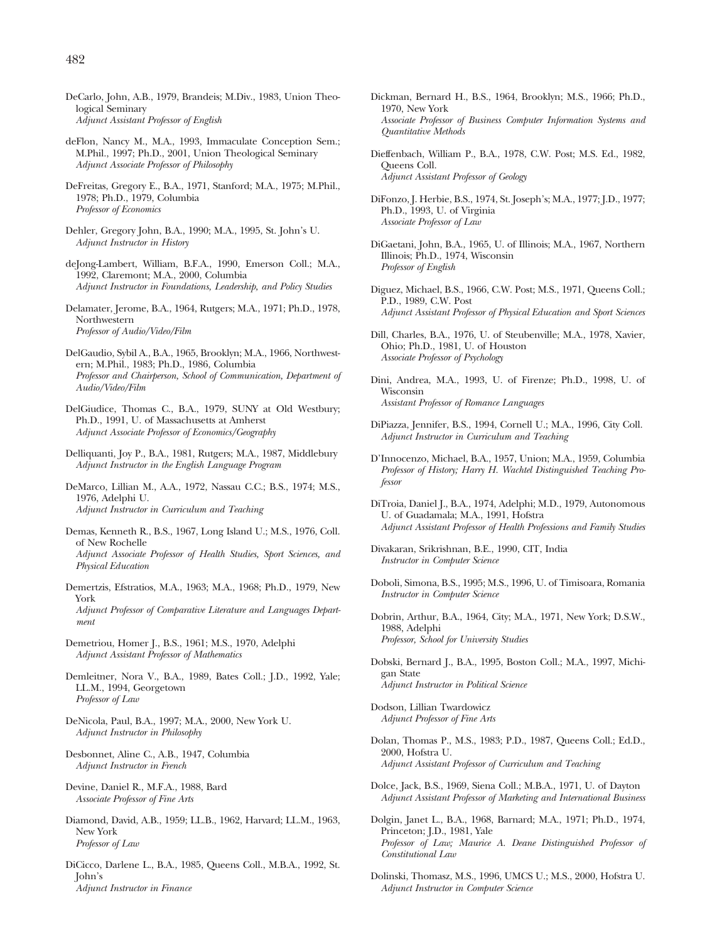- deFlon, Nancy M., M.A., 1993, Immaculate Conception Sem.; M.Phil., 1997; Ph.D., 2001, Union Theological Seminary *Adjunct Associate Professor of Philosophy*
- DeFreitas, Gregory E., B.A., 1971, Stanford; M.A., 1975; M.Phil., 1978; Ph.D., 1979, Columbia *Professor of Economics*
- Dehler, Gregory John, B.A., 1990; M.A., 1995, St. John's U. *Adjunct Instructor in History*
- deJong-Lambert, William, B.F.A., 1990, Emerson Coll.; M.A., 1992, Claremont; M.A., 2000, Columbia *Adjunct Instructor in Foundations, Leadership, and Policy Studies*
- Delamater, Jerome, B.A., 1964, Rutgers; M.A., 1971; Ph.D., 1978, Northwestern *Professor of Audio/Video/Film*
- DelGaudio, Sybil A., B.A., 1965, Brooklyn; M.A., 1966, Northwestern; M.Phil., 1983; Ph.D., 1986, Columbia *Professor and Chairperson, School of Communication, Department of Audio/Video/Film*
- DelGiudice, Thomas C., B.A., 1979, SUNY at Old Westbury; Ph.D., 1991, U. of Massachusetts at Amherst *Adjunct Associate Professor of Economics/Geography*
- Delliquanti, Joy P., B.A., 1981, Rutgers; M.A., 1987, Middlebury *Adjunct Instructor in the English Language Program*
- DeMarco, Lillian M., A.A., 1972, Nassau C.C.; B.S., 1974; M.S., 1976, Adelphi U. *Adjunct Instructor in Curriculum and Teaching*
- Demas, Kenneth R., B.S., 1967, Long Island U.; M.S., 1976, Coll. of New Rochelle *Adjunct Associate Professor of Health Studies, Sport Sciences, and Physical Education*
- Demertzis, Efstratios, M.A., 1963; M.A., 1968; Ph.D., 1979, New York

*Adjunct Professor of Comparative Literature and Languages Department*

- Demetriou, Homer J., B.S., 1961; M.S., 1970, Adelphi *Adjunct Assistant Professor of Mathematics*
- Demleitner, Nora V., B.A., 1989, Bates Coll.; J.D., 1992, Yale; LL.M., 1994, Georgetown *Professor of Law*
- DeNicola, Paul, B.A., 1997; M.A., 2000, New York U. *Adjunct Instructor in Philosophy*
- Desbonnet, Aline C., A.B., 1947, Columbia *Adjunct Instructor in French*
- Devine, Daniel R., M.F.A., 1988, Bard *Associate Professor of Fine Arts*
- Diamond, David, A.B., 1959; LL.B., 1962, Harvard; LL.M., 1963, New York *Professor of Law*
- DiCicco, Darlene L., B.A., 1985, Queens Coll., M.B.A., 1992, St. John's *Adjunct Instructor in Finance*
- Dickman, Bernard H., B.S., 1964, Brooklyn; M.S., 1966; Ph.D., 1970, New York *Associate Professor of Business Computer Information Systems and Quantitative Methods*
- Dieffenbach, William P., B.A., 1978, C.W. Post; M.S. Ed., 1982, Queens Coll. *Adjunct Assistant Professor of Geology*
- DiFonzo, J. Herbie, B.S., 1974, St. Joseph's; M.A., 1977; J.D., 1977; Ph.D., 1993, U. of Virginia *Associate Professor of Law*
- DiGaetani, John, B.A., 1965, U. of Illinois; M.A., 1967, Northern Illinois; Ph.D., 1974, Wisconsin *Professor of English*
- Diguez, Michael, B.S., 1966, C.W. Post; M.S., 1971, Queens Coll.; P.D., 1989, C.W. Post *Adjunct Assistant Professor of Physical Education and Sport Sciences*
- Dill, Charles, B.A., 1976, U. of Steubenville; M.A., 1978, Xavier, Ohio; Ph.D., 1981, U. of Houston *Associate Professor of Psychology*
- Dini, Andrea, M.A., 1993, U. of Firenze; Ph.D., 1998, U. of Wisconsin *Assistant Professor of Romance Languages*
- DiPiazza, Jennifer, B.S., 1994, Cornell U.; M.A., 1996, City Coll. *Adjunct Instructor in Curriculum and Teaching*
- D'Innocenzo, Michael, B.A., 1957, Union; M.A., 1959, Columbia *Professor of History; Harry H. Wachtel Distinguished Teaching Professor*
- DiTroia, Daniel J., B.A., 1974, Adelphi; M.D., 1979, Autonomous U. of Guadamala; M.A., 1991, Hofstra *Adjunct Assistant Professor of Health Professions and Family Studies*
- Divakaran, Srikrishnan, B.E., 1990, CIT, India *Instructor in Computer Science*
- Doboli, Simona, B.S., 1995; M.S., 1996, U. of Timisoara, Romania *Instructor in Computer Science*
- Dobrin, Arthur, B.A., 1964, City; M.A., 1971, New York; D.S.W., 1988, Adelphi *Professor, School for University Studies*
- Dobski, Bernard J., B.A., 1995, Boston Coll.; M.A., 1997, Michigan State *Adjunct Instructor in Political Science*
- Dodson, Lillian Twardowicz *Adjunct Professor of Fine Arts*
- Dolan, Thomas P., M.S., 1983; P.D., 1987, Queens Coll.; Ed.D., 2000, Hofstra U. *Adjunct Assistant Professor of Curriculum and Teaching*
- Dolce, Jack, B.S., 1969, Siena Coll.; M.B.A., 1971, U. of Dayton *Adjunct Assistant Professor of Marketing and International Business*
- Dolgin, Janet L., B.A., 1968, Barnard; M.A., 1971; Ph.D., 1974, Princeton; J.D., 1981, Yale *Professor of Law; Maurice A. Deane Distinguished Professor of Constitutional Law*
- Dolinski, Thomasz, M.S., 1996, UMCS U.; M.S., 2000, Hofstra U. *Adjunct Instructor in Computer Science*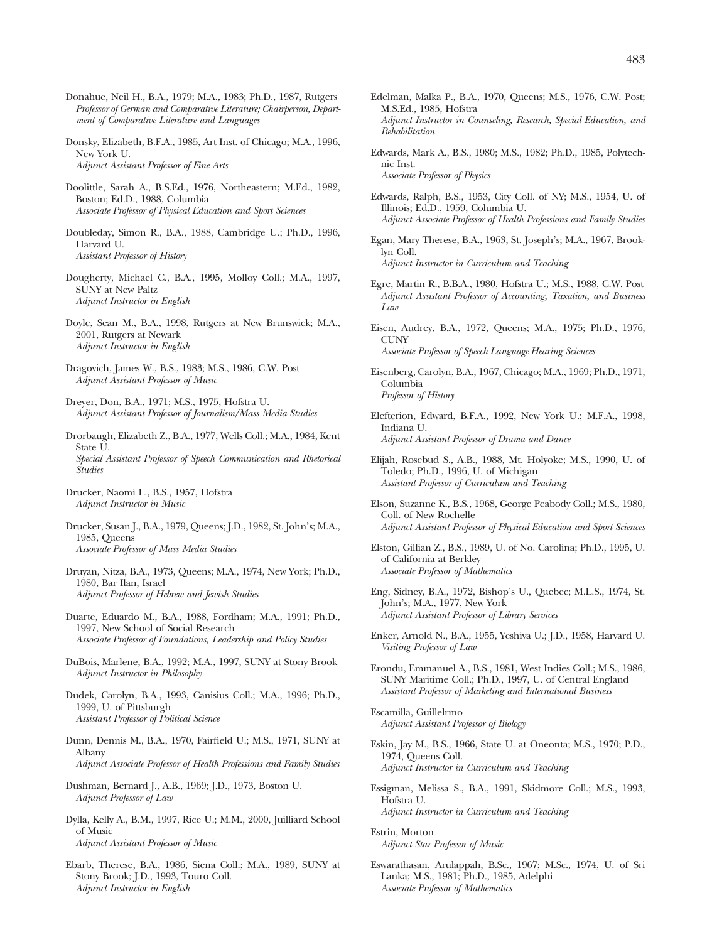- Donahue, Neil H., B.A., 1979; M.A., 1983; Ph.D., 1987, Rutgers *Professor of German and Comparative Literature; Chairperson, Department of Comparative Literature and Languages*
- Donsky, Elizabeth, B.F.A., 1985, Art Inst. of Chicago; M.A., 1996, New York U. *Adjunct Assistant Professor of Fine Arts*
- Doolittle, Sarah A., B.S.Ed., 1976, Northeastern; M.Ed., 1982, Boston; Ed.D., 1988, Columbia *Associate Professor of Physical Education and Sport Sciences*
- Doubleday, Simon R., B.A., 1988, Cambridge U.; Ph.D., 1996, Harvard U. *Assistant Professor of History*
- Dougherty, Michael C., B.A., 1995, Molloy Coll.; M.A., 1997, SUNY at New Paltz *Adjunct Instructor in English*
- Doyle, Sean M., B.A., 1998, Rutgers at New Brunswick; M.A., 2001, Rutgers at Newark *Adjunct Instructor in English*
- Dragovich, James W., B.S., 1983; M.S., 1986, C.W. Post *Adjunct Assistant Professor of Music*
- Dreyer, Don, B.A., 1971; M.S., 1975, Hofstra U. *Adjunct Assistant Professor of Journalism/Mass Media Studies*
- Drorbaugh, Elizabeth Z., B.A., 1977, Wells Coll.; M.A., 1984, Kent State U. *Special Assistant Professor of Speech Communication and Rhetorical Studies*
- Drucker, Naomi L., B.S., 1957, Hofstra *Adjunct Instructor in Music*
- Drucker, Susan J., B.A., 1979, Queens; J.D., 1982, St. John's; M.A., 1985, Queens *Associate Professor of Mass Media Studies*
- Druyan, Nitza, B.A., 1973, Queens; M.A., 1974, New York; Ph.D., 1980, Bar Ilan, Israel *Adjunct Professor of Hebrew and Jewish Studies*
- Duarte, Eduardo M., B.A., 1988, Fordham; M.A., 1991; Ph.D., 1997, New School of Social Research *Associate Professor of Foundations, Leadership and Policy Studies*
- DuBois, Marlene, B.A., 1992; M.A., 1997, SUNY at Stony Brook *Adjunct Instructor in Philosophy*
- Dudek, Carolyn, B.A., 1993, Canisius Coll.; M.A., 1996; Ph.D., 1999, U. of Pittsburgh *Assistant Professor of Political Science*
- Dunn, Dennis M., B.A., 1970, Fairfield U.; M.S., 1971, SUNY at Albany *Adjunct Associate Professor of Health Professions and Family Studies*
- Dushman, Bernard J., A.B., 1969; J.D., 1973, Boston U. *Adjunct Professor of Law*
- Dylla, Kelly A., B.M., 1997, Rice U.; M.M., 2000, Juilliard School of Music *Adjunct Assistant Professor of Music*
- Ebarb, Therese, B.A., 1986, Siena Coll.; M.A., 1989, SUNY at Stony Brook; J.D., 1993, Touro Coll. *Adjunct Instructor in English*
- Edelman, Malka P., B.A., 1970, Queens; M.S., 1976, C.W. Post; M.S.Ed., 1985, Hofstra *Adjunct Instructor in Counseling, Research, Special Education, and Rehabilitation*
- Edwards, Mark A., B.S., 1980; M.S., 1982; Ph.D., 1985, Polytechnic Inst. *Associate Professor of Physics*
- Edwards, Ralph, B.S., 1953, City Coll. of NY; M.S., 1954, U. of Illinois; Ed.D., 1959, Columbia U. *Adjunct Associate Professor of Health Professions and Family Studies*
- Egan, Mary Therese, B.A., 1963, St. Joseph's; M.A., 1967, Brooklyn Coll. *Adjunct Instructor in Curriculum and Teaching*
- Egre, Martin R., B.B.A., 1980, Hofstra U.; M.S., 1988, C.W. Post *Adjunct Assistant Professor of Accounting, Taxation, and Business Law*
- Eisen, Audrey, B.A., 1972, Queens; M.A., 1975; Ph.D., 1976, **CUNY** *Associate Professor of Speech-Language-Hearing Sciences*
- Eisenberg, Carolyn, B.A., 1967, Chicago; M.A., 1969; Ph.D., 1971, Columbia *Professor of History*
- Elefterion, Edward, B.F.A., 1992, New York U.; M.F.A., 1998, Indiana U. *Adjunct Assistant Professor of Drama and Dance*
- Elijah, Rosebud S., A.B., 1988, Mt. Holyoke; M.S., 1990, U. of Toledo; Ph.D., 1996, U. of Michigan *Assistant Professor of Curriculum and Teaching*
- Elson, Suzanne K., B.S., 1968, George Peabody Coll.; M.S., 1980, Coll. of New Rochelle *Adjunct Assistant Professor of Physical Education and Sport Sciences*
- Elston, Gillian Z., B.S., 1989, U. of No. Carolina; Ph.D., 1995, U. of California at Berkley *Associate Professor of Mathematics*
- Eng, Sidney, B.A., 1972, Bishop's U., Quebec; M.L.S., 1974, St. John's; M.A., 1977, New York *Adjunct Assistant Professor of Library Services*
- Enker, Arnold N., B.A., 1955, Yeshiva U.; J.D., 1958, Harvard U. *Visiting Professor of Law*
- Erondu, Emmanuel A., B.S., 1981, West Indies Coll.; M.S., 1986, SUNY Maritime Coll.; Ph.D., 1997, U. of Central England *Assistant Professor of Marketing and International Business*
- Escamilla, Guillelrmo *Adjunct Assistant Professor of Biology*
- Eskin, Jay M., B.S., 1966, State U. at Oneonta; M.S., 1970; P.D., 1974, Queens Coll. *Adjunct Instructor in Curriculum and Teaching*
- Essigman, Melissa S., B.A., 1991, Skidmore Coll.; M.S., 1993, Hofstra U. *Adjunct Instructor in Curriculum and Teaching*
- Estrin, Morton *Adjunct Star Professor of Music*
- Eswarathasan, Arulappah, B.Sc., 1967; M.Sc., 1974, U. of Sri Lanka; M.S., 1981; Ph.D., 1985, Adelphi *Associate Professor of Mathematics*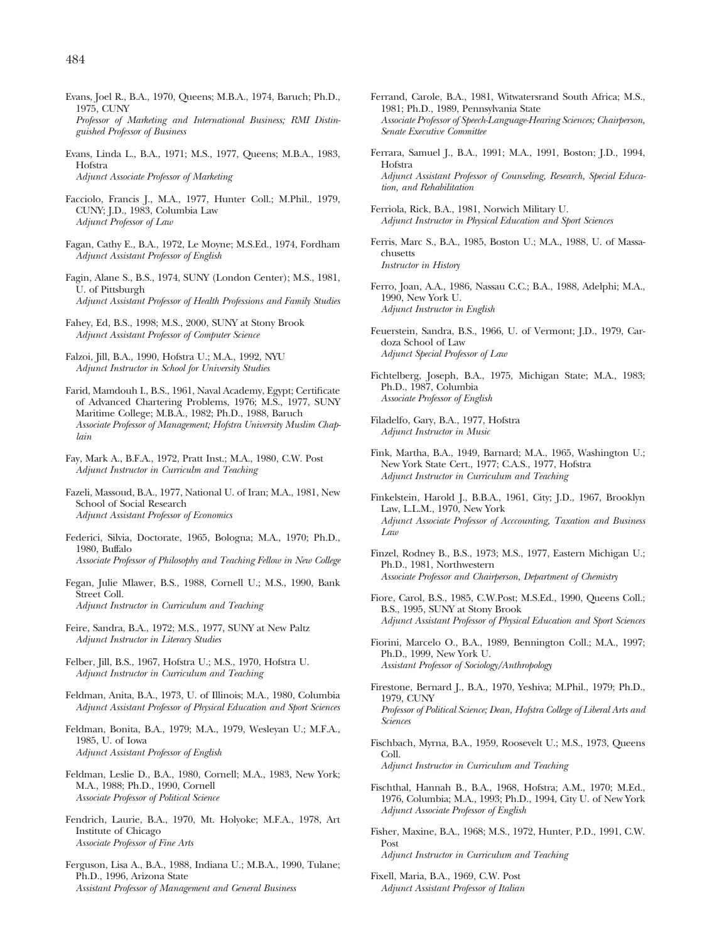- Evans, Joel R., B.A., 1970, Queens; M.B.A., 1974, Baruch; Ph.D., 1975, CUNY *Professor of Marketing and International Business; RMI Distinguished Professor of Business*
- Evans, Linda L., B.A., 1971; M.S., 1977, Queens; M.B.A., 1983, Hofstra *Adjunct Associate Professor of Marketing*
- Facciolo, Francis J., M.A., 1977, Hunter Coll.; M.Phil., 1979, CUNY; J.D., 1983, Columbia Law *Adjunct Professor of Law*
- Fagan, Cathy E., B.A., 1972, Le Moyne; M.S.Ed., 1974, Fordham *Adjunct Assistant Professor of English*
- Fagin, Alane S., B.S., 1974, SUNY (London Center); M.S., 1981, U. of Pittsburgh *Adjunct Assistant Professor of Health Professions and Family Studies*
- Fahey, Ed, B.S., 1998; M.S., 2000, SUNY at Stony Brook *Adjunct Assistant Professor of Computer Science*
- Falzoi, Jill, B.A., 1990, Hofstra U.; M.A., 1992, NYU *Adjunct Instructor in School for University Studies*
- Farid, Mamdouh I., B.S., 1961, Naval Academy, Egypt; Certificate of Advanced Chartering Problems, 1976; M.S., 1977, SUNY Maritime College; M.B.A., 1982; Ph.D., 1988, Baruch *Associate Professor of Management; Hofstra University Muslim Chaplain*
- Fay, Mark A., B.F.A., 1972, Pratt Inst.; M.A., 1980, C.W. Post *Adjunct Instructor in Curriculm and Teaching*
- Fazeli, Massoud, B.A., 1977, National U. of Iran; M.A., 1981, New School of Social Research *Adjunct Assistant Professor of Economics*
- Federici, Silvia, Doctorate, 1965, Bologna; M.A., 1970; Ph.D., 1980, Buffalo *Associate Professor of Philosophy and Teaching Fellow in New College*
- Fegan, Julie Mlawer, B.S., 1988, Cornell U.; M.S., 1990, Bank Street Coll. *Adjunct Instructor in Curriculum and Teaching*
- Feire, Sandra, B.A., 1972; M.S., 1977, SUNY at New Paltz *Adjunct Instructor in Literacy Studies*
- Felber, Jill, B.S., 1967, Hofstra U.; M.S., 1970, Hofstra U. *Adjunct Instructor in Curriculum and Teaching*
- Feldman, Anita, B.A., 1973, U. of Illinois; M.A., 1980, Columbia *Adjunct Assistant Professor of Physical Education and Sport Sciences*
- Feldman, Bonita, B.A., 1979; M.A., 1979, Wesleyan U.; M.F.A., 1985, U. of Iowa *Adjunct Assistant Professor of English*
- Feldman, Leslie D., B.A., 1980, Cornell; M.A., 1983, New York; M.A., 1988; Ph.D., 1990, Cornell *Associate Professor of Political Science*
- Fendrich, Laurie, B.A., 1970, Mt. Holyoke; M.F.A., 1978, Art Institute of Chicago *Associate Professor of Fine Arts*
- Ferguson, Lisa A., B.A., 1988, Indiana U.; M.B.A., 1990, Tulane; Ph.D., 1996, Arizona State *Assistant Professor of Management and General Business*
- Ferrand, Carole, B.A., 1981, Witwatersrand South Africa; M.S., 1981; Ph.D., 1989, Pennsylvania State *Associate Professor of Speech-Language-Hearing Sciences; Chairperson, Senate Executive Committee*
- Ferrara, Samuel J., B.A., 1991; M.A., 1991, Boston; J.D., 1994, Hofstra *Adjunct Assistant Professor of Counseling, Research, Special Education, and Rehabilitation*
- Ferriola, Rick, B.A., 1981, Norwich Military U. *Adjunct Instructor in Physical Education and Sport Sciences*
- Ferris, Marc S., B.A., 1985, Boston U.; M.A., 1988, U. of Massachusetts *Instructor in History*
- Ferro, Joan, A.A., 1986, Nassau C.C.; B.A., 1988, Adelphi; M.A., 1990, New York U. *Adjunct Instructor in English*
- Feuerstein, Sandra, B.S., 1966, U. of Vermont; J.D., 1979, Cardoza School of Law *Adjunct Special Professor of Law*
- Fichtelberg, Joseph, B.A., 1975, Michigan State; M.A., 1983; Ph.D., 1987, Columbia *Associate Professor of English*
- Filadelfo, Gary, B.A., 1977, Hofstra *Adjunct Instructor in Music*
- Fink, Martha, B.A., 1949, Barnard; M.A., 1965, Washington U.; New York State Cert., 1977; C.A.S., 1977, Hofstra *Adjunct Instructor in Curriculum and Teaching*
- Finkelstein, Harold J., B.B.A., 1961, City; J.D., 1967, Brooklyn Law, L.L.M., 1970, New York *Adjunct Associate Professor of Acccounting, Taxation and Business Law*
- Finzel, Rodney B., B.S., 1973; M.S., 1977, Eastern Michigan U.; Ph.D., 1981, Northwestern *Associate Professor and Chairperson, Department of Chemistry*
- Fiore, Carol, B.S., 1985, C.W.Post; M.S.Ed., 1990, Queens Coll.; B.S., 1995, SUNY at Stony Brook *Adjunct Assistant Professor of Physical Education and Sport Sciences*
- Fiorini, Marcelo O., B.A., 1989, Bennington Coll.; M.A., 1997; Ph.D., 1999, New York U. *Assistant Professor of Sociology/Anthropology*
- Firestone, Bernard J., B.A., 1970, Yeshiva; M.Phil., 1979; Ph.D., 1979, CUNY *Professor of Political Science; Dean, Hofstra College of Liberal Arts and Sciences*
- Fischbach, Myrna, B.A., 1959, Roosevelt U.; M.S., 1973, Queens Coll. *Adjunct Instructor in Curriculum and Teaching*
- Fischthal, Hannah B., B.A., 1968, Hofstra; A.M., 1970; M.Ed., 1976, Columbia; M.A., 1993; Ph.D., 1994, City U. of New York *Adjunct Associate Professor of English*
- Fisher, Maxine, B.A., 1968; M.S., 1972, Hunter, P.D., 1991, C.W. Post *Adjunct Instructor in Curriculum and Teaching*
- Fixell, Maria, B.A., 1969, C.W. Post *Adjunct Assistant Professor of Italian*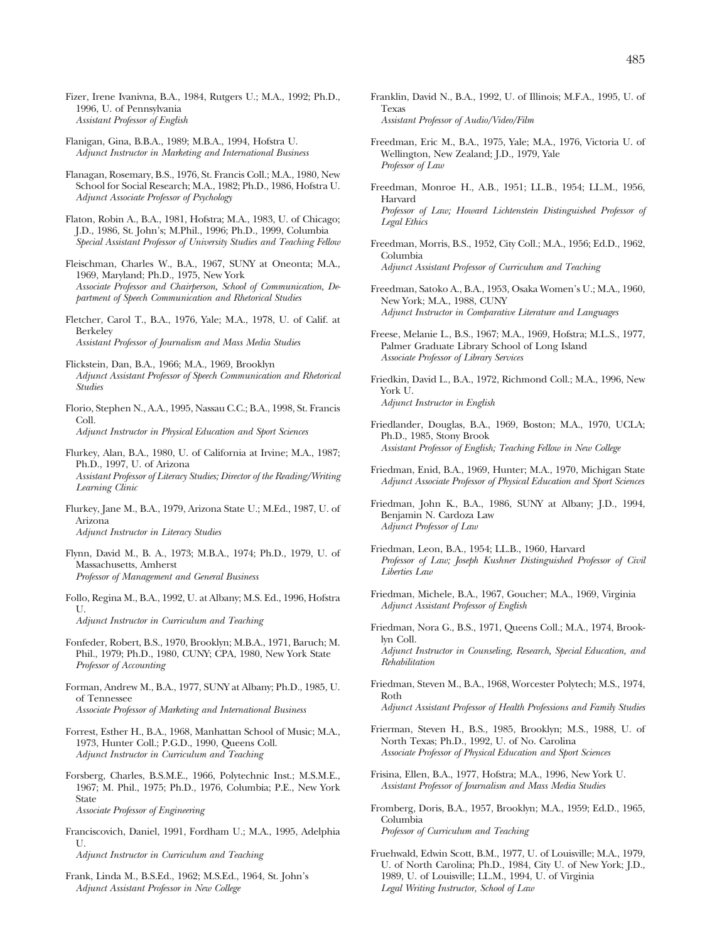- Fizer, Irene Ivanivna, B.A., 1984, Rutgers U.; M.A., 1992; Ph.D., 1996, U. of Pennsylvania *Assistant Professor of English*
- Flanigan, Gina, B.B.A., 1989; M.B.A., 1994, Hofstra U. *Adjunct Instructor in Marketing and International Business*
- Flanagan, Rosemary, B.S., 1976, St. Francis Coll.; M.A., 1980, New School for Social Research; M.A., 1982; Ph.D., 1986, Hofstra U. *Adjunct Associate Professor of Psychology*
- Flaton, Robin A., B.A., 1981, Hofstra; M.A., 1983, U. of Chicago; J.D., 1986, St. John's; M.Phil., 1996; Ph.D., 1999, Columbia *Special Assistant Professor of University Studies and Teaching Fellow*
- Fleischman, Charles W., B.A., 1967, SUNY at Oneonta; M.A., 1969, Maryland; Ph.D., 1975, New York *Associate Professor and Chairperson, School of Communication, Department of Speech Communication and Rhetorical Studies*
- Fletcher, Carol T., B.A., 1976, Yale; M.A., 1978, U. of Calif. at Berkeley *Assistant Professor of Journalism and Mass Media Studies*
- Flickstein, Dan, B.A., 1966; M.A., 1969, Brooklyn *Adjunct Assistant Professor of Speech Communication and Rhetorical Studies*

Florio, Stephen N., A.A., 1995, Nassau C.C.; B.A., 1998, St. Francis Coll. *Adjunct Instructor in Physical Education and Sport Sciences*

- Flurkey, Alan, B.A., 1980, U. of California at Irvine; M.A., 1987; Ph.D., 1997, U. of Arizona *Assistant Professor of Literacy Studies; Director of the Reading/Writing Learning Clinic*
- Flurkey, Jane M., B.A., 1979, Arizona State U.; M.Ed., 1987, U. of Arizona *Adjunct Instructor in Literacy Studies*
- Flynn, David M., B. A., 1973; M.B.A., 1974; Ph.D., 1979, U. of Massachusetts, Amherst *Professor of Management and General Business*
- Follo, Regina M., B.A., 1992, U. at Albany; M.S. Ed., 1996, Hofstra U. *Adjunct Instructor in Curriculum and Teaching*
- Fonfeder, Robert, B.S., 1970, Brooklyn; M.B.A., 1971, Baruch; M. Phil., 1979; Ph.D., 1980, CUNY; CPA, 1980, New York State *Professor of Accounting*
- Forman, Andrew M., B.A., 1977, SUNY at Albany; Ph.D., 1985, U. of Tennessee *Associate Professor of Marketing and International Business*
- Forrest, Esther H., B.A., 1968, Manhattan School of Music; M.A., 1973, Hunter Coll.; P.G.D., 1990, Queens Coll. *Adjunct Instructor in Curriculum and Teaching*
- Forsberg, Charles, B.S.M.E., 1966, Polytechnic Inst.; M.S.M.E., 1967; M. Phil., 1975; Ph.D., 1976, Columbia; P.E., New York State *Associate Professor of Engineering*
- Franciscovich, Daniel, 1991, Fordham U.; M.A., 1995, Adelphia U.

*Adjunct Instructor in Curriculum and Teaching*

Frank, Linda M., B.S.Ed., 1962; M.S.Ed., 1964, St. John's *Adjunct Assistant Professor in New College*

- Franklin, David N., B.A., 1992, U. of Illinois; M.F.A., 1995, U. of Texas *Assistant Professor of Audio/Video/Film*
- Freedman, Eric M., B.A., 1975, Yale; M.A., 1976, Victoria U. of Wellington, New Zealand; J.D., 1979, Yale *Professor of Law*
- Freedman, Monroe H., A.B., 1951; LL.B., 1954; LL.M., 1956, Harvard *Professor of Law; Howard Lichtenstein Distinguished Professor of Legal Ethics*
- Freedman, Morris, B.S., 1952, City Coll.; M.A., 1956; Ed.D., 1962, Columbia *Adjunct Assistant Professor of Curriculum and Teaching*
- Freedman, Satoko A., B.A., 1953, Osaka Women's U.; M.A., 1960, New York; M.A., 1988, CUNY *Adjunct Instructor in Comparative Literature and Languages*
- Freese, Melanie L., B.S., 1967; M.A., 1969, Hofstra; M.L.S., 1977, Palmer Graduate Library School of Long Island *Associate Professor of Library Services*
- Friedkin, David L., B.A., 1972, Richmond Coll.; M.A., 1996, New York U. *Adjunct Instructor in English*
- Friedlander, Douglas, B.A., 1969, Boston; M.A., 1970, UCLA; Ph.D., 1985, Stony Brook *Assistant Professor of English; Teaching Fellow in New College*
- Friedman, Enid, B.A., 1969, Hunter; M.A., 1970, Michigan State *Adjunct Associate Professor of Physical Education and Sport Sciences*
- Friedman, John K., B.A., 1986, SUNY at Albany; J.D., 1994, Benjamin N. Cardoza Law *Adjunct Professor of Law*
- Friedman, Leon, B.A., 1954; LL.B., 1960, Harvard *Professor of Law; Joseph Kushner Distinguished Professor of Civil Liberties Law*
- Friedman, Michele, B.A., 1967, Goucher; M.A., 1969, Virginia *Adjunct Assistant Professor of English*
- Friedman, Nora G., B.S., 1971, Queens Coll.; M.A., 1974, Brooklyn Coll. *Adjunct Instructor in Counseling, Research, Special Education, and Rehabilitation*
- Friedman, Steven M., B.A., 1968, Worcester Polytech; M.S., 1974, Roth *Adjunct Assistant Professor of Health Professions and Family Studies*
- Frierman, Steven H., B.S., 1985, Brooklyn; M.S., 1988, U. of North Texas; Ph.D., 1992, U. of No. Carolina *Associate Professor of Physical Education and Sport Sciences*
- Frisina, Ellen, B.A., 1977, Hofstra; M.A., 1996, New York U. *Assistant Professor of Journalism and Mass Media Studies*
- Fromberg, Doris, B.A., 1957, Brooklyn; M.A., 1959; Ed.D., 1965, Columbia *Professor of Curriculum and Teaching*
- Fruehwald, Edwin Scott, B.M., 1977, U. of Louisville; M.A., 1979, U. of North Carolina; Ph.D., 1984, City U. of New York; J.D., 1989, U. of Louisville; LL.M., 1994, U. of Virginia *Legal Writing Instructor, School of Law*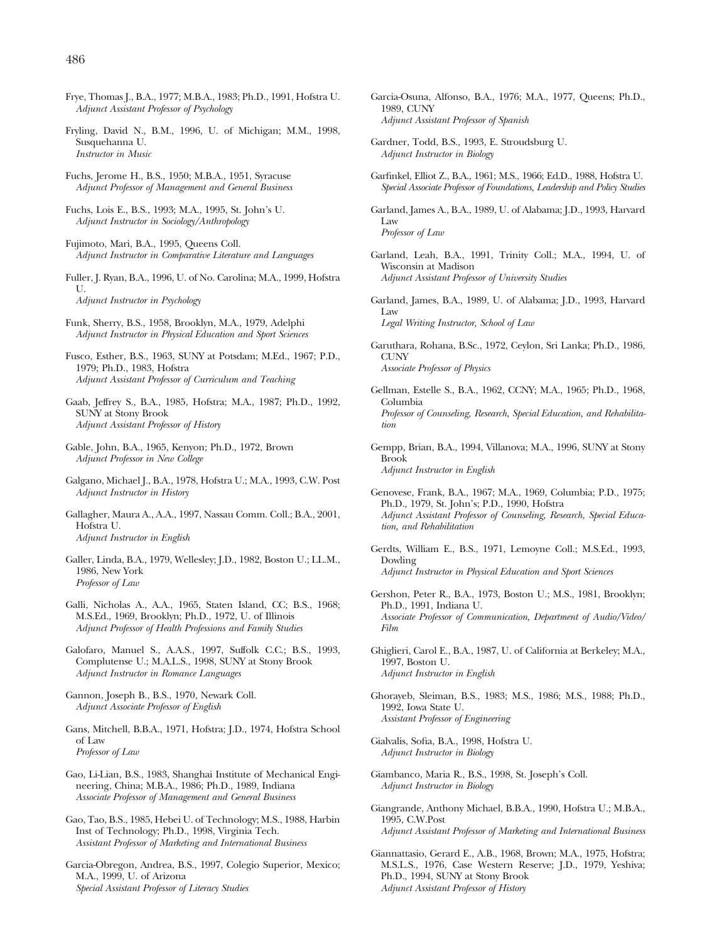- Frye, Thomas J., B.A., 1977; M.B.A., 1983; Ph.D., 1991, Hofstra U. *Adjunct Assistant Professor of Psychology*
- Fryling, David N., B.M., 1996, U. of Michigan; M.M., 1998, Susquehanna U. *Instructor in Music*
- Fuchs, Jerome H., B.S., 1950; M.B.A., 1951, Syracuse *Adjunct Professor of Management and General Business*
- Fuchs, Lois E., B.S., 1993; M.A., 1995, St. John's U. *Adjunct Instructor in Sociology/Anthropology*
- Fujimoto, Mari, B.A., 1995, Queens Coll. *Adjunct Instructor in Comparative Literature and Languages*
- Fuller, J. Ryan, B.A., 1996, U. of No. Carolina; M.A., 1999, Hofstra U. *Adjunct Instructor in Psychology*
- Funk, Sherry, B.S., 1958, Brooklyn, M.A., 1979, Adelphi *Adjunct Instructor in Physical Education and Sport Sciences*
- Fusco, Esther, B.S., 1963, SUNY at Potsdam; M.Ed., 1967; P.D., 1979; Ph.D., 1983, Hofstra *Adjunct Assistant Professor of Curriculum and Teaching*
- Gaab, Jeffrey S., B.A., 1985, Hofstra; M.A., 1987; Ph.D., 1992, SUNY at Stony Brook *Adjunct Assistant Professor of History*
- Gable, John, B.A., 1965, Kenyon; Ph.D., 1972, Brown *Adjunct Professor in New College*
- Galgano, Michael J., B.A., 1978, Hofstra U.; M.A., 1993, C.W. Post *Adjunct Instructor in History*
- Gallagher, Maura A., A.A., 1997, Nassau Comm. Coll.; B.A., 2001, Hofstra U. *Adjunct Instructor in English*
- Galler, Linda, B.A., 1979, Wellesley; J.D., 1982, Boston U.; LL.M., 1986, New York *Professor of Law*
- Galli, Nicholas A., A.A., 1965, Staten Island, CC; B.S., 1968; M.S.Ed., 1969, Brooklyn; Ph.D., 1972, U. of Illinois *Adjunct Professor of Health Professions and Family Studies*
- Galofaro, Manuel S., A.A.S., 1997, Suffolk C.C.; B.S., 1993, Complutense U.; M.A.L.S., 1998, SUNY at Stony Brook *Adjunct Instructor in Romance Languages*
- Gannon, Joseph B., B.S., 1970, Newark Coll. *Adjunct Associate Professor of English*
- Gans, Mitchell, B.B.A., 1971, Hofstra; J.D., 1974, Hofstra School of Law *Professor of Law*
- Gao, Li-Lian, B.S., 1983, Shanghai Institute of Mechanical Engineering, China; M.B.A., 1986; Ph.D., 1989, Indiana *Associate Professor of Management and General Business*
- Gao, Tao, B.S., 1985, Hebei U. of Technology; M.S., 1988, Harbin Inst of Technology; Ph.D., 1998, Virginia Tech. *Assistant Professor of Marketing and International Business*
- Garcia-Obregon, Andrea, B.S., 1997, Colegio Superior, Mexico; M.A., 1999, U. of Arizona *Special Assistant Professor of Literacy Studies*
- Garcia-Osuna, Alfonso, B.A., 1976; M.A., 1977, Queens; Ph.D., 1989, CUNY *Adjunct Assistant Professor of Spanish*
- Gardner, Todd, B.S., 1993, E. Stroudsburg U. *Adjunct Instructor in Biology*
- Garfinkel, Elliot Z., B.A., 1961; M.S., 1966; Ed.D., 1988, Hofstra U. *Special Associate Professor of Foundations, Leadership and Policy Studies*
- Garland, James A., B.A., 1989, U. of Alabama; J.D., 1993, Harvard Law *Professor of Law*
- Garland, Leah, B.A., 1991, Trinity Coll.; M.A., 1994, U. of Wisconsin at Madison *Adjunct Assistant Professor of University Studies*
- Garland, James, B.A., 1989, U. of Alabama; J.D., 1993, Harvard Law *Legal Writing Instructor, School of Law*
- Garuthara, Rohana, B.Sc., 1972, Ceylon, Sri Lanka; Ph.D., 1986, CUNY *Associate Professor of Physics*
- Gellman, Estelle S., B.A., 1962, CCNY; M.A., 1965; Ph.D., 1968, Columbia *Professor of Counseling, Research, Special Education, and Rehabilitation*
- Gempp, Brian, B.A., 1994, Villanova; M.A., 1996, SUNY at Stony Brook *Adjunct Instructor in English*
- Genovese, Frank, B.A., 1967; M.A., 1969, Columbia; P.D., 1975; Ph.D., 1979, St. John's; P.D., 1990, Hofstra *Adjunct Assistant Professor of Counseling, Research, Special Education, and Rehabilitation*
- Gerdts, William E., B.S., 1971, Lemoyne Coll.; M.S.Ed., 1993, Dowling *Adjunct Instructor in Physical Education and Sport Sciences*
- Gershon, Peter R., B.A., 1973, Boston U.; M.S., 1981, Brooklyn; Ph.D., 1991, Indiana U. *Associate Professor of Communication, Department of Audio/Video/ Film*
- Ghiglieri, Carol E., B.A., 1987, U. of California at Berkeley; M.A., 1997, Boston U. *Adjunct Instructor in English*
- Ghorayeb, Sleiman, B.S., 1983; M.S., 1986; M.S., 1988; Ph.D., 1992, Iowa State U. *Assistant Professor of Engineering*
- Gialvalis, Sofia, B.A., 1998, Hofstra U. *Adjunct Instructor in Biology*
- Giambanco, Maria R., B.S., 1998, St. Joseph's Coll. *Adjunct Instructor in Biology*
- Giangrande, Anthony Michael, B.B.A., 1990, Hofstra U.; M.B.A., 1995, C.W.Post *Adjunct Assistant Professor of Marketing and International Business*
- Giannattasio, Gerard E., A.B., 1968, Brown; M.A., 1975, Hofstra; M.S.L.S., 1976, Case Western Reserve; J.D., 1979, Yeshiva; Ph.D., 1994, SUNY at Stony Brook *Adjunct Assistant Professor of History*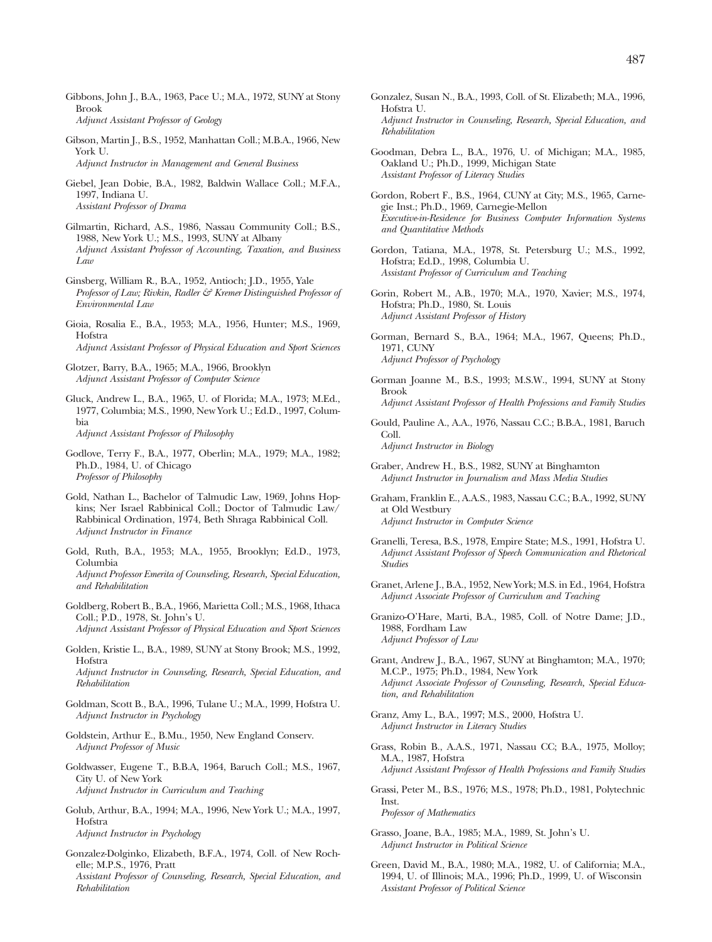- Gibbons, John J., B.A., 1963, Pace U.; M.A., 1972, SUNY at Stony Brook *Adjunct Assistant Professor of Geology*
- Gibson, Martin J., B.S., 1952, Manhattan Coll.; M.B.A., 1966, New York U. *Adjunct Instructor in Management and General Business*
- Giebel, Jean Dobie, B.A., 1982, Baldwin Wallace Coll.; M.F.A., 1997, Indiana U. *Assistant Professor of Drama*
- Gilmartin, Richard, A.S., 1986, Nassau Community Coll.; B.S., 1988, New York U.; M.S., 1993, SUNY at Albany *Adjunct Assistant Professor of Accounting, Taxation, and Business Law*
- Ginsberg, William R., B.A., 1952, Antioch; J.D., 1955, Yale *Professor of Law; Rivkin, Radler & Kremer Distinguished Professor of Environmental Law*
- Gioia, Rosalia E., B.A., 1953; M.A., 1956, Hunter; M.S., 1969, Hofstra *Adjunct Assistant Professor of Physical Education and Sport Sciences*
- Glotzer, Barry, B.A., 1965; M.A., 1966, Brooklyn *Adjunct Assistant Professor of Computer Science*

Gluck, Andrew L., B.A., 1965, U. of Florida; M.A., 1973; M.Ed., 1977, Columbia; M.S., 1990, New York U.; Ed.D., 1997, Columbia *Adjunct Assistant Professor of Philosophy*

Godlove, Terry F., B.A., 1977, Oberlin; M.A., 1979; M.A., 1982; Ph.D., 1984, U. of Chicago *Professor of Philosophy*

- Gold, Nathan L., Bachelor of Talmudic Law, 1969, Johns Hopkins; Ner Israel Rabbinical Coll.; Doctor of Talmudic Law/ Rabbinical Ordination, 1974, Beth Shraga Rabbinical Coll. *Adjunct Instructor in Finance*
- Gold, Ruth, B.A., 1953; M.A., 1955, Brooklyn; Ed.D., 1973, Columbia *Adjunct Professor Emerita of Counseling, Research, Special Education, and Rehabilitation*
- Goldberg, Robert B., B.A., 1966, Marietta Coll.; M.S., 1968, Ithaca Coll.; P.D., 1978, St. John's U.
- *Adjunct Assistant Professor of Physical Education and Sport Sciences*
- Golden, Kristie L., B.A., 1989, SUNY at Stony Brook; M.S., 1992, **Hofstra** *Adjunct Instructor in Counseling, Research, Special Education, and*

*Rehabilitation*

- Goldman, Scott B., B.A., 1996, Tulane U.; M.A., 1999, Hofstra U. *Adjunct Instructor in Psychology*
- Goldstein, Arthur E., B.Mu., 1950, New England Conserv. *Adjunct Professor of Music*
- Goldwasser, Eugene T., B.B.A, 1964, Baruch Coll.; M.S., 1967, City U. of New York *Adjunct Instructor in Curriculum and Teaching*
- Golub, Arthur, B.A., 1994; M.A., 1996, New York U.; M.A., 1997, Hofstra *Adjunct Instructor in Psychology*
- Gonzalez-Dolginko, Elizabeth, B.F.A., 1974, Coll. of New Rochelle; M.P.S., 1976, Pratt *Assistant Professor of Counseling, Research, Special Education, and Rehabilitation*
- Gonzalez, Susan N., B.A., 1993, Coll. of St. Elizabeth; M.A., 1996, Hofstra U. *Adjunct Instructor in Counseling, Research, Special Education, and Rehabilitation*
- Goodman, Debra L., B.A., 1976, U. of Michigan; M.A., 1985, Oakland U.; Ph.D., 1999, Michigan State *Assistant Professor of Literacy Studies*

Gordon, Robert F., B.S., 1964, CUNY at City; M.S., 1965, Carnegie Inst.; Ph.D., 1969, Carnegie-Mellon *Executive-in-Residence for Business Computer Information Systems and Quantitative Methods*

- Gordon, Tatiana, M.A., 1978, St. Petersburg U.; M.S., 1992, Hofstra; Ed.D., 1998, Columbia U. *Assistant Professor of Curriculum and Teaching*
- Gorin, Robert M., A.B., 1970; M.A., 1970, Xavier; M.S., 1974, Hofstra; Ph.D., 1980, St. Louis *Adjunct Assistant Professor of History*
- Gorman, Bernard S., B.A., 1964; M.A., 1967, Queens; Ph.D., 1971, CUNY *Adjunct Professor of Psychology*
- Gorman Joanne M., B.S., 1993; M.S.W., 1994, SUNY at Stony Brook *Adjunct Assistant Professor of Health Professions and Family Studies*
- Gould, Pauline A., A.A., 1976, Nassau C.C.; B.B.A., 1981, Baruch Coll.

*Adjunct Instructor in Biology*

- Graber, Andrew H., B.S., 1982, SUNY at Binghamton *Adjunct Instructor in Journalism and Mass Media Studies*
- Graham, Franklin E., A.A.S., 1983, Nassau C.C.; B.A., 1992, SUNY at Old Westbury *Adjunct Instructor in Computer Science*
- Granelli, Teresa, B.S., 1978, Empire State; M.S., 1991, Hofstra U. *Adjunct Assistant Professor of Speech Communication and Rhetorical Studies*
- Granet, Arlene J., B.A., 1952, New York; M.S. in Ed., 1964, Hofstra *Adjunct Associate Professor of Curriculum and Teaching*
- Granizo-O'Hare, Marti, B.A., 1985, Coll. of Notre Dame; J.D., 1988, Fordham Law *Adjunct Professor of Law*
- Grant, Andrew J., B.A., 1967, SUNY at Binghamton; M.A., 1970; M.C.P., 1975; Ph.D., 1984, New York *Adjunct Associate Professor of Counseling, Research, Special Education, and Rehabilitation*
- Granz, Amy L., B.A., 1997; M.S., 2000, Hofstra U. *Adjunct Instructor in Literacy Studies*
- Grass, Robin B., A.A.S., 1971, Nassau CC; B.A., 1975, Molloy; M.A., 1987, Hofstra *Adjunct Assistant Professor of Health Professions and Family Studies*
- Grassi, Peter M., B.S., 1976; M.S., 1978; Ph.D., 1981, Polytechnic Inst. *Professor of Mathematics*
- Grasso, Joane, B.A., 1985; M.A., 1989, St. John's U. *Adjunct Instructor in Political Science*
- Green, David M., B.A., 1980; M.A., 1982, U. of California; M.A., 1994, U. of Illinois; M.A., 1996; Ph.D., 1999, U. of Wisconsin *Assistant Professor of Political Science*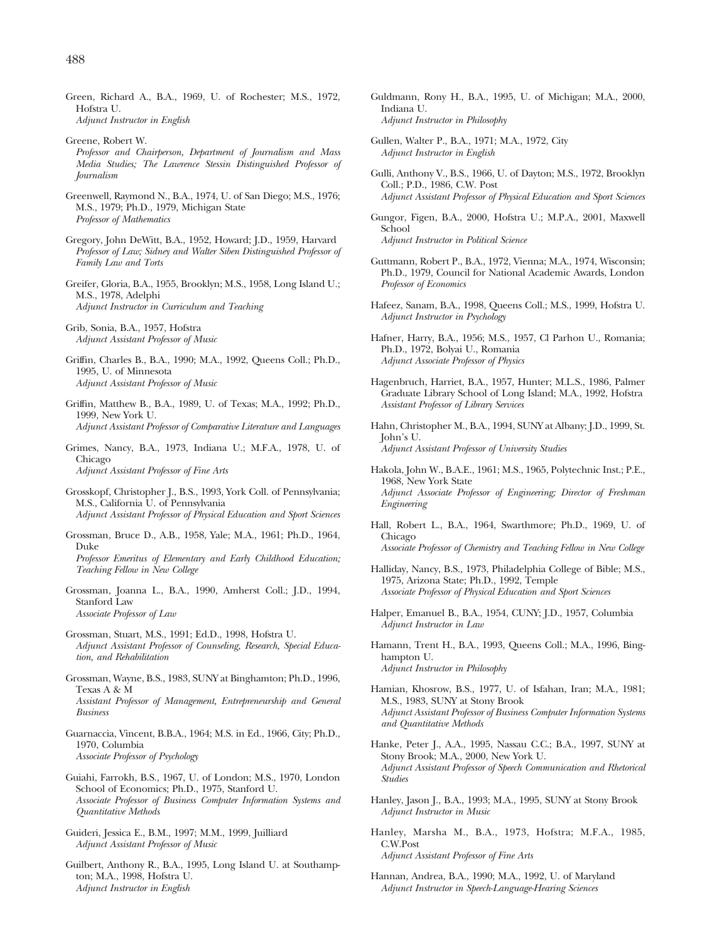- Greene, Robert W. *Professor and Chairperson, Department of Journalism and Mass Media Studies; The Lawrence Stessin Distinguished Professor of Journalism*
- Greenwell, Raymond N., B.A., 1974, U. of San Diego; M.S., 1976; M.S., 1979; Ph.D., 1979, Michigan State *Professor of Mathematics*
- Gregory, John DeWitt, B.A., 1952, Howard; J.D., 1959, Harvard *Professor of Law; Sidney and Walter Siben Distinguished Professor of Family Law and Torts*
- Greifer, Gloria, B.A., 1955, Brooklyn; M.S., 1958, Long Island U.; M.S., 1978, Adelphi *Adjunct Instructor in Curriculum and Teaching*

Grib, Sonia, B.A., 1957, Hofstra *Adjunct Assistant Professor of Music*

- Griffin, Charles B., B.A., 1990; M.A., 1992, Queens Coll.; Ph.D., 1995, U. of Minnesota *Adjunct Assistant Professor of Music*
- Griffin, Matthew B., B.A., 1989, U. of Texas; M.A., 1992; Ph.D., 1999, New York U. *Adjunct Assistant Professor of Comparative Literature and Languages*
- Grimes, Nancy, B.A., 1973, Indiana U.; M.F.A., 1978, U. of Chicago

*Adjunct Assistant Professor of Fine Arts*

- Grosskopf, Christopher J., B.S., 1993, York Coll. of Pennsylvania; M.S., California U. of Pennsylvania *Adjunct Assistant Professor of Physical Education and Sport Sciences*
- Grossman, Bruce D., A.B., 1958, Yale; M.A., 1961; Ph.D., 1964, Duke

*Professor Emeritus of Elementary and Early Childhood Education; Teaching Fellow in New College*

- Grossman, Joanna L., B.A., 1990, Amherst Coll.; J.D., 1994, Stanford Law *Associate Professor of Law*
- Grossman, Stuart, M.S., 1991; Ed.D., 1998, Hofstra U. *Adjunct Assistant Professor of Counseling, Research, Special Education, and Rehabilitation*
- Grossman, Wayne, B.S., 1983, SUNY at Binghamton; Ph.D., 1996, Texas A & M

*Assistant Professor of Management, Entrepreneurship and General Business*

Guarnaccia, Vincent, B.B.A., 1964; M.S. in Ed., 1966, City; Ph.D., 1970, Columbia *Associate Professor of Psychology*

Guiahi, Farrokh, B.S., 1967, U. of London; M.S., 1970, London School of Economics; Ph.D., 1975, Stanford U. *Associate Professor of Business Computer Information Systems and Quantitative Methods*

Guideri, Jessica E., B.M., 1997; M.M., 1999, Juilliard *Adjunct Assistant Professor of Music*

Guilbert, Anthony R., B.A., 1995, Long Island U. at Southampton; M.A., 1998, Hofstra U. *Adjunct Instructor in English*

- Guldmann, Rony H., B.A., 1995, U. of Michigan; M.A., 2000, Indiana U. *Adjunct Instructor in Philosophy*
- Gullen, Walter P., B.A., 1971; M.A., 1972, City *Adjunct Instructor in English*
- Gulli, Anthony V., B.S., 1966, U. of Dayton; M.S., 1972, Brooklyn Coll.; P.D., 1986, C.W. Post *Adjunct Assistant Professor of Physical Education and Sport Sciences*
- Gungor, Figen, B.A., 2000, Hofstra U.; M.P.A., 2001, Maxwell School *Adjunct Instructor in Political Science*

- Guttmann, Robert P., B.A., 1972, Vienna; M.A., 1974, Wisconsin; Ph.D., 1979, Council for National Academic Awards, London *Professor of Economics*
- Hafeez, Sanam, B.A., 1998, Queens Coll.; M.S., 1999, Hofstra U. *Adjunct Instructor in Psychology*
- Hafner, Harry, B.A., 1956; M.S., 1957, Cl Parhon U., Romania; Ph.D., 1972, Bolyai U., Romania *Adjunct Associate Professor of Physics*
- Hagenbruch, Harriet, B.A., 1957, Hunter; M.L.S., 1986, Palmer Graduate Library School of Long Island; M.A., 1992, Hofstra *Assistant Professor of Library Services*
- Hahn, Christopher M., B.A., 1994, SUNY at Albany; J.D., 1999, St. John's U. *Adjunct Assistant Professor of University Studies*
- Hakola, John W., B.A.E., 1961; M.S., 1965, Polytechnic Inst.; P.E., 1968, New York State *Adjunct Associate Professor of Engineering; Director of Freshman Engineering*
- Hall, Robert L., B.A., 1964, Swarthmore; Ph.D., 1969, U. of Chicago *Associate Professor of Chemistry and Teaching Fellow in New College*
- Halliday, Nancy, B.S., 1973, Philadelphia College of Bible; M.S., 1975, Arizona State; Ph.D., 1992, Temple *Associate Professor of Physical Education and Sport Sciences*
- Halper, Emanuel B., B.A., 1954, CUNY; J.D., 1957, Columbia *Adjunct Instructor in Law*
- Hamann, Trent H., B.A., 1993, Queens Coll.; M.A., 1996, Binghampton U. *Adjunct Instructor in Philosophy*
- Hamian, Khosrow, B.S., 1977, U. of Isfahan, Iran; M.A., 1981; M.S., 1983, SUNY at Stony Brook *Adjunct Assistant Professor of Business Computer Information Systems and Quantitative Methods*
- Hanke, Peter J., A.A., 1995, Nassau C.C.; B.A., 1997, SUNY at Stony Brook; M.A., 2000, New York U. *Adjunct Assistant Professor of Speech Communication and Rhetorical Studies*
- Hanley, Jason J., B.A., 1993; M.A., 1995, SUNY at Stony Brook *Adjunct Instructor in Music*
- Hanley, Marsha M., B.A., 1973, Hofstra; M.F.A., 1985, C.W.Post *Adjunct Assistant Professor of Fine Arts*
- Hannan, Andrea, B.A., 1990; M.A., 1992, U. of Maryland *Adjunct Instructor in Speech-Language-Hearing Sciences*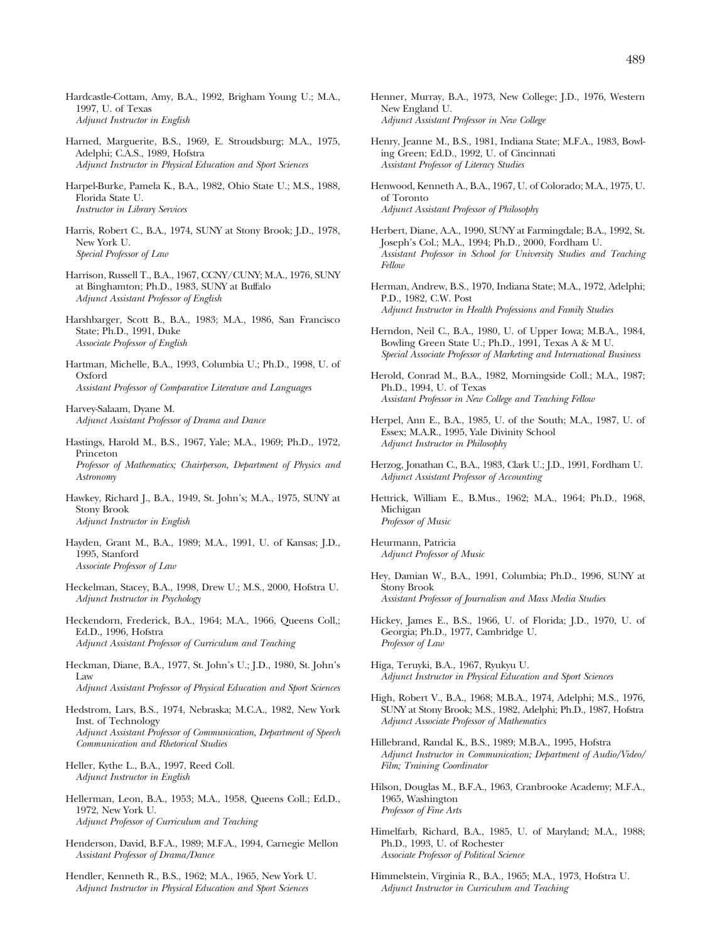- Hardcastle-Cottam, Amy, B.A., 1992, Brigham Young U.; M.A., 1997, U. of Texas *Adjunct Instructor in English*
- Harned, Marguerite, B.S., 1969, E. Stroudsburg; M.A., 1975, Adelphi; C.A.S., 1989, Hofstra *Adjunct Instructor in Physical Education and Sport Sciences*
- Harpel-Burke, Pamela K., B.A., 1982, Ohio State U.; M.S., 1988, Florida State U. *Instructor in Library Services*
- Harris, Robert C., B.A., 1974, SUNY at Stony Brook; J.D., 1978, New York U. *Special Professor of Law*
- Harrison, Russell T., B.A., 1967, CCNY/CUNY; M.A., 1976, SUNY at Binghamton; Ph.D., 1983, SUNY at Buffalo *Adjunct Assistant Professor of English*
- Harshbarger, Scott B., B.A., 1983; M.A., 1986, San Francisco State; Ph.D., 1991, Duke *Associate Professor of English*
- Hartman, Michelle, B.A., 1993, Columbia U.; Ph.D., 1998, U. of Oxford *Assistant Professor of Comparative Literature and Languages*

Harvey-Salaam, Dyane M. *Adjunct Assistant Professor of Drama and Dance*

- Hastings, Harold M., B.S., 1967, Yale; M.A., 1969; Ph.D., 1972, Princeton *Professor of Mathematics; Chairperson, Department of Physics and Astronomy*
- Hawkey, Richard J., B.A., 1949, St. John's; M.A., 1975, SUNY at Stony Brook *Adjunct Instructor in English*
- Hayden, Grant M., B.A., 1989; M.A., 1991, U. of Kansas; J.D., 1995, Stanford *Associate Professor of Law*
- Heckelman, Stacey, B.A., 1998, Drew U.; M.S., 2000, Hofstra U. *Adjunct Instructor in Psychology*
- Heckendorn, Frederick, B.A., 1964; M.A., 1966, Queens Coll,; Ed.D., 1996, Hofstra *Adjunct Assistant Professor of Curriculum and Teaching*
- Heckman, Diane, B.A., 1977, St. John's U.; J.D., 1980, St. John's Law

*Adjunct Assistant Professor of Physical Education and Sport Sciences*

- Hedstrom, Lars, B.S., 1974, Nebraska; M.C.A., 1982, New York Inst. of Technology *Adjunct Assistant Professor of Communication, Department of Speech Communication and Rhetorical Studies*
- Heller, Kythe L., B.A., 1997, Reed Coll. *Adjunct Instructor in English*
- Hellerman, Leon, B.A., 1953; M.A., 1958, Queens Coll.; Ed.D., 1972, New York U. *Adjunct Professor of Curriculum and Teaching*
- Henderson, David, B.F.A., 1989; M.F.A., 1994, Carnegie Mellon *Assistant Professor of Drama/Dance*

Hendler, Kenneth R., B.S., 1962; M.A., 1965, New York U. *Adjunct Instructor in Physical Education and Sport Sciences*

- Henner, Murray, B.A., 1973, New College; J.D., 1976, Western New England U. *Adjunct Assistant Professor in New College*
- Henry, Jeanne M., B.S., 1981, Indiana State; M.F.A., 1983, Bowling Green; Ed.D., 1992, U. of Cincinnati *Assistant Professor of Literacy Studies*
- Henwood, Kenneth A., B.A., 1967, U. of Colorado; M.A., 1975, U. of Toronto *Adjunct Assistant Professor of Philosophy*
- Herbert, Diane, A.A., 1990, SUNY at Farmingdale; B.A., 1992, St. Joseph's Col.; M.A., 1994; Ph.D., 2000, Fordham U. *Assistant Professor in School for University Studies and Teaching Fellow*
- Herman, Andrew, B.S., 1970, Indiana State; M.A., 1972, Adelphi; P.D., 1982, C.W. Post *Adjunct Instructor in Health Professions and Family Studies*
- Herndon, Neil C., B.A., 1980, U. of Upper Iowa; M.B.A., 1984, Bowling Green State U.; Ph.D., 1991, Texas A & M U. *Special Associate Professor of Marketing and International Business*

Herold, Conrad M., B.A., 1982, Morningside Coll.; M.A., 1987; Ph.D., 1994, U. of Texas *Assistant Professor in New College and Teaching Fellow*

- Herpel, Ann E., B.A., 1985, U. of the South; M.A., 1987, U. of Essex; M.A.R., 1995, Yale Divinity School *Adjunct Instructor in Philosophy*
- Herzog, Jonathan C., B.A., 1983, Clark U.; J.D., 1991, Fordham U. *Adjunct Assistant Professor of Accounting*
- Hettrick, William E., B.Mus., 1962; M.A., 1964; Ph.D., 1968, Michigan *Professor of Music*

Heurmann, Patricia *Adjunct Professor of Music*

- Hey, Damian W., B.A., 1991, Columbia; Ph.D., 1996, SUNY at Stony Brook *Assistant Professor of Journalism and Mass Media Studies*
- Hickey, James E., B.S., 1966, U. of Florida; J.D., 1970, U. of Georgia; Ph.D., 1977, Cambridge U. *Professor of Law*
- Higa, Teruyki, B.A., 1967, Ryukyu U. *Adjunct Instructor in Physical Education and Sport Sciences*
- High, Robert V., B.A., 1968; M.B.A., 1974, Adelphi; M.S., 1976, SUNY at Stony Brook; M.S., 1982, Adelphi; Ph.D., 1987, Hofstra *Adjunct Associate Professor of Mathematics*
- Hillebrand, Randal K., B.S., 1989; M.B.A., 1995, Hofstra *Adjunct Instructor in Communication; Department of Audio/Video/ Film; Training Coordinator*
- Hilson, Douglas M., B.F.A., 1963, Cranbrooke Academy; M.F.A., 1965, Washington *Professor of Fine Arts*
- Himelfarb, Richard, B.A., 1985, U. of Maryland; M.A., 1988; Ph.D., 1993, U. of Rochester *Associate Professor of Political Science*
- Himmelstein, Virginia R., B.A., 1965; M.A., 1973, Hofstra U. *Adjunct Instructor in Curriculum and Teaching*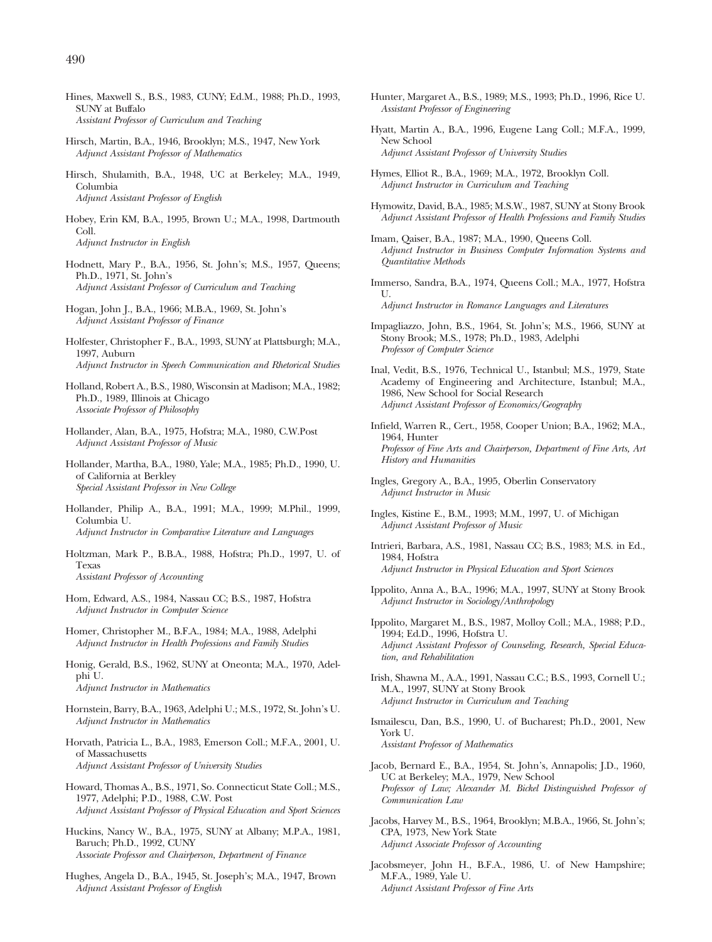- Hines, Maxwell S., B.S., 1983, CUNY; Ed.M., 1988; Ph.D., 1993, SUNY at Buffalo *Assistant Professor of Curriculum and Teaching*
- Hirsch, Martin, B.A., 1946, Brooklyn; M.S., 1947, New York *Adjunct Assistant Professor of Mathematics*
- Hirsch, Shulamith, B.A., 1948, UC at Berkeley; M.A., 1949, Columbia *Adjunct Assistant Professor of English*
- Hobey, Erin KM, B.A., 1995, Brown U.; M.A., 1998, Dartmouth Coll. *Adjunct Instructor in English*
- Hodnett, Mary P., B.A., 1956, St. John's; M.S., 1957, Queens; Ph.D., 1971, St. John's *Adjunct Assistant Professor of Curriculum and Teaching*
- Hogan, John J., B.A., 1966; M.B.A., 1969, St. John's *Adjunct Assistant Professor of Finance*
- Holfester, Christopher F., B.A., 1993, SUNY at Plattsburgh; M.A., 1997, Auburn *Adjunct Instructor in Speech Communication and Rhetorical Studies*
- Holland, Robert A., B.S., 1980, Wisconsin at Madison; M.A., 1982; Ph.D., 1989, Illinois at Chicago *Associate Professor of Philosophy*
- Hollander, Alan, B.A., 1975, Hofstra; M.A., 1980, C.W.Post *Adjunct Assistant Professor of Music*
- Hollander, Martha, B.A., 1980, Yale; M.A., 1985; Ph.D., 1990, U. of California at Berkley *Special Assistant Professor in New College*
- Hollander, Philip A., B.A., 1991; M.A., 1999; M.Phil., 1999, Columbia U. *Adjunct Instructor in Comparative Literature and Languages*
- Holtzman, Mark P., B.B.A., 1988, Hofstra; Ph.D., 1997, U. of Texas *Assistant Professor of Accounting*
- Hom, Edward, A.S., 1984, Nassau CC; B.S., 1987, Hofstra *Adjunct Instructor in Computer Science*
- Homer, Christopher M., B.F.A., 1984; M.A., 1988, Adelphi *Adjunct Instructor in Health Professions and Family Studies*
- Honig, Gerald, B.S., 1962, SUNY at Oneonta; M.A., 1970, Adelphi U. *Adjunct Instructor in Mathematics*
- Hornstein, Barry, B.A., 1963, Adelphi U.; M.S., 1972, St. John's U. *Adjunct Instructor in Mathematics*
- Horvath, Patricia L., B.A., 1983, Emerson Coll.; M.F.A., 2001, U. of Massachusetts *Adjunct Assistant Professor of University Studies*
- Howard, Thomas A., B.S., 1971, So. Connecticut State Coll.; M.S., 1977, Adelphi; P.D., 1988, C.W. Post *Adjunct Assistant Professor of Physical Education and Sport Sciences*
- Huckins, Nancy W., B.A., 1975, SUNY at Albany; M.P.A., 1981, Baruch; Ph.D., 1992, CUNY *Associate Professor and Chairperson, Department of Finance*
- Hughes, Angela D., B.A., 1945, St. Joseph's; M.A., 1947, Brown *Adjunct Assistant Professor of English*
- Hunter, Margaret A., B.S., 1989; M.S., 1993; Ph.D., 1996, Rice U. *Assistant Professor of Engineering*
- Hyatt, Martin A., B.A., 1996, Eugene Lang Coll.; M.F.A., 1999, New School *Adjunct Assistant Professor of University Studies*
- Hymes, Elliot R., B.A., 1969; M.A., 1972, Brooklyn Coll. *Adjunct Instructor in Curriculum and Teaching*
- Hymowitz, David, B.A., 1985; M.S.W., 1987, SUNY at Stony Brook *Adjunct Assistant Professor of Health Professions and Family Studies*
- Imam, Qaiser, B.A., 1987; M.A., 1990, Queens Coll. *Adjunct Instructor in Business Computer Information Systems and Quantitative Methods*
- Immerso, Sandra, B.A., 1974, Queens Coll.; M.A., 1977, Hofstra U. *Adjunct Instructor in Romance Languages and Literatures*
- Impagliazzo, John, B.S., 1964, St. John's; M.S., 1966, SUNY at Stony Brook; M.S., 1978; Ph.D., 1983, Adelphi *Professor of Computer Science*
- Inal, Vedit, B.S., 1976, Technical U., Istanbul; M.S., 1979, State Academy of Engineering and Architecture, Istanbul; M.A., 1986, New School for Social Research *Adjunct Assistant Professor of Economics/Geography*
- Infield, Warren R., Cert., 1958, Cooper Union; B.A., 1962; M.A., 1964, Hunter *Professor of Fine Arts and Chairperson, Department of Fine Arts, Art History and Humanities*
- Ingles, Gregory A., B.A., 1995, Oberlin Conservatory *Adjunct Instructor in Music*
- Ingles, Kistine E., B.M., 1993; M.M., 1997, U. of Michigan *Adjunct Assistant Professor of Music*
- Intrieri, Barbara, A.S., 1981, Nassau CC; B.S., 1983; M.S. in Ed., 1984, Hofstra *Adjunct Instructor in Physical Education and Sport Sciences*
- Ippolito, Anna A., B.A., 1996; M.A., 1997, SUNY at Stony Brook *Adjunct Instructor in Sociology/Anthropology*
- Ippolito, Margaret M., B.S., 1987, Molloy Coll.; M.A., 1988; P.D., 1994; Ed.D., 1996, Hofstra U. *Adjunct Assistant Professor of Counseling, Research, Special Education, and Rehabilitation*
- Irish, Shawna M., A.A., 1991, Nassau C.C.; B.S., 1993, Cornell U.; M.A., 1997, SUNY at Stony Brook *Adjunct Instructor in Curriculum and Teaching*
- Ismailescu, Dan, B.S., 1990, U. of Bucharest; Ph.D., 2001, New York U. *Assistant Professor of Mathematics*
- Jacob, Bernard E., B.A., 1954, St. John's, Annapolis; J.D., 1960, UC at Berkeley; M.A., 1979, New School *Professor of Law; Alexander M. Bickel Distinguished Professor of Communication Law*
- Jacobs, Harvey M., B.S., 1964, Brooklyn; M.B.A., 1966, St. John's; CPA, 1973, New York State *Adjunct Associate Professor of Accounting*
- Jacobsmeyer, John H., B.F.A., 1986, U. of New Hampshire; M.F.A., 1989, Yale U. *Adjunct Assistant Professor of Fine Arts*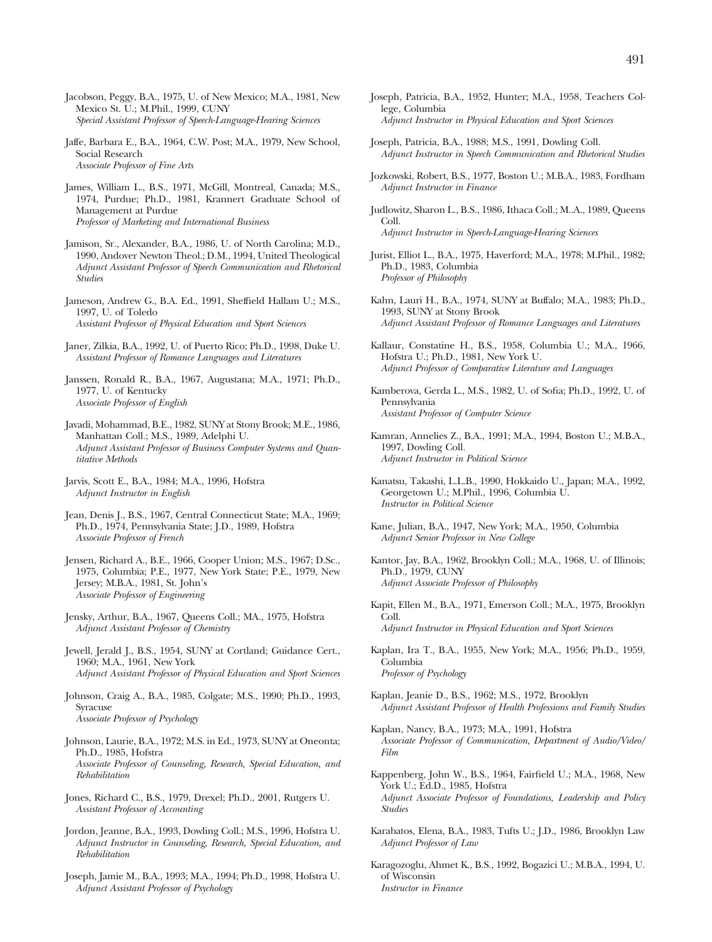- Jacobson, Peggy, B.A., 1975, U. of New Mexico; M.A., 1981, New Mexico St. U.; M.Phil., 1999, CUNY *Special Assistant Professor of Speech-Language-Hearing Sciences*
- Jaffe, Barbara E., B.A., 1964, C.W. Post; M.A., 1979, New School, Social Research *Associate Professor of Fine Arts*
- James, William L., B.S., 1971, McGill, Montreal, Canada; M.S., 1974, Purdue; Ph.D., 1981, Krannert Graduate School of Management at Purdue *Professor of Marketing and International Business*
- Jamison, Sr., Alexander, B.A., 1986, U. of North Carolina; M.D., 1990, Andover Newton Theol.; D.M., 1994, United Theological *Adjunct Assistant Professor of Speech Communication and Rhetorical Studies*
- Jameson, Andrew G., B.A. Ed., 1991, Sheffield Hallam U.; M.S., 1997, U. of Toledo *Assistant Professor of Physical Education and Sport Sciences*
- Janer, Zilkia, B.A., 1992, U. of Puerto Rico; Ph.D., 1998, Duke U. *Assistant Professor of Romance Languages and Literatures*
- Janssen, Ronald R., B.A., 1967, Augustana; M.A., 1971; Ph.D., 1977, U. of Kentucky *Associate Professor of English*
- Javadi, Mohammad, B.E., 1982, SUNY at Stony Brook; M.E., 1986, Manhattan Coll.; M.S., 1989, Adelphi U. *Adjunct Assistant Professor of Business Computer Systems and Quantitative Methods*
- Jarvis, Scott E., B.A., 1984; M.A., 1996, Hofstra *Adjunct Instructor in English*
- Jean, Denis J., B.S., 1967, Central Connecticut State; M.A., 1969; Ph.D., 1974, Pennsylvania State; J.D., 1989, Hofstra *Associate Professor of French*
- Jensen, Richard A., B.E., 1966, Cooper Union; M.S., 1967; D.Sc., 1975, Columbia; P.E., 1977, New York State; P.E., 1979, New Jersey; M.B.A., 1981, St. John's *Associate Professor of Engineering*
- Jensky, Arthur, B.A., 1967, Queens Coll.; MA., 1975, Hofstra *Adjunct Assistant Professor of Chemistry*
- Jewell, Jerald J., B.S., 1954, SUNY at Cortland; Guidance Cert., 1960; M.A., 1961, New York *Adjunct Assistant Professor of Physical Education and Sport Sciences*
- Johnson, Craig A., B.A., 1985, Colgate; M.S., 1990; Ph.D., 1993, Syracuse *Associate Professor of Psychology*
- Johnson, Laurie, B.A., 1972; M.S. in Ed., 1973, SUNY at Oneonta; Ph.D., 1985, Hofstra *Associate Professor of Counseling, Research, Special Education, and Rehabilitation*
- Jones, Richard C., B.S., 1979, Drexel; Ph.D., 2001, Rutgers U. *Assistant Professor of Accounting*
- Jordon, Jeanne, B.A., 1993, Dowling Coll.; M.S., 1996, Hofstra U. *Adjunct Instructor in Counseling, Research, Special Education, and Rehabilitation*
- Joseph, Jamie M., B.A., 1993; M.A., 1994; Ph.D., 1998, Hofstra U. *Adjunct Assistant Professor of Psychology*
- Joseph, Patricia, B.A., 1952, Hunter; M.A., 1958, Teachers College, Columbia *Adjunct Instructor in Physical Education and Sport Sciences*
- Joseph, Patricia, B.A., 1988; M.S., 1991, Dowling Coll. *Adjunct Instructor in Speech Communication and Rhetorical Studies*
- Jozkowski, Robert, B.S., 1977, Boston U.; M.B.A., 1983, Fordham *Adjunct Instructor in Finance*
- Judlowitz, Sharon L., B.S., 1986, Ithaca Coll.; M..A., 1989, Queens Coll. *Adjunct Instructor in Speech-Language-Hearing Sciences*
- Jurist, Elliot L., B.A., 1975, Haverford; M.A., 1978; M.Phil., 1982; Ph.D., 1983, Columbia *Professor of Philosophy*
- Kahn, Lauri H., B.A., 1974, SUNY at Buffalo; M.A., 1983; Ph.D., 1993, SUNY at Stony Brook *Adjunct Assistant Professor of Romance Languages and Literatures*
- Kallaur, Constatine H., B.S., 1958, Columbia U.; M.A., 1966, Hofstra U.; Ph.D., 1981, New York U. *Adjunct Professor of Comparative Literature and Languages*
- Kamberova, Gerda L., M.S., 1982, U. of Sofia; Ph.D., 1992, U. of Pennsylvania *Assistant Professor of Computer Science*
- Kamran, Annelies Z., B.A., 1991; M.A., 1994, Boston U.; M.B.A., 1997, Dowling Coll. *Adjunct Instructor in Political Science*
- Kanatsu, Takashi, L.L.B., 1990, Hokkaido U., Japan; M.A., 1992, Georgetown U.; M.Phil., 1996, Columbia U. *Instructor in Political Science*
- Kane, Julian, B.A., 1947, New York; M.A., 1950, Columbia *Adjunct Senior Professor in New College*
- Kantor, Jay, B.A., 1962, Brooklyn Coll.; M.A., 1968, U. of Illinois; Ph.D., 1979, CUNY *Adjunct Associate Professor of Philosophy*
- Kapit, Ellen M., B.A., 1971, Emerson Coll.; M.A., 1975, Brooklyn Coll. *Adjunct Instructor in Physical Education and Sport Sciences*
- Kaplan, Ira T., B.A., 1955, New York; M.A., 1956; Ph.D., 1959, Columbia *Professor of Psychology*
- Kaplan, Jeanie D., B.S., 1962; M.S., 1972, Brooklyn *Adjunct Assistant Professor of Health Professions and Family Studies*
- Kaplan, Nancy, B.A., 1973; M.A., 1991, Hofstra *Associate Professor of Communication, Department of Audio/Video/ Film*
- Kappenberg, John W., B.S., 1964, Fairfield U.; M.A., 1968, New York U.; Ed.D., 1985, Hofstra *Adjunct Associate Professor of Foundations, Leadership and Policy Studies*
- Karabatos, Elena, B.A., 1983, Tufts U.; J.D., 1986, Brooklyn Law *Adjunct Professor of Law*
- Karagozoglu, Ahmet K., B.S., 1992, Bogazici U.; M.B.A., 1994, U. of Wisconsin *Instructor in Finance*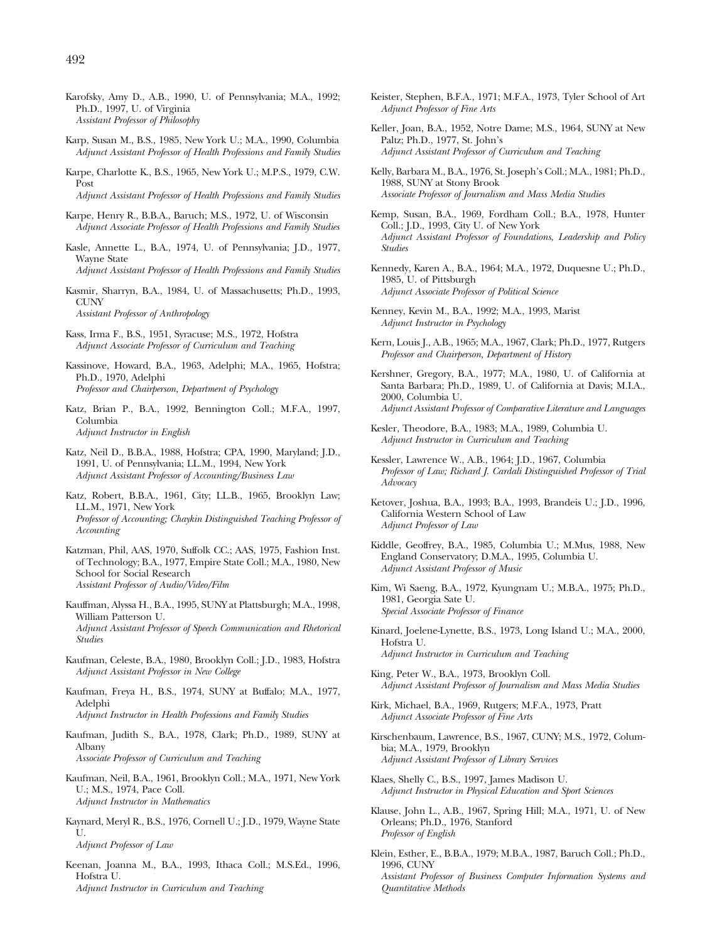- Karofsky, Amy D., A.B., 1990, U. of Pennsylvania; M.A., 1992; Ph.D., 1997, U. of Virginia *Assistant Professor of Philosophy*
- Karp, Susan M., B.S., 1985, New York U.; M.A., 1990, Columbia *Adjunct Assistant Professor of Health Professions and Family Studies*
- Karpe, Charlotte K., B.S., 1965, New York U.; M.P.S., 1979, C.W. Post

*Adjunct Assistant Professor of Health Professions and Family Studies*

- Karpe, Henry R., B.B.A., Baruch; M.S., 1972, U. of Wisconsin *Adjunct Associate Professor of Health Professions and Family Studies*
- Kasle, Annette L., B.A., 1974, U. of Pennsylvania; J.D., 1977, Wayne State *Adjunct Assistant Professor of Health Professions and Family Studies*
- Kasmir, Sharryn, B.A., 1984, U. of Massachusetts; Ph.D., 1993,
- **CUNY** *Assistant Professor of Anthropology*

Kass, Irma F., B.S., 1951, Syracuse; M.S., 1972, Hofstra *Adjunct Associate Professor of Curriculum and Teaching*

- Kassinove, Howard, B.A., 1963, Adelphi; M.A., 1965, Hofstra; Ph.D., 1970, Adelphi *Professor and Chairperson, Department of Psychology*
- Katz, Brian P., B.A., 1992, Bennington Coll.; M.F.A., 1997, Columbia *Adjunct Instructor in English*
- Katz, Neil D., B.B.A., 1988, Hofstra; CPA, 1990, Maryland; J.D., 1991, U. of Pennsylvania; LL.M., 1994, New York *Adjunct Assistant Professor of Accounting/Business Law*
- Katz, Robert, B.B.A., 1961, City; LL.B., 1965, Brooklyn Law; LL.M., 1971, New York *Professor of Accounting; Chaykin Distinguished Teaching Professor of Accounting*
- Katzman, Phil, AAS, 1970, Suffolk CC.; AAS, 1975, Fashion Inst. of Technology; B.A., 1977, Empire State Coll.; M.A., 1980, New School for Social Research *Assistant Professor of Audio/Video/Film*
- Kauffman, Alyssa H., B.A., 1995, SUNY at Plattsburgh; M.A., 1998, William Patterson U. *Adjunct Assistant Professor of Speech Communication and Rhetorical Studies*
- Kaufman, Celeste, B.A., 1980, Brooklyn Coll.; J.D., 1983, Hofstra *Adjunct Assistant Professor in New College*
- Kaufman, Freya H., B.S., 1974, SUNY at Buffalo; M.A., 1977, Adelphi *Adjunct Instructor in Health Professions and Family Studies*
- Kaufman, Judith S., B.A., 1978, Clark; Ph.D., 1989, SUNY at Albany *Associate Professor of Curriculum and Teaching*
- Kaufman, Neil, B.A., 1961, Brooklyn Coll.; M.A., 1971, New York U.; M.S., 1974, Pace Coll. *Adjunct Instructor in Mathematics*
- Kaynard, Meryl R., B.S., 1976, Cornell U.; J.D., 1979, Wayne State  $II$ *Adjunct Professor of Law*
- Keenan, Joanna M., B.A., 1993, Ithaca Coll.; M.S.Ed., 1996, Hofstra U. *Adjunct Instructor in Curriculum and Teaching*
- Keister, Stephen, B.F.A., 1971; M.F.A., 1973, Tyler School of Art *Adjunct Professor of Fine Arts*
- Keller, Joan, B.A., 1952, Notre Dame; M.S., 1964, SUNY at New Paltz; Ph.D., 1977, St. John's *Adjunct Assistant Professor of Curriculum and Teaching*
- Kelly, Barbara M., B.A., 1976, St. Joseph's Coll.; M.A., 1981; Ph.D., 1988, SUNY at Stony Brook *Associate Professor of Journalism and Mass Media Studies*
- Kemp, Susan, B.A., 1969, Fordham Coll.; B.A., 1978, Hunter Coll.; J.D., 1993, City U. of New York *Adjunct Assistant Professor of Foundations, Leadership and Policy Studies*
- Kennedy, Karen A., B.A., 1964; M.A., 1972, Duquesne U.; Ph.D., 1985, U. of Pittsburgh *Adjunct Associate Professor of Political Science*
- Kenney, Kevin M., B.A., 1992; M.A., 1993, Marist *Adjunct Instructor in Psychology*
- Kern, Louis J., A.B., 1965; M.A., 1967, Clark; Ph.D., 1977, Rutgers *Professor and Chairperson, Department of History*
- Kershner, Gregory, B.A., 1977; M.A., 1980, U. of California at Santa Barbara; Ph.D., 1989, U. of California at Davis; M.I.A., 2000, Columbia U. *Adjunct Assistant Professor of Comparative Literature and Languages*
- Kesler, Theodore, B.A., 1983; M.A., 1989, Columbia U. *Adjunct Instructor in Curriculum and Teaching*
- Kessler, Lawrence W., A.B., 1964; J.D., 1967, Columbia *Professor of Law; Richard J. Cardali Distinguished Professor of Trial Advocacy*
- Ketover, Joshua, B.A., 1993; B.A., 1993, Brandeis U.; J.D., 1996, California Western School of Law *Adjunct Professor of Law*
- Kiddle, Geoffrey, B.A., 1985, Columbia U.; M.Mus, 1988, New England Conservatory; D.M.A., 1995, Columbia U. *Adjunct Assistant Professor of Music*
- Kim, Wi Saeng, B.A., 1972, Kyungnam U.; M.B.A., 1975; Ph.D., 1981, Georgia Sate U. *Special Associate Professor of Finance*
- Kinard, Joelene-Lynette, B.S., 1973, Long Island U.; M.A., 2000, Hofstra U. *Adjunct Instructor in Curriculum and Teaching*
- King, Peter W., B.A., 1973, Brooklyn Coll. *Adjunct Assistant Professor of Journalism and Mass Media Studies*
- Kirk, Michael, B.A., 1969, Rutgers; M.F.A., 1973, Pratt *Adjunct Associate Professor of Fine Arts*
- Kirschenbaum, Lawrence, B.S., 1967, CUNY; M.S., 1972, Columbia; M.A., 1979, Brooklyn *Adjunct Assistant Professor of Library Services*
- Klaes, Shelly C., B.S., 1997, James Madison U. *Adjunct Instructor in Physical Education and Sport Sciences*
- Klause, John L., A.B., 1967, Spring Hill; M.A., 1971, U. of New Orleans; Ph.D., 1976, Stanford *Professor of English*
- Klein, Esther, E., B.B.A., 1979; M.B.A., 1987, Baruch Coll.; Ph.D., 1996, CUNY *Assistant Professor of Business Computer Information Systems and Quantitative Methods*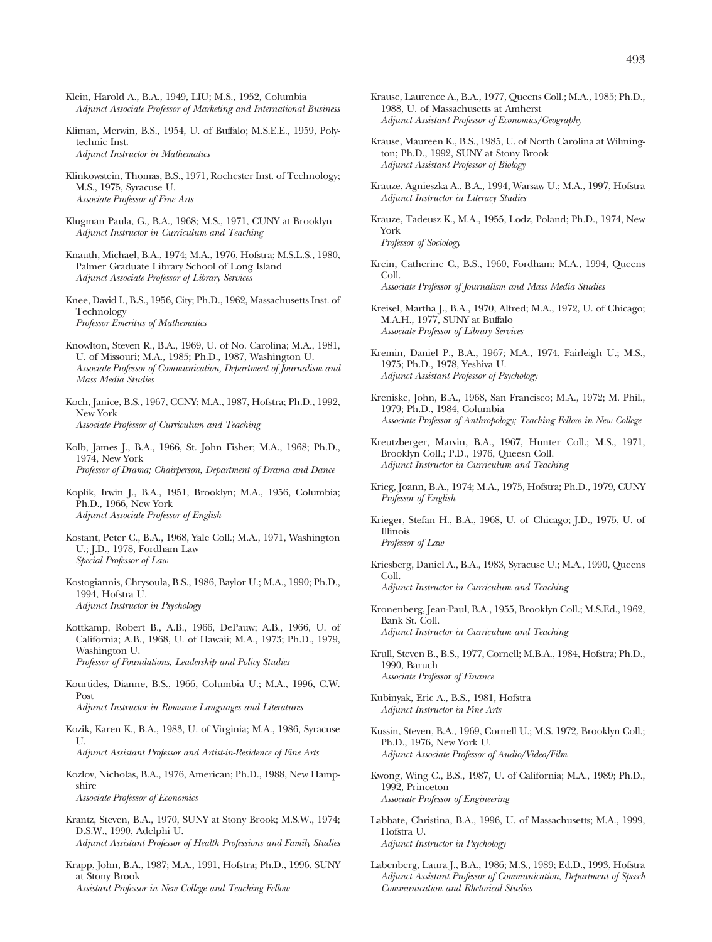- Klein, Harold A., B.A., 1949, LIU; M.S., 1952, Columbia *Adjunct Associate Professor of Marketing and International Business*
- Kliman, Merwin, B.S., 1954, U. of Buffalo; M.S.E.E., 1959, Polytechnic Inst. *Adjunct Instructor in Mathematics*
- Klinkowstein, Thomas, B.S., 1971, Rochester Inst. of Technology; M.S., 1975, Syracuse U. *Associate Professor of Fine Arts*
- Klugman Paula, G., B.A., 1968; M.S., 1971, CUNY at Brooklyn *Adjunct Instructor in Curriculum and Teaching*
- Knauth, Michael, B.A., 1974; M.A., 1976, Hofstra; M.S.L.S., 1980, Palmer Graduate Library School of Long Island *Adjunct Associate Professor of Library Services*
- Knee, David I., B.S., 1956, City; Ph.D., 1962, Massachusetts Inst. of **Technology** *Professor Emeritus of Mathematics*
- Knowlton, Steven R., B.A., 1969, U. of No. Carolina; M.A., 1981, U. of Missouri; M.A., 1985; Ph.D., 1987, Washington U. *Associate Professor of Communication, Department of Journalism and Mass Media Studies*
- Koch, Janice, B.S., 1967, CCNY; M.A., 1987, Hofstra; Ph.D., 1992, New York *Associate Professor of Curriculum and Teaching*
- Kolb, James J., B.A., 1966, St. John Fisher; M.A., 1968; Ph.D., 1974, New York *Professor of Drama; Chairperson, Department of Drama and Dance*
- Koplik, Irwin J., B.A., 1951, Brooklyn; M.A., 1956, Columbia; Ph.D., 1966, New York *Adjunct Associate Professor of English*
- Kostant, Peter C., B.A., 1968, Yale Coll.; M.A., 1971, Washington U.; J.D., 1978, Fordham Law *Special Professor of Law*
- Kostogiannis, Chrysoula, B.S., 1986, Baylor U.; M.A., 1990; Ph.D., 1994, Hofstra U. *Adjunct Instructor in Psychology*
- Kottkamp, Robert B., A.B., 1966, DePauw; A.B., 1966, U. of California; A.B., 1968, U. of Hawaii; M.A., 1973; Ph.D., 1979, Washington U. *Professor of Foundations, Leadership and Policy Studies*
- Kourtides, Dianne, B.S., 1966, Columbia U.; M.A., 1996, C.W. Post

*Adjunct Instructor in Romance Languages and Literatures*

Kozik, Karen K., B.A., 1983, U. of Virginia; M.A., 1986, Syracuse U. *Adjunct Assistant Professor and Artist-in-Residence of Fine Arts*

Kozlov, Nicholas, B.A., 1976, American; Ph.D., 1988, New Hampshire

*Associate Professor of Economics*

- Krantz, Steven, B.A., 1970, SUNY at Stony Brook; M.S.W., 1974; D.S.W., 1990, Adelphi U. *Adjunct Assistant Professor of Health Professions and Family Studies*
- Krapp, John, B.A., 1987; M.A., 1991, Hofstra; Ph.D., 1996, SUNY at Stony Brook *Assistant Professor in New College and Teaching Fellow*
- Krause, Laurence A., B.A., 1977, Queens Coll.; M.A., 1985; Ph.D., 1988, U. of Massachusetts at Amherst *Adjunct Assistant Professor of Economics/Geography*
- Krause, Maureen K., B.S., 1985, U. of North Carolina at Wilmington; Ph.D., 1992, SUNY at Stony Brook *Adjunct Assistant Professor of Biology*
- Krauze, Agnieszka A., B.A., 1994, Warsaw U.; M.A., 1997, Hofstra *Adjunct Instructor in Literacy Studies*
- Krauze, Tadeusz K., M.A., 1955, Lodz, Poland; Ph.D., 1974, New York *Professor of Sociology*
- Krein, Catherine C., B.S., 1960, Fordham; M.A., 1994, Queens Coll. *Associate Professor of Journalism and Mass Media Studies*
- Kreisel, Martha J., B.A., 1970, Alfred; M.A., 1972, U. of Chicago; M.A.H., 1977, SUNY at Buffalo *Associate Professor of Library Services*
- Kremin, Daniel P., B.A., 1967; M.A., 1974, Fairleigh U.; M.S., 1975; Ph.D., 1978, Yeshiva U. *Adjunct Assistant Professor of Psychology*
- Kreniske, John, B.A., 1968, San Francisco; M.A., 1972; M. Phil., 1979; Ph.D., 1984, Columbia *Associate Professor of Anthropology; Teaching Fellow in New College*
- Kreutzberger, Marvin, B.A., 1967, Hunter Coll.; M.S., 1971, Brooklyn Coll.; P.D., 1976, Queesn Coll. *Adjunct Instructor in Curriculum and Teaching*
- Krieg, Joann, B.A., 1974; M.A., 1975, Hofstra; Ph.D., 1979, CUNY *Professor of English*
- Krieger, Stefan H., B.A., 1968, U. of Chicago; J.D., 1975, U. of Illinois *Professor of Law*
- Kriesberg, Daniel A., B.A., 1983, Syracuse U.; M.A., 1990, Queens Coll. *Adjunct Instructor in Curriculum and Teaching*
- Kronenberg, Jean-Paul, B.A., 1955, Brooklyn Coll.; M.S.Ed., 1962, Bank St. Coll. *Adjunct Instructor in Curriculum and Teaching*
- Krull, Steven B., B.S., 1977, Cornell; M.B.A., 1984, Hofstra; Ph.D., 1990, Baruch *Associate Professor of Finance*

Kubinyak, Eric A., B.S., 1981, Hofstra *Adjunct Instructor in Fine Arts*

- Kussin, Steven, B.A., 1969, Cornell U.; M.S. 1972, Brooklyn Coll.; Ph.D., 1976, New York U. *Adjunct Associate Professor of Audio/Video/Film*
- Kwong, Wing C., B.S., 1987, U. of California; M.A., 1989; Ph.D., 1992, Princeton *Associate Professor of Engineering*
- Labbate, Christina, B.A., 1996, U. of Massachusetts; M.A., 1999, Hofstra U. *Adjunct Instructor in Psychology*
- Labenberg, Laura J., B.A., 1986; M.S., 1989; Ed.D., 1993, Hofstra *Adjunct Assistant Professor of Communication, Department of Speech Communication and Rhetorical Studies*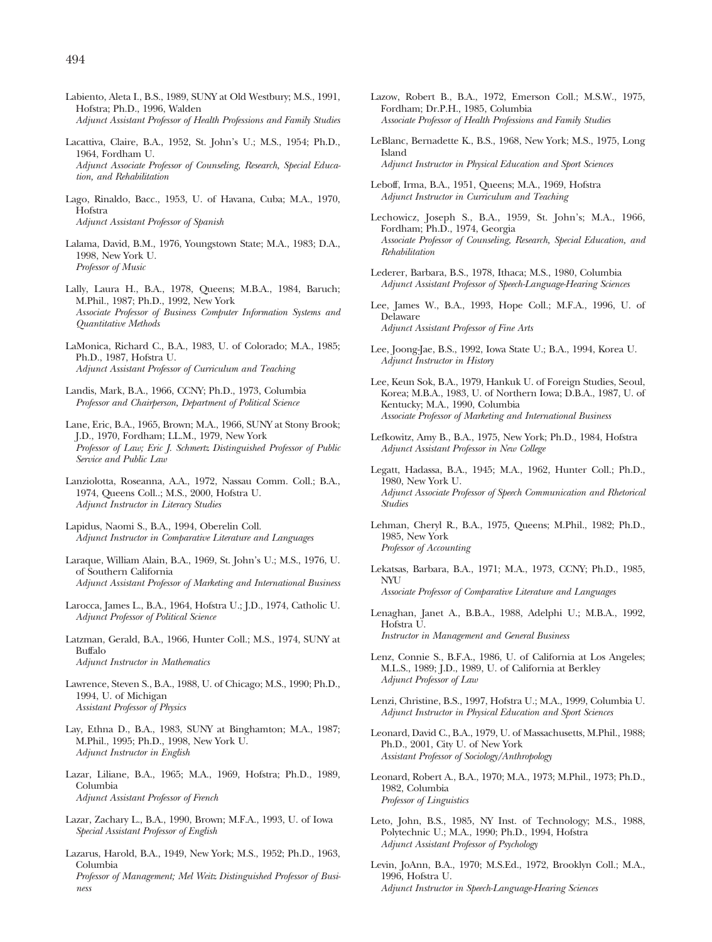- Labiento, Aleta I., B.S., 1989, SUNY at Old Westbury; M.S., 1991, Hofstra; Ph.D., 1996, Walden *Adjunct Assistant Professor of Health Professions and Family Studies*
- Lacattiva, Claire, B.A., 1952, St. John's U.; M.S., 1954; Ph.D., 1964, Fordham U. *Adjunct Associate Professor of Counseling, Research, Special Education, and Rehabilitation*
- Lago, Rinaldo, Bacc., 1953, U. of Havana, Cuba; M.A., 1970, Hofstra *Adjunct Assistant Professor of Spanish*
- Lalama, David, B.M., 1976, Youngstown State; M.A., 1983; D.A., 1998, New York U. *Professor of Music*
- Lally, Laura H., B.A., 1978, Queens; M.B.A., 1984, Baruch; M.Phil., 1987; Ph.D., 1992, New York *Associate Professor of Business Computer Information Systems and Quantitative Methods*
- LaMonica, Richard C., B.A., 1983, U. of Colorado; M.A., 1985; Ph.D., 1987, Hofstra U. *Adjunct Assistant Professor of Curriculum and Teaching*
- Landis, Mark, B.A., 1966, CCNY; Ph.D., 1973, Columbia *Professor and Chairperson, Department of Political Science*
- Lane, Eric, B.A., 1965, Brown; M.A., 1966, SUNY at Stony Brook; J.D., 1970, Fordham; LL.M., 1979, New York *Professor of Law; Eric J. Schmertz Distinguished Professor of Public Service and Public Law*
- Lanziolotta, Roseanna, A.A., 1972, Nassau Comm. Coll.; B.A., 1974, Queens Coll..; M.S., 2000, Hofstra U. *Adjunct Instructor in Literacy Studies*
- Lapidus, Naomi S., B.A., 1994, Oberelin Coll. *Adjunct Instructor in Comparative Literature and Languages*

Laraque, William Alain, B.A., 1969, St. John's U.; M.S., 1976, U. of Southern California *Adjunct Assistant Professor of Marketing and International Business*

- Larocca, James L., B.A., 1964, Hofstra U.; J.D., 1974, Catholic U. *Adjunct Professor of Political Science*
- Latzman, Gerald, B.A., 1966, Hunter Coll.; M.S., 1974, SUNY at Buffalo *Adjunct Instructor in Mathematics*
- Lawrence, Steven S., B.A., 1988, U. of Chicago; M.S., 1990; Ph.D., 1994, U. of Michigan *Assistant Professor of Physics*
- Lay, Ethna D., B.A., 1983, SUNY at Binghamton; M.A., 1987; M.Phil., 1995; Ph.D., 1998, New York U. *Adjunct Instructor in English*
- Lazar, Liliane, B.A., 1965; M.A., 1969, Hofstra; Ph.D., 1989, Columbia *Adjunct Assistant Professor of French*
- Lazar, Zachary L., B.A., 1990, Brown; M.F.A., 1993, U. of Iowa *Special Assistant Professor of English*
- Lazarus, Harold, B.A., 1949, New York; M.S., 1952; Ph.D., 1963, Columbia *Professor of Management; Mel Weitz Distinguished Professor of Business*
- Lazow, Robert B., B.A., 1972, Emerson Coll.; M.S.W., 1975, Fordham; Dr.P.H., 1985, Columbia *Associate Professor of Health Professions and Family Studies*
- LeBlanc, Bernadette K., B.S., 1968, New York; M.S., 1975, Long Island *Adjunct Instructor in Physical Education and Sport Sciences*
- Leboff, Irma, B.A., 1951, Queens; M.A., 1969, Hofstra *Adjunct Instructor in Curriculum and Teaching*
- Lechowicz, Joseph S., B.A., 1959, St. John's; M.A., 1966, Fordham; Ph.D., 1974, Georgia *Associate Professor of Counseling, Research, Special Education, and Rehabilitation*
- Lederer, Barbara, B.S., 1978, Ithaca; M.S., 1980, Columbia *Adjunct Assistant Professor of Speech-Language-Hearing Sciences*
- Lee, James W., B.A., 1993, Hope Coll.; M.F.A., 1996, U. of Delaware *Adjunct Assistant Professor of Fine Arts*
- Lee, Joong-Jae, B.S., 1992, Iowa State U.; B.A., 1994, Korea U. *Adjunct Instructor in History*
- Lee, Keun Sok, B.A., 1979, Hankuk U. of Foreign Studies, Seoul, Korea; M.B.A., 1983, U. of Northern Iowa; D.B.A., 1987, U. of Kentucky; M.A., 1990, Columbia *Associate Professor of Marketing and International Business*
- Lefkowitz, Amy B., B.A., 1975, New York; Ph.D., 1984, Hofstra *Adjunct Assistant Professor in New College*
- Legatt, Hadassa, B.A., 1945; M.A., 1962, Hunter Coll.; Ph.D., 1980, New York U. *Adjunct Associate Professor of Speech Communication and Rhetorical Studies*
- Lehman, Cheryl R., B.A., 1975, Queens; M.Phil., 1982; Ph.D., 1985, New York *Professor of Accounting*
- Lekatsas, Barbara, B.A., 1971; M.A., 1973, CCNY; Ph.D., 1985, NYU *Associate Professor of Comparative Literature and Languages*
- Lenaghan, Janet A., B.B.A., 1988, Adelphi U.; M.B.A., 1992, Hofstra U. *Instructor in Management and General Business*
- Lenz, Connie S., B.F.A., 1986, U. of California at Los Angeles; M.L.S., 1989; J.D., 1989, U. of California at Berkley *Adjunct Professor of Law*
- Lenzi, Christine, B.S., 1997, Hofstra U.; M.A., 1999, Columbia U. *Adjunct Instructor in Physical Education and Sport Sciences*
- Leonard, David C., B.A., 1979, U. of Massachusetts, M.Phil., 1988; Ph.D., 2001, City U. of New York *Assistant Professor of Sociology/Anthropology*
- Leonard, Robert A., B.A., 1970; M.A., 1973; M.Phil., 1973; Ph.D., 1982, Columbia *Professor of Linguistics*
- Leto, John, B.S., 1985, NY Inst. of Technology; M.S., 1988, Polytechnic U.; M.A., 1990; Ph.D., 1994, Hofstra *Adjunct Assistant Professor of Psychology*
- Levin, JoAnn, B.A., 1970; M.S.Ed., 1972, Brooklyn Coll.; M.A., 1996, Hofstra U. *Adjunct Instructor in Speech-Language-Hearing Sciences*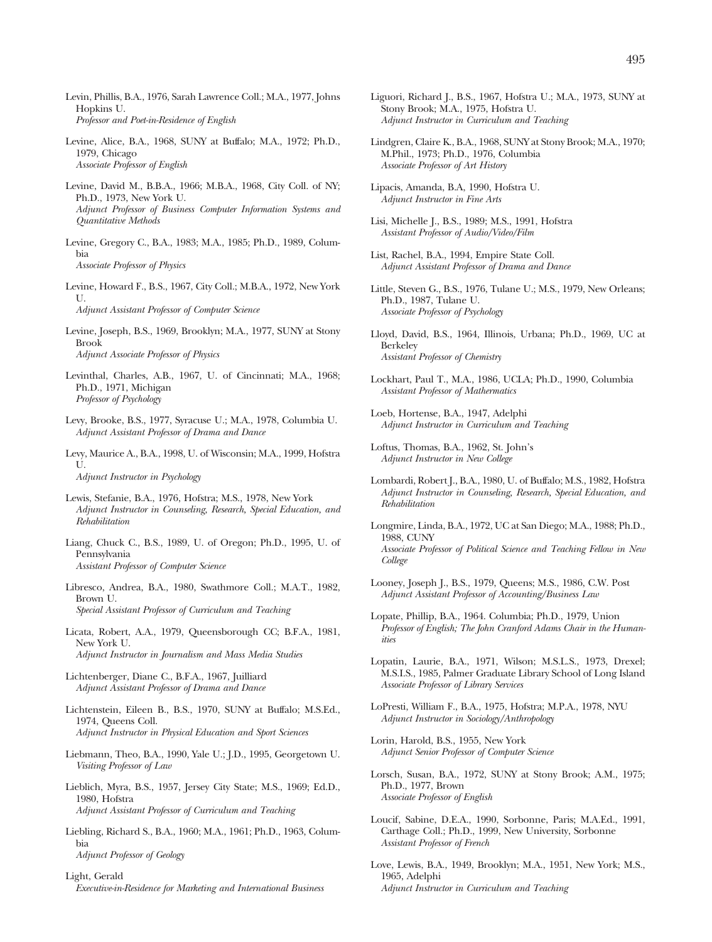- Levin, Phillis, B.A., 1976, Sarah Lawrence Coll.; M.A., 1977, Johns Hopkins U. *Professor and Poet-in-Residence of English*
- Levine, Alice, B.A., 1968, SUNY at Buffalo; M.A., 1972; Ph.D., 1979, Chicago *Associate Professor of English*
- Levine, David M., B.B.A., 1966; M.B.A., 1968, City Coll. of NY; Ph.D., 1973, New York U. *Adjunct Professor of Business Computer Information Systems and Quantitative Methods*
- Levine, Gregory C., B.A., 1983; M.A., 1985; Ph.D., 1989, Columbia *Associate Professor of Physics*
- Levine, Howard F., B.S., 1967, City Coll.; M.B.A., 1972, New York U. *Adjunct Assistant Professor of Computer Science*
- Levine, Joseph, B.S., 1969, Brooklyn; M.A., 1977, SUNY at Stony Brook *Adjunct Associate Professor of Physics*
- Levinthal, Charles, A.B., 1967, U. of Cincinnati; M.A., 1968; Ph.D., 1971, Michigan *Professor of Psychology*
- Levy, Brooke, B.S., 1977, Syracuse U.; M.A., 1978, Columbia U. *Adjunct Assistant Professor of Drama and Dance*
- Levy, Maurice A., B.A., 1998, U. of Wisconsin; M.A., 1999, Hofstra  $II$

*Adjunct Instructor in Psychology*

- Lewis, Stefanie, B.A., 1976, Hofstra; M.S., 1978, New York *Adjunct Instructor in Counseling, Research, Special Education, and Rehabilitation*
- Liang, Chuck C., B.S., 1989, U. of Oregon; Ph.D., 1995, U. of Pennsylvania *Assistant Professor of Computer Science*
- Libresco, Andrea, B.A., 1980, Swathmore Coll.; M.A.T., 1982, Brown U. *Special Assistant Professor of Curriculum and Teaching*
- Licata, Robert, A.A., 1979, Queensborough CC; B.F.A., 1981, New York U. *Adjunct Instructor in Journalism and Mass Media Studies*
- Lichtenberger, Diane C., B.F.A., 1967, Juilliard *Adjunct Assistant Professor of Drama and Dance*
- Lichtenstein, Eileen B., B.S., 1970, SUNY at Buffalo; M.S.Ed., 1974, Queens Coll. *Adjunct Instructor in Physical Education and Sport Sciences*
- Liebmann, Theo, B.A., 1990, Yale U.; J.D., 1995, Georgetown U. *Visiting Professor of Law*
- Lieblich, Myra, B.S., 1957, Jersey City State; M.S., 1969; Ed.D., 1980, Hofstra *Adjunct Assistant Professor of Curriculum and Teaching*
- Liebling, Richard S., B.A., 1960; M.A., 1961; Ph.D., 1963, Columbia *Adjunct Professor of Geology*
- Light, Gerald *Executive-in-Residence for Marketing and International Business*
- Liguori, Richard J., B.S., 1967, Hofstra U.; M.A., 1973, SUNY at Stony Brook; M.A., 1975, Hofstra U. *Adjunct Instructor in Curriculum and Teaching*
- Lindgren, Claire K., B.A., 1968, SUNY at Stony Brook; M.A., 1970; M.Phil., 1973; Ph.D., 1976, Columbia *Associate Professor of Art History*
- Lipacis, Amanda, B.A, 1990, Hofstra U. *Adjunct Instructor in Fine Arts*
- Lisi, Michelle J., B.S., 1989; M.S., 1991, Hofstra *Assistant Professor of Audio/Video/Film*
- List, Rachel, B.A., 1994, Empire State Coll. *Adjunct Assistant Professor of Drama and Dance*
- Little, Steven G., B.S., 1976, Tulane U.; M.S., 1979, New Orleans; Ph.D., 1987, Tulane U. *Associate Professor of Psychology*
- Lloyd, David, B.S., 1964, Illinois, Urbana; Ph.D., 1969, UC at Berkeley *Assistant Professor of Chemistry*
- Lockhart, Paul T., M.A., 1986, UCLA; Ph.D., 1990, Columbia *Assistant Professor of Mathermatics*
- Loeb, Hortense, B.A., 1947, Adelphi *Adjunct Instructor in Curriculum and Teaching*
- Loftus, Thomas, B.A., 1962, St. John's *Adjunct Instructor in New College*
- Lombardi, Robert J., B.A., 1980, U. of Buffalo; M.S., 1982, Hofstra *Adjunct Instructor in Counseling, Research, Special Education, and Rehabilitation*
- Longmire, Linda, B.A., 1972, UC at San Diego; M.A., 1988; Ph.D., 1988, CUNY *Associate Professor of Political Science and Teaching Fellow in New College*
- Looney, Joseph J., B.S., 1979, Queens; M.S., 1986, C.W. Post *Adjunct Assistant Professor of Accounting/Business Law*
- Lopate, Phillip, B.A., 1964. Columbia; Ph.D., 1979, Union *Professor of English; The John Cranford Adams Chair in the Humanities*
- Lopatin, Laurie, B.A., 1971, Wilson; M.S.L.S., 1973, Drexel; M.S.I.S., 1985, Palmer Graduate Library School of Long Island *Associate Professor of Library Services*
- LoPresti, William F., B.A., 1975, Hofstra; M.P.A., 1978, NYU *Adjunct Instructor in Sociology/Anthropology*
- Lorin, Harold, B.S., 1955, New York *Adjunct Senior Professor of Computer Science*
- Lorsch, Susan, B.A., 1972, SUNY at Stony Brook; A.M., 1975; Ph.D., 1977, Brown *Associate Professor of English*
- Loucif, Sabine, D.E.A., 1990, Sorbonne, Paris; M.A.Ed., 1991, Carthage Coll.; Ph.D., 1999, New University, Sorbonne *Assistant Professor of French*
- Love, Lewis, B.A., 1949, Brooklyn; M.A., 1951, New York; M.S., 1965, Adelphi *Adjunct Instructor in Curriculum and Teaching*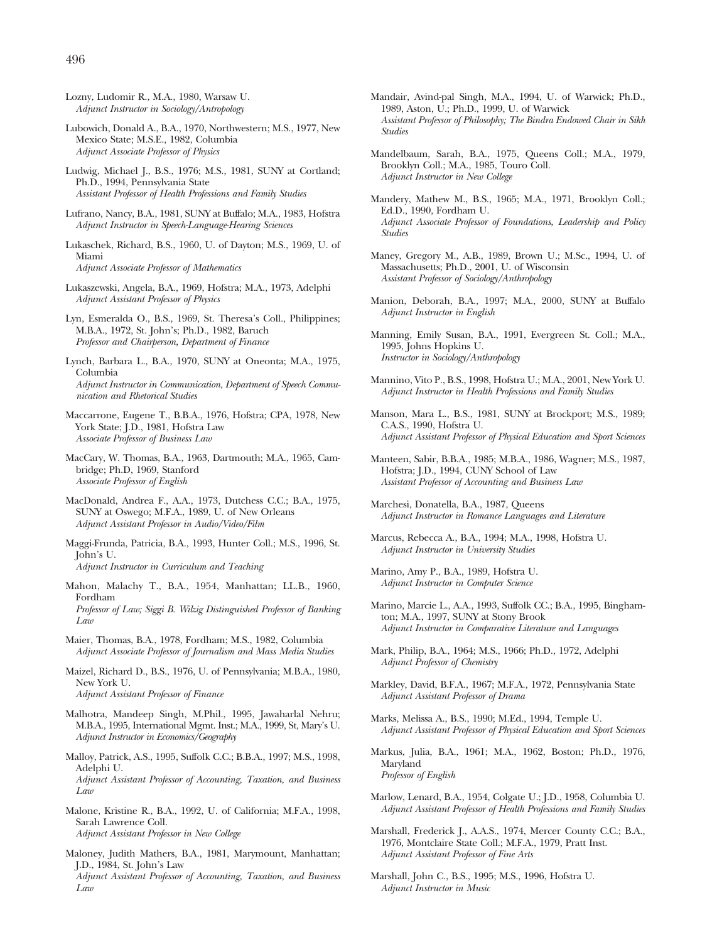- Lozny, Ludomir R., M.A., 1980, Warsaw U. *Adjunct Instructor in Sociology/Antropology*
- Lubowich, Donald A., B.A., 1970, Northwestern; M.S., 1977, New Mexico State; M.S.E., 1982, Columbia *Adjunct Associate Professor of Physics*
- Ludwig, Michael J., B.S., 1976; M.S., 1981, SUNY at Cortland; Ph.D., 1994, Pennsylvania State *Assistant Professor of Health Professions and Family Studies*
- Lufrano, Nancy, B.A., 1981, SUNY at Buffalo; M.A., 1983, Hofstra *Adjunct Instructor in Speech-Language-Hearing Sciences*
- Lukaschek, Richard, B.S., 1960, U. of Dayton; M.S., 1969, U. of Miami *Adjunct Associate Professor of Mathematics*
- Lukaszewski, Angela, B.A., 1969, Hofstra; M.A., 1973, Adelphi *Adjunct Assistant Professor of Physics*
- Lyn, Esmeralda O., B.S., 1969, St. Theresa's Coll., Philippines; M.B.A., 1972, St. John's; Ph.D., 1982, Baruch *Professor and Chairperson, Department of Finance*
- Lynch, Barbara L., B.A., 1970, SUNY at Oneonta; M.A., 1975, Columbia *Adjunct Instructor in Communication, Department of Speech Communication and Rhetorical Studies*
- Maccarrone, Eugene T., B.B.A., 1976, Hofstra; CPA, 1978, New York State; J.D., 1981, Hofstra Law *Associate Professor of Business Law*
- MacCary, W. Thomas, B.A., 1963, Dartmouth; M.A., 1965, Cambridge; Ph.D, 1969, Stanford *Associate Professor of English*
- MacDonald, Andrea F., A.A., 1973, Dutchess C.C.; B.A., 1975, SUNY at Oswego; M.F.A., 1989, U. of New Orleans *Adjunct Assistant Professor in Audio/Video/Film*
- Maggi-Frunda, Patricia, B.A., 1993, Hunter Coll.; M.S., 1996, St. John's U.

*Adjunct Instructor in Curriculum and Teaching*

Mahon, Malachy T., B.A., 1954, Manhattan; LL.B., 1960, Fordham

*Professor of Law; Siggi B. Wilzig Distinguished Professor of Banking Law*

- Maier, Thomas, B.A., 1978, Fordham; M.S., 1982, Columbia *Adjunct Associate Professor of Journalism and Mass Media Studies*
- Maizel, Richard D., B.S., 1976, U. of Pennsylvania; M.B.A., 1980, New York U. *Adjunct Assistant Professor of Finance*
- Malhotra, Mandeep Singh, M.Phil., 1995, Jawaharlal Nehru; M.B.A., 1995, International Mgmt. Inst.; M.A., 1999, St, Mary's U. *Adjunct Instructor in Economics/Geography*
- Malloy, Patrick, A.S., 1995, Suffolk C.C.; B.B.A., 1997; M.S., 1998, Adelphi U. *Adjunct Assistant Professor of Accounting, Taxation, and Business Law*
- Malone, Kristine R., B.A., 1992, U. of California; M.F.A., 1998, Sarah Lawrence Coll. *Adjunct Assistant Professor in New College*
- Maloney, Judith Mathers, B.A., 1981, Marymount, Manhattan; J.D., 1984, St. John's Law *Adjunct Assistant Professor of Accounting, Taxation, and Business Law*
- Mandair, Avind-pal Singh, M.A., 1994, U. of Warwick; Ph.D., 1989, Aston, U.; Ph.D., 1999, U. of Warwick *Assistant Professor of Philosophy; The Bindra Endowed Chair in Sikh Studies*
- Mandelbaum, Sarah, B.A., 1975, Queens Coll.; M.A., 1979, Brooklyn Coll.; M.A., 1985, Touro Coll. *Adjunct Instructor in New College*
- Mandery, Mathew M., B.S., 1965; M.A., 1971, Brooklyn Coll.; Ed.D., 1990, Fordham U. *Adjunct Associate Professor of Foundations, Leadership and Policy Studies*
- Maney, Gregory M., A.B., 1989, Brown U.; M.Sc., 1994, U. of Massachusetts; Ph.D., 2001, U. of Wisconsin *Assistant Professor of Sociology/Anthropology*
- Manion, Deborah, B.A., 1997; M.A., 2000, SUNY at Buffalo *Adjunct Instructor in English*
- Manning, Emily Susan, B.A., 1991, Evergreen St. Coll.; M.A., 1995, Johns Hopkins U. *Instructor in Sociology/Anthropology*
- Mannino, Vito P., B.S., 1998, Hofstra U.; M.A., 2001, New York U. *Adjunct Instructor in Health Professions and Family Studies*
- Manson, Mara L., B.S., 1981, SUNY at Brockport; M.S., 1989; C.A.S., 1990, Hofstra U. *Adjunct Assistant Professor of Physical Education and Sport Sciences*
- Manteen, Sabir, B.B.A., 1985; M.B.A., 1986, Wagner; M.S., 1987, Hofstra; J.D., 1994, CUNY School of Law *Assistant Professor of Accounting and Business Law*
- Marchesi, Donatella, B.A., 1987, Queens *Adjunct Instructor in Romance Languages and Literature*
- Marcus, Rebecca A., B.A., 1994; M.A., 1998, Hofstra U. *Adjunct Instructor in University Studies*
- Marino, Amy P., B.A., 1989, Hofstra U. *Adjunct Instructor in Computer Science*
- Marino, Marcie L., A.A., 1993, Suffolk CC.; B.A., 1995, Binghamton; M.A., 1997, SUNY at Stony Brook *Adjunct Instructor in Comparative Literature and Languages*
- Mark, Philip, B.A., 1964; M.S., 1966; Ph.D., 1972, Adelphi *Adjunct Professor of Chemistry*
- Markley, David, B.F.A., 1967; M.F.A., 1972, Pennsylvania State *Adjunct Assistant Professor of Drama*
- Marks, Melissa A., B.S., 1990; M.Ed., 1994, Temple U. *Adjunct Assistant Professor of Physical Education and Sport Sciences*
- Markus, Julia, B.A., 1961; M.A., 1962, Boston; Ph.D., 1976, Maryland *Professor of English*
- Marlow, Lenard, B.A., 1954, Colgate U.; J.D., 1958, Columbia U. *Adjunct Assistant Professor of Health Professions and Family Studies*
- Marshall, Frederick J., A.A.S., 1974, Mercer County C.C.; B.A., 1976, Montclaire State Coll.; M.F.A., 1979, Pratt Inst. *Adjunct Assistant Professor of Fine Arts*
- Marshall, John C., B.S., 1995; M.S., 1996, Hofstra U. *Adjunct Instructor in Music*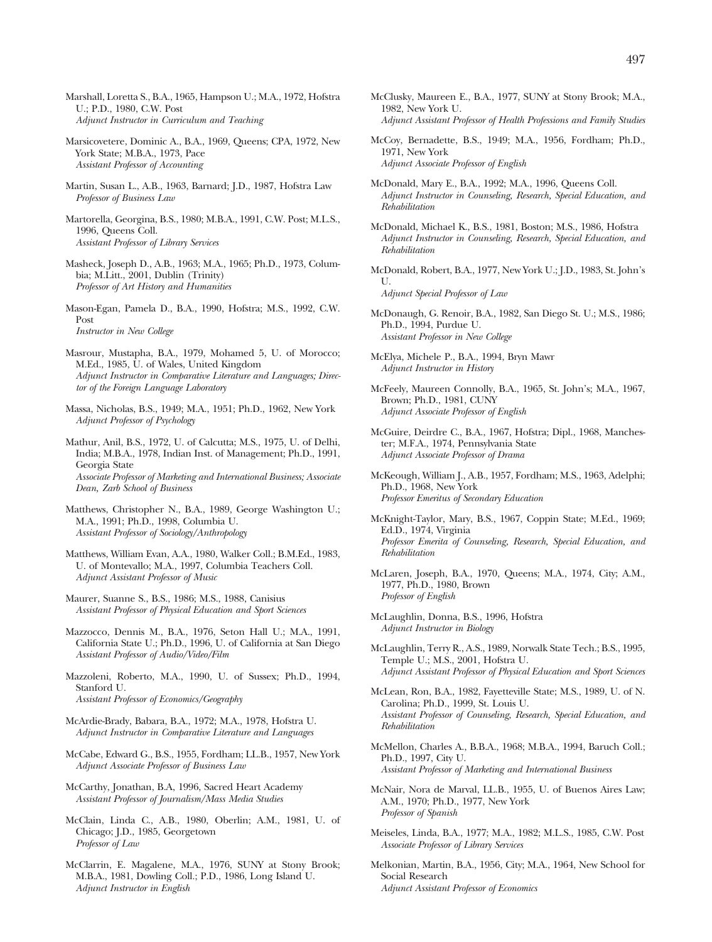- Marshall, Loretta S., B.A., 1965, Hampson U.; M.A., 1972, Hofstra U.; P.D., 1980, C.W. Post *Adjunct Instructor in Curriculum and Teaching*
- Marsicovetere, Dominic A., B.A., 1969, Queens; CPA, 1972, New York State; M.B.A., 1973, Pace *Assistant Professor of Accounting*
- Martin, Susan L., A.B., 1963, Barnard; J.D., 1987, Hofstra Law *Professor of Business Law*
- Martorella, Georgina, B.S., 1980; M.B.A., 1991, C.W. Post; M.L.S., 1996, Queens Coll. *Assistant Professor of Library Services*
- Masheck, Joseph D., A.B., 1963; M.A., 1965; Ph.D., 1973, Columbia; M.Litt., 2001, Dublin (Trinity) *Professor of Art History and Humanities*
- Mason-Egan, Pamela D., B.A., 1990, Hofstra; M.S., 1992, C.W. Post *Instructor in New College*
- Masrour, Mustapha, B.A., 1979, Mohamed 5, U. of Morocco; M.Ed., 1985, U. of Wales, United Kingdom *Adjunct Instructor in Comparative Literature and Languages; Director of the Foreign Language Laboratory*
- Massa, Nicholas, B.S., 1949; M.A., 1951; Ph.D., 1962, New York *Adjunct Professor of Psychology*
- Mathur, Anil, B.S., 1972, U. of Calcutta; M.S., 1975, U. of Delhi, India; M.B.A., 1978, Indian Inst. of Management; Ph.D., 1991, Georgia State *Associate Professor of Marketing and International Business; Associate Dean, Zarb School of Business*
- Matthews, Christopher N., B.A., 1989, George Washington U.; M.A., 1991; Ph.D., 1998, Columbia U. *Assistant Professor of Sociology/Anthropology*
- Matthews, William Evan, A.A., 1980, Walker Coll.; B.M.Ed., 1983, U. of Montevallo; M.A., 1997, Columbia Teachers Coll. *Adjunct Assistant Professor of Music*
- Maurer, Suanne S., B.S., 1986; M.S., 1988, Canisius *Assistant Professor of Physical Education and Sport Sciences*
- Mazzocco, Dennis M., B.A., 1976, Seton Hall U.; M.A., 1991, California State U.; Ph.D., 1996, U. of California at San Diego *Assistant Professor of Audio/Video/Film*
- Mazzoleni, Roberto, M.A., 1990, U. of Sussex; Ph.D., 1994, Stanford U. *Assistant Professor of Economics/Geography*
- McArdie-Brady, Babara, B.A., 1972; M.A., 1978, Hofstra U. *Adjunct Instructor in Comparative Literature and Languages*
- McCabe, Edward G., B.S., 1955, Fordham; LL.B., 1957, New York *Adjunct Associate Professor of Business Law*
- McCarthy, Jonathan, B.A, 1996, Sacred Heart Academy *Assistant Professor of Journalism/Mass Media Studies*
- McClain, Linda C., A.B., 1980, Oberlin; A.M., 1981, U. of Chicago; J.D., 1985, Georgetown *Professor of Law*
- McClarrin, E. Magalene, M.A., 1976, SUNY at Stony Brook; M.B.A., 1981, Dowling Coll.; P.D., 1986, Long Island U. *Adjunct Instructor in English*
- McClusky, Maureen E., B.A., 1977, SUNY at Stony Brook; M.A., 1982, New York U. *Adjunct Assistant Professor of Health Professions and Family Studies*
- McCoy, Bernadette, B.S., 1949; M.A., 1956, Fordham; Ph.D., 1971, New York *Adjunct Associate Professor of English*
- McDonald, Mary E., B.A., 1992; M.A., 1996, Queens Coll. *Adjunct Instructor in Counseling, Research, Special Education, and Rehabilitation*
- McDonald, Michael K., B.S., 1981, Boston; M.S., 1986, Hofstra *Adjunct Instructor in Counseling, Research, Special Education, and Rehabilitation*
- McDonald, Robert, B.A., 1977, New York U.; J.D., 1983, St. John's U. *Adjunct Special Professor of Law*
- McDonaugh, G. Renoir, B.A., 1982, San Diego St. U.; M.S., 1986; Ph.D., 1994, Purdue U. *Assistant Professor in New College*
- McElya, Michele P., B.A., 1994, Bryn Mawr *Adjunct Instructor in History*
- McFeely, Maureen Connolly, B.A., 1965, St. John's; M.A., 1967, Brown; Ph.D., 1981, CUNY *Adjunct Associate Professor of English*
- McGuire, Deirdre C., B.A., 1967, Hofstra; Dipl., 1968, Manchester; M.F.A., 1974, Pennsylvania State *Adjunct Associate Professor of Drama*
- McKeough, William J., A.B., 1957, Fordham; M.S., 1963, Adelphi; Ph.D., 1968, New York *Professor Emeritus of Secondary Education*
- McKnight-Taylor, Mary, B.S., 1967, Coppin State; M.Ed., 1969; Ed.D., 1974, Virginia *Professor Emerita of Counseling, Research, Special Education, and Rehabilitation*
- McLaren, Joseph, B.A., 1970, Queens; M.A., 1974, City; A.M., 1977, Ph.D., 1980, Brown *Professor of English*
- McLaughlin, Donna, B.S., 1996, Hofstra *Adjunct Instructor in Biology*
- McLaughlin, Terry R., A.S., 1989, Norwalk State Tech.; B.S., 1995, Temple U.; M.S., 2001, Hofstra U. *Adjunct Assistant Professor of Physical Education and Sport Sciences*
- McLean, Ron, B.A., 1982, Fayetteville State; M.S., 1989, U. of N. Carolina; Ph.D., 1999, St. Louis U. *Assistant Professor of Counseling, Research, Special Education, and Rehabilitation*
- McMellon, Charles A., B.B.A., 1968; M.B.A., 1994, Baruch Coll.; Ph.D., 1997, City U. *Assistant Professor of Marketing and International Business*
- McNair, Nora de Marval, LL.B., 1955, U. of Buenos Aires Law; A.M., 1970; Ph.D., 1977, New York *Professor of Spanish*
- Meiseles, Linda, B.A., 1977; M.A., 1982; M.L.S., 1985, C.W. Post *Associate Professor of Library Services*
- Melkonian, Martin, B.A., 1956, City; M.A., 1964, New School for Social Research *Adjunct Assistant Professor of Economics*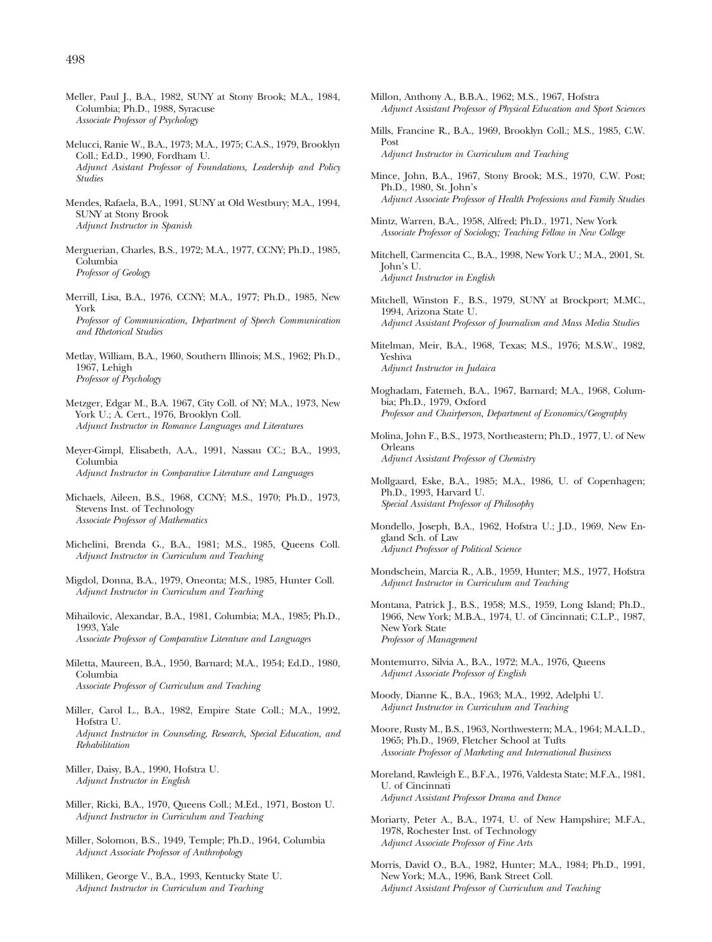- Meller, Paul J., B.A., 1982, SUNY at Stony Brook; M.A., 1984, Columbia; Ph.D., 1988, Syracuse *Associate Professor of Psychology*
- Melucci, Ranie W., B.A., 1973; M.A., 1975; C.A.S., 1979, Brooklyn Coll.; Ed.D., 1990, Fordham U. *Adjunct Asistant Professor of Foundations, Leadership and Policy Studies*
- Mendes, Rafaela, B.A., 1991, SUNY at Old Westbury; M.A., 1994, SUNY at Stony Brook *Adjunct Instructor in Spanish*
- Merguerian, Charles, B.S., 1972; M.A., 1977, CCNY; Ph.D., 1985, Columbia *Professor of Geology*
- Merrill, Lisa, B.A., 1976, CCNY; M.A., 1977; Ph.D., 1985, New York *Professor of Communication, Department of Speech Communication and Rhetorical Studies*
- Metlay, William, B.A., 1960, Southern Illinois; M.S., 1962; Ph.D., 1967, Lehigh *Professor of Psychology*
- Metzger, Edgar M., B.A. 1967, City Coll. of NY; M.A., 1973, New York U.; A. Cert., 1976, Brooklyn Coll. *Adjunct Instructor in Romance Languages and Literatures*
- Meyer-Gimpl, Elisabeth, A.A., 1991, Nassau CC.; B.A., 1993, Columbia *Adjunct Instructor in Comparative Literature and Languages*
- Michaels, Aileen, B.S., 1968, CCNY; M.S., 1970; Ph.D., 1973, Stevens Inst. of Technology *Associate Professor of Mathematics*
- Michelini, Brenda G., B.A., 1981; M.S., 1985, Queens Coll. *Adjunct Instructor in Curriculum and Teaching*
- Migdol, Donna, B.A., 1979, Oneonta; M.S., 1985, Hunter Coll. *Adjunct Instructor in Curriculum and Teaching*
- Mihailovic, Alexandar, B.A., 1981, Columbia; M.A., 1985; Ph.D., 1993, Yale *Associate Professor of Comparative Literature and Languages*
- Miletta, Maureen, B.A., 1950, Barnard; M.A., 1954; Ed.D., 1980, Columbia *Associate Professor of Curriculum and Teaching*
- Miller, Carol L., B.A., 1982, Empire State Coll.; M.A., 1992, Hofstra U. *Adjunct Instructor in Counseling, Research, Special Education, and Rehabilitation*
- Miller, Daisy, B.A., 1990, Hofstra U. *Adjunct Instructor in English*
- Miller, Ricki, B.A., 1970, Queens Coll.; M.Ed., 1971, Boston U. *Adjunct Instructor in Curriculum and Teaching*
- Miller, Solomon, B.S., 1949, Temple; Ph.D., 1964, Columbia *Adjunct Associate Professor of Anthropology*
- Milliken, George V., B.A., 1993, Kentucky State U. *Adjunct Instructor in Curriculum and Teaching*
- Millon, Anthony A., B.B.A., 1962; M.S., 1967, Hofstra *Adjunct Assistant Professor of Physical Education and Sport Sciences*
- Mills, Francine R., B.A., 1969, Brooklyn Coll.; M.S., 1985, C.W. Post *Adjunct Instructor in Curriculum and Teaching*
- Mince, John, B.A., 1967, Stony Brook; M.S., 1970, C.W. Post; Ph.D., 1980, St. John's *Adjunct Associate Professor of Health Professions and Family Studies*
- Mintz, Warren, B.A., 1958, Alfred; Ph.D., 1971, New York *Associate Professor of Sociology; Teaching Fellow in New College*
- Mitchell, Carmencita C., B.A., 1998, New York U.; M.A., 2001, St. John's U. *Adjunct Instructor in English*
- Mitchell, Winston F., B.S., 1979, SUNY at Brockport; M.MC., 1994, Arizona State U. *Adjunct Assistant Professor of Journalism and Mass Media Studies*
- Mitelman, Meir, B.A., 1968, Texas; M.S., 1976; M.S.W., 1982, Yeshiva *Adjunct Instructor in Judaica*
- Moghadam, Fatemeh, B.A., 1967, Barnard; M.A., 1968, Columbia; Ph.D., 1979, Oxford *Professor and Chairperson, Department of Economics/Geography*
- Molina, John F., B.S., 1973, Northeastern; Ph.D., 1977, U. of New Orleans *Adjunct Assistant Professor of Chemistry*
- Mollgaard, Eske, B.A., 1985; M.A., 1986, U. of Copenhagen; Ph.D., 1993, Harvard U. *Special Assistant Professor of Philosophy*
- Mondello, Joseph, B.A., 1962, Hofstra U.; J.D., 1969, New England Sch. of Law *Adjunct Professor of Political Science*
- Mondschein, Marcia R., A.B., 1959, Hunter; M.S., 1977, Hofstra *Adjunct Instructor in Curriculum and Teaching*
- Montana, Patrick J., B.S., 1958; M.S., 1959, Long Island; Ph.D., 1966, New York; M.B.A., 1974, U. of Cincinnati; C.L.P., 1987, New York State *Professor of Management*
- Montemurro, Silvia A., B.A., 1972; M.A., 1976, Queens *Adjunct Associate Professor of English*
- Moody, Dianne K., B.A., 1963; M.A., 1992, Adelphi U. *Adjunct Instructor in Curriculum and Teaching*
- Moore, Rusty M., B.S., 1963, Northwestern; M.A., 1964; M.A.L.D., 1965; Ph.D., 1969, Fletcher School at Tufts *Associate Professor of Marketing and International Business*
- Moreland, Rawleigh E., B.F.A., 1976, Valdesta State; M.F.A., 1981, U. of Cincinnati *Adjunct Assistant Professor Drama and Dance*
- Moriarty, Peter A., B.A., 1974, U. of New Hampshire; M.F.A., 1978, Rochester Inst. of Technology *Adjunct Associate Professor of Fine Arts*
- Morris, David O., B.A., 1982, Hunter; M.A., 1984; Ph.D., 1991, New York; M.A., 1996, Bank Street Coll. *Adjunct Assistant Professor of Curriculum and Teaching*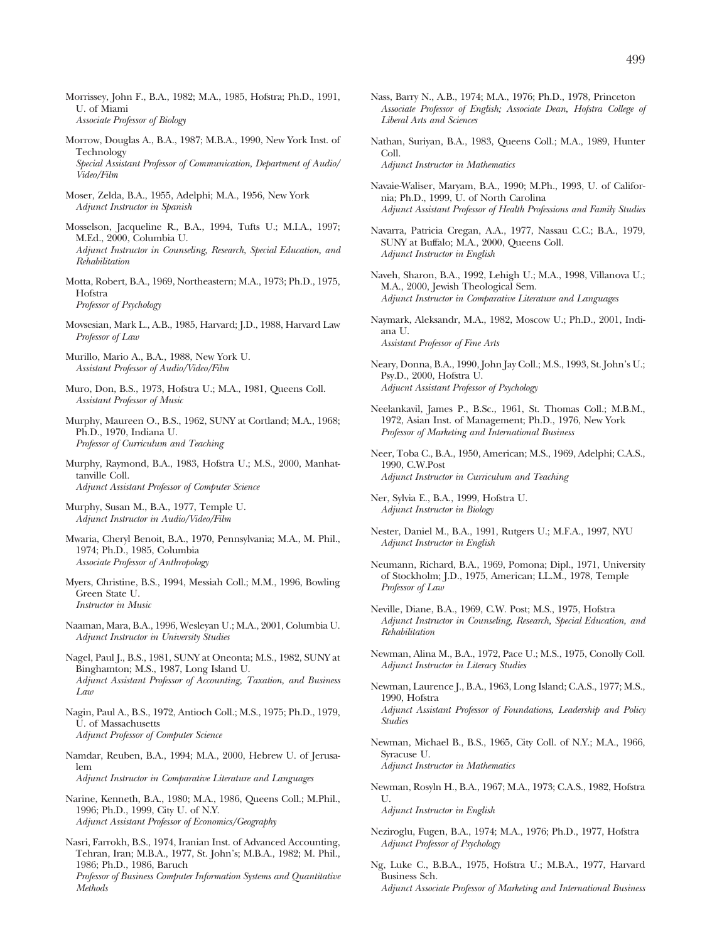- Morrissey, John F., B.A., 1982; M.A., 1985, Hofstra; Ph.D., 1991, U. of Miami *Associate Professor of Biology*
- Morrow, Douglas A., B.A., 1987; M.B.A., 1990, New York Inst. of Technology *Special Assistant Professor of Communication, Department of Audio/ Video/Film*
- Moser, Zelda, B.A., 1955, Adelphi; M.A., 1956, New York *Adjunct Instructor in Spanish*
- Mosselson, Jacqueline R., B.A., 1994, Tufts U.; M.I.A., 1997; M.Ed., 2000, Columbia U. *Adjunct Instructor in Counseling, Research, Special Education, and Rehabilitation*
- Motta, Robert, B.A., 1969, Northeastern; M.A., 1973; Ph.D., 1975, Hofstra *Professor of Psychology*
- Movsesian, Mark L., A.B., 1985, Harvard; J.D., 1988, Harvard Law *Professor of Law*
- Murillo, Mario A., B.A., 1988, New York U. *Assistant Professor of Audio/Video/Film*
- Muro, Don, B.S., 1973, Hofstra U.; M.A., 1981, Queens Coll. *Assistant Professor of Music*
- Murphy, Maureen O., B.S., 1962, SUNY at Cortland; M.A., 1968; Ph.D., 1970, Indiana U. *Professor of Curriculum and Teaching*
- Murphy, Raymond, B.A., 1983, Hofstra U.; M.S., 2000, Manhattanville Coll. *Adjunct Assistant Professor of Computer Science*
- Murphy, Susan M., B.A., 1977, Temple U. *Adjunct Instructor in Audio/Video/Film*
- Mwaria, Cheryl Benoit, B.A., 1970, Pennsylvania; M.A., M. Phil., 1974; Ph.D., 1985, Columbia *Associate Professor of Anthropology*
- Myers, Christine, B.S., 1994, Messiah Coll.; M.M., 1996, Bowling Green State U. *Instructor in Music*
- Naaman, Mara, B.A., 1996, Wesleyan U.; M.A., 2001, Columbia U. *Adjunct Instructor in University Studies*
- Nagel, Paul J., B.S., 1981, SUNY at Oneonta; M.S., 1982, SUNY at Binghamton; M.S., 1987, Long Island U. *Adjunct Assistant Professor of Accounting, Taxation, and Business Law*
- Nagin, Paul A., B.S., 1972, Antioch Coll.; M.S., 1975; Ph.D., 1979, U. of Massachusetts *Adjunct Professor of Computer Science*
- Namdar, Reuben, B.A., 1994; M.A., 2000, Hebrew U. of Jerusalem *Adjunct Instructor in Comparative Literature and Languages*
- Narine, Kenneth, B.A., 1980; M.A., 1986, Queens Coll.; M.Phil., 1996; Ph.D., 1999, City U. of N.Y. *Adjunct Assistant Professor of Economics/Geography*
- Nasri, Farrokh, B.S., 1974, Iranian Inst. of Advanced Accounting, Tehran, Iran; M.B.A., 1977, St. John's; M.B.A., 1982; M. Phil., 1986; Ph.D., 1986, Baruch *Professor of Business Computer Information Systems and Quantitative Methods*
- Nass, Barry N., A.B., 1974; M.A., 1976; Ph.D., 1978, Princeton *Associate Professor of English; Associate Dean, Hofstra College of Liberal Arts and Sciences*
- Nathan, Suriyan, B.A., 1983, Queens Coll.; M.A., 1989, Hunter Coll.

*Adjunct Instructor in Mathematics*

- Navaie-Waliser, Maryam, B.A., 1990; M.Ph., 1993, U. of California; Ph.D., 1999, U. of North Carolina *Adjunct Assistant Professor of Health Professions and Family Studies*
- Navarra, Patricia Cregan, A.A., 1977, Nassau C.C.; B.A., 1979, SUNY at Buffalo; M.A., 2000, Queens Coll. *Adjunct Instructor in English*
- Naveh, Sharon, B.A., 1992, Lehigh U.; M.A., 1998, Villanova U.; M.A., 2000, Jewish Theological Sem. *Adjunct Instructor in Comparative Literature and Languages*
- Naymark, Aleksandr, M.A., 1982, Moscow U.; Ph.D., 2001, Indiana U. *Assistant Professor of Fine Arts*
- Neary, Donna, B.A., 1990, John Jay Coll.; M.S., 1993, St. John's U.; Psy.D., 2000, Hofstra U. *Adjucnt Assistant Professor of Psychology*
- Neelankavil, James P., B.Sc., 1961, St. Thomas Coll.; M.B.M., 1972, Asian Inst. of Management; Ph.D., 1976, New York *Professor of Marketing and International Business*
- Neer, Toba C., B.A., 1950, American; M.S., 1969, Adelphi; C.A.S., 1990, C.W.Post *Adjunct Instructor in Curriculum and Teaching*
- Ner, Sylvia E., B.A., 1999, Hofstra U. *Adjunct Instructor in Biology*
- Nester, Daniel M., B.A., 1991, Rutgers U.; M.F.A., 1997, NYU *Adjunct Instructor in English*
- Neumann, Richard, B.A., 1969, Pomona; Dipl., 1971, University of Stockholm; J.D., 1975, American; LL.M., 1978, Temple *Professor of Law*
- Neville, Diane, B.A., 1969, C.W. Post; M.S., 1975, Hofstra *Adjunct Instructor in Counseling, Research, Special Education, and Rehabilitation*
- Newman, Alina M., B.A., 1972, Pace U.; M.S., 1975, Conolly Coll. *Adjunct Instructor in Literacy Studies*
- Newman, Laurence J., B.A., 1963, Long Island; C.A.S., 1977; M.S., 1990, Hofstra *Adjunct Assistant Professor of Foundations, Leadership and Policy Studies*
- Newman, Michael B., B.S., 1965, City Coll. of N.Y.; M.A., 1966, Syracuse U. *Adjunct Instructor in Mathematics*
- Newman, Rosyln H., B.A., 1967; M.A., 1973; C.A.S., 1982, Hofstra  $U$ .

*Adjunct Instructor in English*

- Neziroglu, Fugen, B.A., 1974; M.A., 1976; Ph.D., 1977, Hofstra *Adjunct Professor of Psychology*
- Ng, Luke C., B.B.A., 1975, Hofstra U.; M.B.A., 1977, Harvard Business Sch. *Adjunct Associate Professor of Marketing and International Business*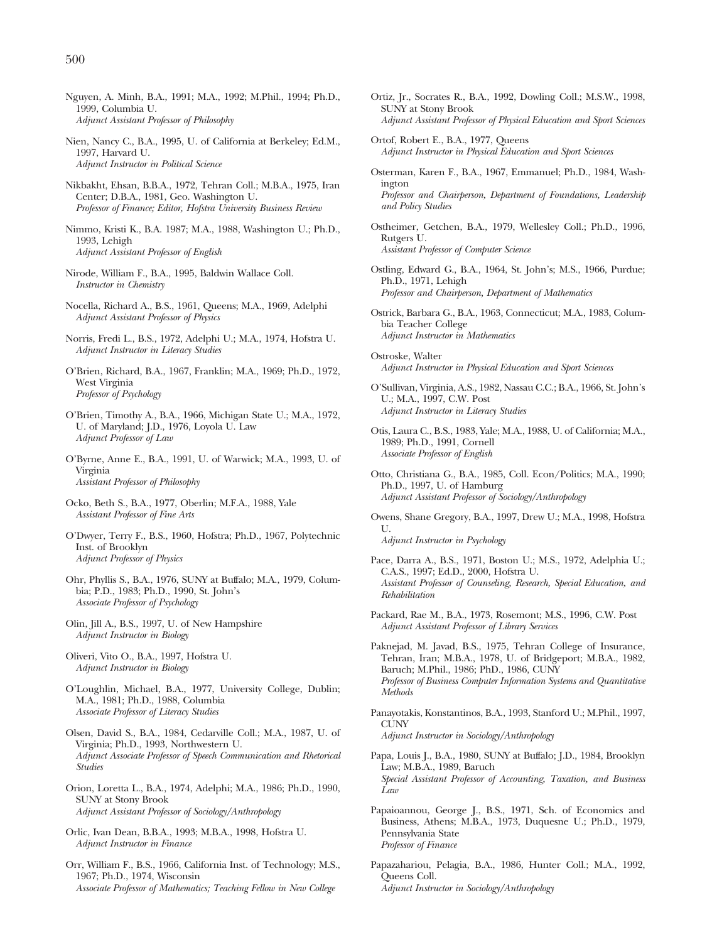- Nguyen, A. Minh, B.A., 1991; M.A., 1992; M.Phil., 1994; Ph.D., 1999, Columbia U. *Adjunct Assistant Professor of Philosophy*
- Nien, Nancy C., B.A., 1995, U. of California at Berkeley; Ed.M., 1997, Harvard U. *Adjunct Instructor in Political Science*
- Nikbakht, Ehsan, B.B.A., 1972, Tehran Coll.; M.B.A., 1975, Iran Center; D.B.A., 1981, Geo. Washington U. *Professor of Finance; Editor, Hofstra University Business Review*
- Nimmo, Kristi K., B.A. 1987; M.A., 1988, Washington U.; Ph.D., 1993, Lehigh *Adjunct Assistant Professor of English*
- Nirode, William F., B.A., 1995, Baldwin Wallace Coll. *Instructor in Chemistry*
- Nocella, Richard A., B.S., 1961, Queens; M.A., 1969, Adelphi *Adjunct Assistant Professor of Physics*
- Norris, Fredi L., B.S., 1972, Adelphi U.; M.A., 1974, Hofstra U. *Adjunct Instructor in Literacy Studies*
- O'Brien, Richard, B.A., 1967, Franklin; M.A., 1969; Ph.D., 1972, West Virginia *Professor of Psychology*
- O'Brien, Timothy A., B.A., 1966, Michigan State U.; M.A., 1972, U. of Maryland; J.D., 1976, Loyola U. Law *Adjunct Professor of Law*
- O'Byrne, Anne E., B.A., 1991, U. of Warwick; M.A., 1993, U. of Virginia *Assistant Professor of Philosophy*
- Ocko, Beth S., B.A., 1977, Oberlin; M.F.A., 1988, Yale *Assistant Professor of Fine Arts*
- O'Dwyer, Terry F., B.S., 1960, Hofstra; Ph.D., 1967, Polytechnic Inst. of Brooklyn *Adjunct Professor of Physics*
- Ohr, Phyllis S., B.A., 1976, SUNY at Buffalo; M.A., 1979, Columbia; P.D., 1983; Ph.D., 1990, St. John's *Associate Professor of Psychology*
- Olin, Jill A., B.S., 1997, U. of New Hampshire *Adjunct Instructor in Biology*
- Oliveri, Vito O., B.A., 1997, Hofstra U. *Adjunct Instructor in Biology*
- O'Loughlin, Michael, B.A., 1977, University College, Dublin; M.A., 1981; Ph.D., 1988, Columbia *Associate Professor of Literacy Studies*
- Olsen, David S., B.A., 1984, Cedarville Coll.; M.A., 1987, U. of Virginia; Ph.D., 1993, Northwestern U. *Adjunct Associate Professor of Speech Communication and Rhetorical Studies*
- Orion, Loretta L., B.A., 1974, Adelphi; M.A., 1986; Ph.D., 1990, SUNY at Stony Brook *Adjunct Assistant Professor of Sociology/Anthropology*
- Orlic, Ivan Dean, B.B.A., 1993; M.B.A., 1998, Hofstra U. *Adjunct Instructor in Finance*
- Orr, William F., B.S., 1966, California Inst. of Technology; M.S., 1967; Ph.D., 1974, Wisconsin *Associate Professor of Mathematics; Teaching Fellow in New College*
- Ortiz, Jr., Socrates R., B.A., 1992, Dowling Coll.; M.S.W., 1998, SUNY at Stony Brook *Adjunct Assistant Professor of Physical Education and Sport Sciences*
- Ortof, Robert E., B.A., 1977, Queens *Adjunct Instructor in Physical Education and Sport Sciences*
- Osterman, Karen F., B.A., 1967, Emmanuel; Ph.D., 1984, Washington *Professor and Chairperson, Department of Foundations, Leadership and Policy Studies*
- Ostheimer, Getchen, B.A., 1979, Wellesley Coll.; Ph.D., 1996, Rutgers U. *Assistant Professor of Computer Science*
- Ostling, Edward G., B.A., 1964, St. John's; M.S., 1966, Purdue; Ph.D., 1971, Lehigh *Professor and Chairperson, Department of Mathematics*
- Ostrick, Barbara G., B.A., 1963, Connecticut; M.A., 1983, Columbia Teacher College *Adjunct Instructor in Mathematics*
- Ostroske, Walter *Adjunct Instructor in Physical Education and Sport Sciences*
- O'Sullivan, Virginia, A.S., 1982, Nassau C.C.; B.A., 1966, St. John's U.; M.A., 1997, C.W. Post *Adjunct Instructor in Literacy Studies*
- Otis, Laura C., B.S., 1983, Yale; M.A., 1988, U. of California; M.A., 1989; Ph.D., 1991, Cornell *Associate Professor of English*
- Otto, Christiana G., B.A., 1985, Coll. Econ/Politics; M.A., 1990; Ph.D., 1997, U. of Hamburg *Adjunct Assistant Professor of Sociology/Anthropology*
- Owens, Shane Gregory, B.A., 1997, Drew U.; M.A., 1998, Hofstra U. *Adjunct Instructor in Psychology*
- Pace, Darra A., B.S., 1971, Boston U.; M.S., 1972, Adelphia U.; C.A.S., 1997; Ed.D., 2000, Hofstra U. *Assistant Professor of Counseling, Research, Special Education, and Rehabilitation*
- Packard, Rae M., B.A., 1973, Rosemont; M.S., 1996, C.W. Post *Adjunct Assistant Professor of Library Services*
- Paknejad, M. Javad, B.S., 1975, Tehran College of Insurance, Tehran, Iran; M.B.A., 1978, U. of Bridgeport; M.B.A., 1982, Baruch; M.Phil., 1986; PhD., 1986, CUNY *Professor of Business Computer Information Systems and Quantitative Methods*
- Panayotakis, Konstantinos, B.A., 1993, Stanford U.; M.Phil., 1997, **CUNY** *Adjunct Instructor in Sociology/Anthropology*
- Papa, Louis J., B.A., 1980, SUNY at Buffalo; J.D., 1984, Brooklyn Law; M.B.A., 1989, Baruch *Special Assistant Professor of Accounting, Taxation, and Business Law*
- Papaioannou, George J., B.S., 1971, Sch. of Economics and Business, Athens; M.B.A., 1973, Duquesne U.; Ph.D., 1979, Pennsylvania State *Professor of Finance*
- Papazahariou, Pelagia, B.A., 1986, Hunter Coll.; M.A., 1992, Queens Coll. *Adjunct Instructor in Sociology/Anthropology*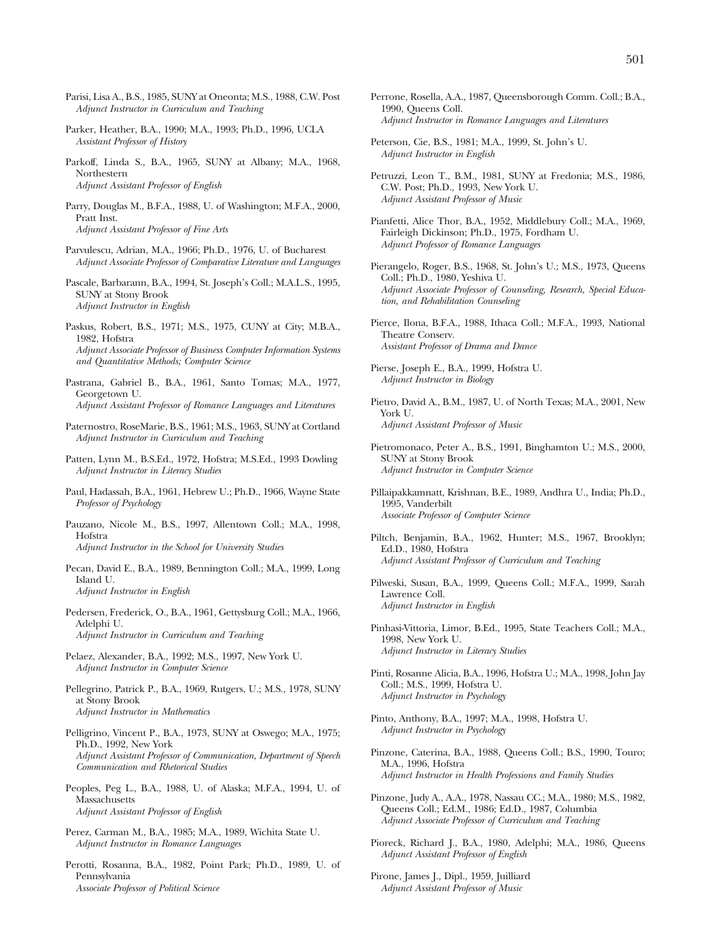- Parisi, Lisa A., B.S., 1985, SUNY at Oneonta; M.S., 1988, C.W. Post *Adjunct Instructor in Curriculum and Teaching*
- Parker, Heather, B.A., 1990; M.A., 1993; Ph.D., 1996, UCLA *Assistant Professor of History*
- Parkoff, Linda S., B.A., 1965, SUNY at Albany; M.A., 1968, Northestern *Adjunct Assistant Professor of English*
- Parry, Douglas M., B.F.A., 1988, U. of Washington; M.F.A., 2000, Pratt Inst. *Adjunct Assistant Professor of Fine Arts*
- Parvulescu, Adrian, M.A., 1966; Ph.D., 1976, U. of Bucharest *Adjunct Associate Professor of Comparative Literature and Languages*
- Pascale, Barbarann, B.A., 1994, St. Joseph's Coll.; M.A.L.S., 1995, SUNY at Stony Brook *Adjunct Instructor in English*
- Paskus, Robert, B.S., 1971; M.S., 1975, CUNY at City; M.B.A., 1982, Hofstra *Adjunct Associate Professor of Business Computer Information Systems and Quantitative Methods; Computer Science*
- Pastrana, Gabriel B., B.A., 1961, Santo Tomas; M.A., 1977, Georgetown U. *Adjunct Assistant Professor of Romance Languages and Literatures*
- Paternostro, RoseMarie, B.S., 1961; M.S., 1963, SUNY at Cortland *Adjunct Instructor in Curriculum and Teaching*
- Patten, Lynn M., B.S.Ed., 1972, Hofstra; M.S.Ed., 1993 Dowling *Adjunct Instructor in Literacy Studies*
- Paul, Hadassah, B.A., 1961, Hebrew U.; Ph.D., 1966, Wayne State *Professor of Psychology*
- Pauzano, Nicole M., B.S., 1997, Allentown Coll.; M.A., 1998, Hofstra
- *Adjunct Instructor in the School for University Studies*
- Pecan, David E., B.A., 1989, Bennington Coll.; M.A., 1999, Long Island U. *Adjunct Instructor in English*
- Pedersen, Frederick, O., B.A., 1961, Gettysburg Coll.; M.A., 1966, Adelphi U. *Adjunct Instructor in Curriculum and Teaching*
- Pelaez, Alexander, B.A., 1992; M.S., 1997, New York U. *Adjunct Instructor in Computer Science*
- Pellegrino, Patrick P., B.A., 1969, Rutgers, U.; M.S., 1978, SUNY at Stony Brook *Adjunct Instructor in Mathematics*
- Pelligrino, Vincent P., B.A., 1973, SUNY at Oswego; M.A., 1975; Ph.D., 1992, New York *Adjunct Assistant Professor of Communication, Department of Speech Communication and Rhetorical Studies*
- Peoples, Peg L., B.A., 1988, U. of Alaska; M.F.A., 1994, U. of **Massachusetts** *Adjunct Assistant Professor of English*
- Perez, Carman M., B.A., 1985; M.A., 1989, Wichita State U. *Adjunct Instructor in Romance Languages*
- Perotti, Rosanna, B.A., 1982, Point Park; Ph.D., 1989, U. of Pennsylvania *Associate Professor of Political Science*
- Perrone, Rosella, A.A., 1987, Queensborough Comm. Coll.; B.A., 1990, Queens Coll. *Adjunct Instructor in Romance Languages and Literatures*
- Peterson, Cie, B.S., 1981; M.A., 1999, St. John's U. *Adjunct Instructor in English*
- Petruzzi, Leon T., B.M., 1981, SUNY at Fredonia; M.S., 1986, C.W. Post; Ph.D., 1993, New York U. *Adjunct Assistant Professor of Music*
- Pianfetti, Alice Thor, B.A., 1952, Middlebury Coll.; M.A., 1969, Fairleigh Dickinson; Ph.D., 1975, Fordham U. *Adjunct Professor of Romance Languages*
- Pierangelo, Roger, B.S., 1968, St. John's U.; M.S., 1973, Queens Coll.; Ph.D., 1980, Yeshiva U. *Adjunct Associate Professor of Counseling, Research, Special Education, and Rehabilitation Counseling*
- Pierce, Ilona, B.F.A., 1988, Ithaca Coll.; M.F.A., 1993, National Theatre Conserv. *Assistant Professor of Drama and Dance*
- Pierse, Joseph E., B.A., 1999, Hofstra U. *Adjunct Instructor in Biology*
- Pietro, David A., B.M., 1987, U. of North Texas; M.A., 2001, New York U. *Adjunct Assistant Professor of Music*
- Pietromonaco, Peter A., B.S., 1991, Binghamton U.; M.S., 2000, SUNY at Stony Brook *Adjunct Instructor in Computer Science*
- Pillaipakkamnatt, Krishnan, B.E., 1989, Andhra U., India; Ph.D., 1995, Vanderbilt *Associate Professor of Computer Science*
- Piltch, Benjamin, B.A., 1962, Hunter; M.S., 1967, Brooklyn; Ed.D., 1980, Hofstra *Adjunct Assistant Professor of Curriculum and Teaching*
- Pilweski, Susan, B.A., 1999, Queens Coll.; M.F.A., 1999, Sarah Lawrence Coll. *Adjunct Instructor in English*
- Pinhasi-Vittoria, Limor, B.Ed., 1995, State Teachers Coll.; M.A., 1998, New York U. *Adjunct Instructor in Literacy Studies*
- Pinti, Rosanne Alicia, B.A., 1996, Hofstra U.; M.A., 1998, John Jay Coll.; M.S., 1999, Hofstra U. *Adjunct Instructor in Psychology*
- Pinto, Anthony, B.A., 1997; M.A., 1998, Hofstra U. *Adjunct Instructor in Psychology*
- Pinzone, Caterina, B.A., 1988, Queens Coll.; B.S., 1990, Touro; M.A., 1996, Hofstra *Adjunct Instructor in Health Professions and Family Studies*
- Pinzone, Judy A., A.A., 1978, Nassau CC.; M.A., 1980; M.S., 1982, Queens Coll.; Ed.M., 1986; Ed.D., 1987, Columbia *Adjunct Associate Professor of Curriculum and Teaching*
- Pioreck, Richard J., B.A., 1980, Adelphi; M.A., 1986, Queens *Adjunct Assistant Professor of English*
- Pirone, James J., Dipl., 1959, Juilliard *Adjunct Assistant Professor of Music*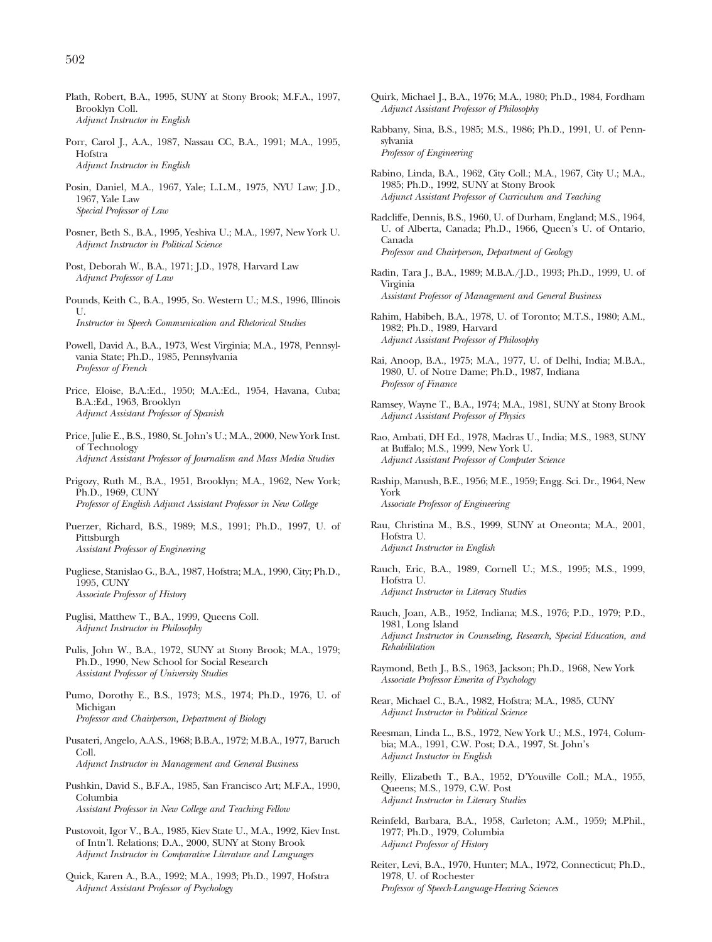- Plath, Robert, B.A., 1995, SUNY at Stony Brook; M.F.A., 1997, Brooklyn Coll. *Adjunct Instructor in English*
- Porr, Carol J., A.A., 1987, Nassau CC, B.A., 1991; M.A., 1995, Hofstra *Adjunct Instructor in English*
- Posin, Daniel, M.A., 1967, Yale; L.L.M., 1975, NYU Law; J.D., 1967, Yale Law *Special Professor of Law*
- Posner, Beth S., B.A., 1995, Yeshiva U.; M.A., 1997, New York U. *Adjunct Instructor in Political Science*
- Post, Deborah W., B.A., 1971; J.D., 1978, Harvard Law *Adjunct Professor of Law*
- Pounds, Keith C., B.A., 1995, So. Western U.; M.S., 1996, Illinois  $II$ *Instructor in Speech Communication and Rhetorical Studies*
- Powell, David A., B.A., 1973, West Virginia; M.A., 1978, Pennsylvania State; Ph.D., 1985, Pennsylvania *Professor of French*
- Price, Eloise, B.A.:Ed., 1950; M.A.:Ed., 1954, Havana, Cuba; B.A.:Ed., 1963, Brooklyn *Adjunct Assistant Professor of Spanish*
- Price, Julie E., B.S., 1980, St. John's U.; M.A., 2000, New York Inst. of Technology *Adjunct Assistant Professor of Journalism and Mass Media Studies*
- Prigozy, Ruth M., B.A., 1951, Brooklyn; M.A., 1962, New York; Ph.D., 1969, CUNY *Professor of English Adjunct Assistant Professor in New College*
- Puerzer, Richard, B.S., 1989; M.S., 1991; Ph.D., 1997, U. of Pittsburgh *Assistant Professor of Engineering*
- Pugliese, Stanislao G., B.A., 1987, Hofstra; M.A., 1990, City; Ph.D., 1995, CUNY *Associate Professor of History*
- Puglisi, Matthew T., B.A., 1999, Queens Coll. *Adjunct Instructor in Philosophy*
- Pulis, John W., B.A., 1972, SUNY at Stony Brook; M.A., 1979; Ph.D., 1990, New School for Social Research *Assistant Professor of University Studies*
- Pumo, Dorothy E., B.S., 1973; M.S., 1974; Ph.D., 1976, U. of Michigan *Professor and Chairperson, Department of Biology*
- Pusateri, Angelo, A.A.S., 1968; B.B.A., 1972; M.B.A., 1977, Baruch Coll. *Adjunct Instructor in Management and General Business*
- Pushkin, David S., B.F.A., 1985, San Francisco Art; M.F.A., 1990, Columbia *Assistant Professor in New College and Teaching Fellow*
- Pustovoit, Igor V., B.A., 1985, Kiev State U., M.A., 1992, Kiev Inst. of Intn'l. Relations; D.A., 2000, SUNY at Stony Brook *Adjunct Instructor in Comparative Literature and Languages*
- Quick, Karen A., B.A., 1992; M.A., 1993; Ph.D., 1997, Hofstra *Adjunct Assistant Professor of Psychology*
- Quirk, Michael J., B.A., 1976; M.A., 1980; Ph.D., 1984, Fordham *Adjunct Assistant Professor of Philosophy*
- Rabbany, Sina, B.S., 1985; M.S., 1986; Ph.D., 1991, U. of Pennsylvania *Professor of Engineering*
- Rabino, Linda, B.A., 1962, City Coll.; M.A., 1967, City U.; M.A., 1985; Ph.D., 1992, SUNY at Stony Brook *Adjunct Assistant Professor of Curriculum and Teaching*
- Radcliffe, Dennis, B.S., 1960, U. of Durham, England; M.S., 1964, U. of Alberta, Canada; Ph.D., 1966, Queen's U. of Ontario, Canada *Professor and Chairperson, Department of Geology*
- Radin, Tara J., B.A., 1989; M.B.A./J.D., 1993; Ph.D., 1999, U. of Virginia *Assistant Professor of Management and General Business*
- Rahim, Habibeh, B.A., 1978, U. of Toronto; M.T.S., 1980; A.M., 1982; Ph.D., 1989, Harvard *Adjunct Assistant Professor of Philosophy*
- Rai, Anoop, B.A., 1975; M.A., 1977, U. of Delhi, India; M.B.A., 1980, U. of Notre Dame; Ph.D., 1987, Indiana *Professor of Finance*
- Ramsey, Wayne T., B.A., 1974; M.A., 1981, SUNY at Stony Brook *Adjunct Assistant Professor of Physics*
- Rao, Ambati, DH Ed., 1978, Madras U., India; M.S., 1983, SUNY at Buffalo; M.S., 1999, New York U. *Adjunct Assistant Professor of Computer Science*
- Raship, Manush, B.E., 1956; M.E., 1959; Engg. Sci. Dr., 1964, New York *Associate Professor of Engineering*
- Rau, Christina M., B.S., 1999, SUNY at Oneonta; M.A., 2001, Hofstra U. *Adjunct Instructor in English*
- Rauch, Eric, B.A., 1989, Cornell U.; M.S., 1995; M.S., 1999, Hofstra U. *Adjunct Instructor in Literacy Studies*
- Rauch, Joan, A.B., 1952, Indiana; M.S., 1976; P.D., 1979; P.D., 1981, Long Island *Adjunct Instructor in Counseling, Research, Special Education, and Rehabilitation*
- Raymond, Beth J., B.S., 1963, Jackson; Ph.D., 1968, New York *Associate Professor Emerita of Psychology*
- Rear, Michael C., B.A., 1982, Hofstra; M.A., 1985, CUNY *Adjunct Instructor in Political Science*
- Reesman, Linda L., B.S., 1972, New York U.; M.S., 1974, Columbia; M.A., 1991, C.W. Post; D.A., 1997, St. John's *Adjunct Instuctor in English*
- Reilly, Elizabeth T., B.A., 1952, D'Youville Coll.; M.A., 1955, Queens; M.S., 1979, C.W. Post *Adjunct Instructor in Literacy Studies*
- Reinfeld, Barbara, B.A., 1958, Carleton; A.M., 1959; M.Phil., 1977; Ph.D., 1979, Columbia *Adjunct Professor of History*
- Reiter, Levi, B.A., 1970, Hunter; M.A., 1972, Connecticut; Ph.D., 1978, U. of Rochester *Professor of Speech-Language-Hearing Sciences*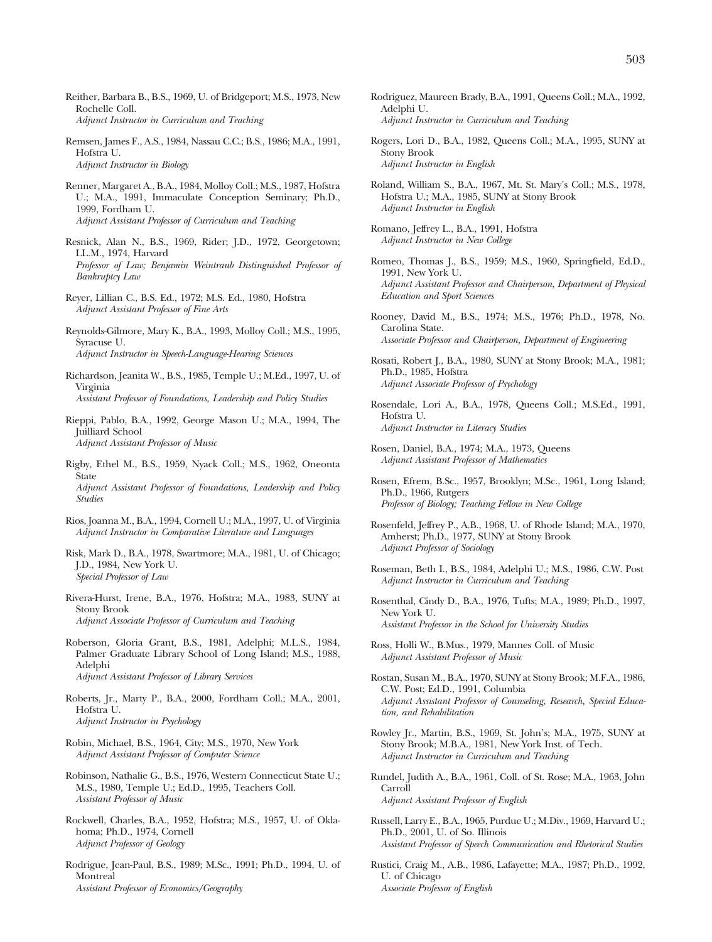- Reither, Barbara B., B.S., 1969, U. of Bridgeport; M.S., 1973, New Rochelle Coll. *Adjunct Instructor in Curriculum and Teaching*
- Remsen, James F., A.S., 1984, Nassau C.C.; B.S., 1986; M.A., 1991, Hofstra U. *Adjunct Instructor in Biology*
- Renner, Margaret A., B.A., 1984, Molloy Coll.; M.S., 1987, Hofstra U.; M.A., 1991, Immaculate Conception Seminary; Ph.D., 1999, Fordham U. *Adjunct Assistant Professor of Curriculum and Teaching*
- Resnick, Alan N., B.S., 1969, Rider; J.D., 1972, Georgetown; LL.M., 1974, Harvard *Professor of Law; Benjamin Weintraub Distinguished Professor of Bankruptcy Law*
- Reyer, Lillian C., B.S. Ed., 1972; M.S. Ed., 1980, Hofstra *Adjunct Assistant Professor of Fine Arts*
- Reynolds-Gilmore, Mary K., B.A., 1993, Molloy Coll.; M.S., 1995, Syracuse U. *Adjunct Instructor in Speech-Language-Hearing Sciences*
- Richardson, Jeanita W., B.S., 1985, Temple U.; M.Ed., 1997, U. of Virginia

*Assistant Professor of Foundations, Leadership and Policy Studies*

- Rieppi, Pablo, B.A., 1992, George Mason U.; M.A., 1994, The Juilliard School *Adjunct Assistant Professor of Music*
- Rigby, Ethel M., B.S., 1959, Nyack Coll.; M.S., 1962, Oneonta State *Adjunct Assistant Professor of Foundations, Leadership and Policy Studies*
- Rios, Joanna M., B.A., 1994, Cornell U.; M.A., 1997, U. of Virginia *Adjunct Instructor in Comparative Literature and Languages*
- Risk, Mark D., B.A., 1978, Swartmore; M.A., 1981, U. of Chicago; J.D., 1984, New York U. *Special Professor of Law*
- Rivera-Hurst, Irene, B.A., 1976, Hofstra; M.A., 1983, SUNY at Stony Brook *Adjunct Associate Professor of Curriculum and Teaching*
- Roberson, Gloria Grant, B.S., 1981, Adelphi; M.L.S., 1984, Palmer Graduate Library School of Long Island; M.S., 1988, Adelphi *Adjunct Assistant Professor of Library Services*
- Roberts, Jr., Marty P., B.A., 2000, Fordham Coll.; M.A., 2001, Hofstra U. *Adjunct Instructor in Psychology*
- Robin, Michael, B.S., 1964, City; M.S., 1970, New York *Adjunct Assistant Professor of Computer Science*
- Robinson, Nathalie G., B.S., 1976, Western Connecticut State U.; M.S., 1980, Temple U.; Ed.D., 1995, Teachers Coll. *Assistant Professor of Music*
- Rockwell, Charles, B.A., 1952, Hofstra; M.S., 1957, U. of Oklahoma; Ph.D., 1974, Cornell *Adjunct Professor of Geology*
- Rodrigue, Jean-Paul, B.S., 1989; M.Sc., 1991; Ph.D., 1994, U. of Montreal *Assistant Professor of Economics/Geography*
- Rodriguez, Maureen Brady, B.A., 1991, Queens Coll.; M.A., 1992, Adelphi U. *Adjunct Instructor in Curriculum and Teaching*
- Rogers, Lori D., B.A., 1982, Queens Coll.; M.A., 1995, SUNY at Stony Brook *Adjunct Instructor in English*
- Roland, William S., B.A., 1967, Mt. St. Mary's Coll.; M.S., 1978, Hofstra U.; M.A., 1985, SUNY at Stony Brook *Adjunct Instructor in English*
- Romano, Jeffrey L., B.A., 1991, Hofstra *Adjunct Instructor in New College*
- Romeo, Thomas J., B.S., 1959; M.S., 1960, Springfield, Ed.D., 1991, New York U. *Adjunct Assistant Professor and Chairperson, Department of Physical Education and Sport Sciences*
- Rooney, David M., B.S., 1974; M.S., 1976; Ph.D., 1978, No. Carolina State. *Associate Professor and Chairperson, Department of Engineering*
- Rosati, Robert J., B.A., 1980, SUNY at Stony Brook; M.A., 1981; Ph.D., 1985, Hofstra *Adjunct Associate Professor of Psychology*
- Rosendale, Lori A., B.A., 1978, Queens Coll.; M.S.Ed., 1991, Hofstra U. *Adjunct Instructor in Literacy Studies*
- Rosen, Daniel, B.A., 1974; M.A., 1973, Queens *Adjunct Assistant Professor of Mathematics*
- Rosen, Efrem, B.Sc., 1957, Brooklyn; M.Sc., 1961, Long Island; Ph.D., 1966, Rutgers *Professor of Biology; Teaching Fellow in New College*
- Rosenfeld, Jeffrey P., A.B., 1968, U. of Rhode Island; M.A., 1970, Amherst; Ph.D., 1977, SUNY at Stony Brook *Adjunct Professor of Sociology*
- Roseman, Beth I., B.S., 1984, Adelphi U.; M.S., 1986, C.W. Post *Adjunct Instructor in Curriculum and Teaching*
- Rosenthal, Cindy D., B.A., 1976, Tufts; M.A., 1989; Ph.D., 1997, New York U. *Assistant Professor in the School for University Studies*
- Ross, Holli W., B.Mus., 1979, Mannes Coll. of Music *Adjunct Assistant Professor of Music*
- Rostan, Susan M., B.A., 1970, SUNY at Stony Brook; M.F.A., 1986, C.W. Post; Ed.D., 1991, Columbia *Adjunct Assistant Professor of Counseling, Research, Special Education, and Rehabilitation*
- Rowley Jr., Martin, B.S., 1969, St. John's; M.A., 1975, SUNY at Stony Brook; M.B.A., 1981, New York Inst. of Tech. *Adjunct Instructor in Curriculum and Teaching*
- Rundel, Judith A., B.A., 1961, Coll. of St. Rose; M.A., 1963, John Carroll *Adjunct Assistant Professor of English*
- Russell, Larry E., B.A., 1965, Purdue U.; M.Div., 1969, Harvard U.; Ph.D., 2001, U. of So. Illinois *Assistant Professor of Speech Communication and Rhetorical Studies*
- Rustici, Craig M., A.B., 1986, Lafayette; M.A., 1987; Ph.D., 1992, U. of Chicago *Associate Professor of English*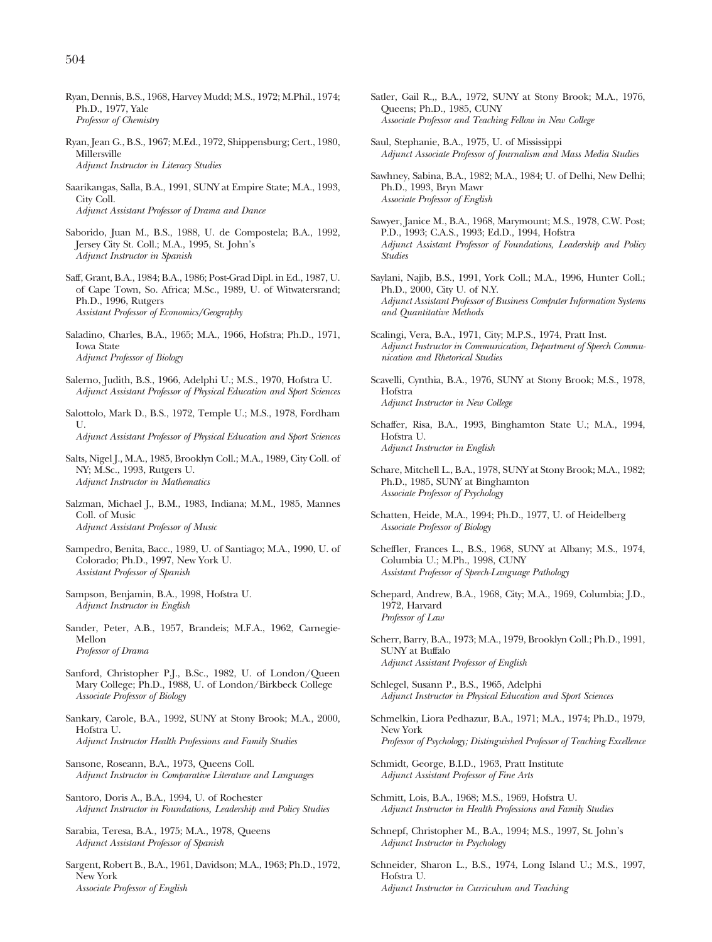- Ryan, Dennis, B.S., 1968, Harvey Mudd; M.S., 1972; M.Phil., 1974; Ph.D., 1977, Yale *Professor of Chemistry*
- Ryan, Jean G., B.S., 1967; M.Ed., 1972, Shippensburg; Cert., 1980, Millersville *Adjunct Instructor in Literacy Studies*
- Saarikangas, Salla, B.A., 1991, SUNY at Empire State; M.A., 1993, City Coll. *Adjunct Assistant Professor of Drama and Dance*
- Saborido, Juan M., B.S., 1988, U. de Compostela; B.A., 1992, Jersey City St. Coll.; M.A., 1995, St. John's *Adjunct Instructor in Spanish*
- Saff, Grant, B.A., 1984; B.A., 1986; Post-Grad Dipl. in Ed., 1987, U. of Cape Town, So. Africa; M.Sc., 1989, U. of Witwatersrand; Ph.D., 1996, Rutgers *Assistant Professor of Economics/Geography*
- Saladino, Charles, B.A., 1965; M.A., 1966, Hofstra; Ph.D., 1971, Iowa State *Adjunct Professor of Biology*
- Salerno, Judith, B.S., 1966, Adelphi U.; M.S., 1970, Hofstra U. *Adjunct Assistant Professor of Physical Education and Sport Sciences*
- Salottolo, Mark D., B.S., 1972, Temple U.; M.S., 1978, Fordham U.
	- *Adjunct Assistant Professor of Physical Education and Sport Sciences*
- Salts, Nigel J., M.A., 1985, Brooklyn Coll.; M.A., 1989, City Coll. of NY; M.Sc., 1993, Rutgers U. *Adjunct Instructor in Mathematics*
- Salzman, Michael J., B.M., 1983, Indiana; M.M., 1985, Mannes Coll. of Music *Adjunct Assistant Professor of Music*
- Sampedro, Benita, Bacc., 1989, U. of Santiago; M.A., 1990, U. of Colorado; Ph.D., 1997, New York U. *Assistant Professor of Spanish*
- Sampson, Benjamin, B.A., 1998, Hofstra U. *Adjunct Instructor in English*
- Sander, Peter, A.B., 1957, Brandeis; M.F.A., 1962, Carnegie-Mellon *Professor of Drama*
- Sanford, Christopher P.J., B.Sc., 1982, U. of London/Queen Mary College; Ph.D., 1988, U. of London/Birkbeck College *Associate Professor of Biology*
- Sankary, Carole, B.A., 1992, SUNY at Stony Brook; M.A., 2000, Hofstra U. *Adjunct Instructor Health Professions and Family Studies*
- Sansone, Roseann, B.A., 1973, Queens Coll. *Adjunct Instructor in Comparative Literature and Languages*
- Santoro, Doris A., B.A., 1994, U. of Rochester *Adjunct Instructor in Foundations, Leadership and Policy Studies*
- Sarabia, Teresa, B.A., 1975; M.A., 1978, Queens *Adjunct Assistant Professor of Spanish*
- Sargent, Robert B., B.A., 1961, Davidson; M.A., 1963; Ph.D., 1972, New York *Associate Professor of English*
- Satler, Gail R.,, B.A., 1972, SUNY at Stony Brook; M.A., 1976, Queens; Ph.D., 1985, CUNY *Associate Professor and Teaching Fellow in New College*
- Saul, Stephanie, B.A., 1975, U. of Mississippi *Adjunct Associate Professor of Journalism and Mass Media Studies*
- Sawhney, Sabina, B.A., 1982; M.A., 1984; U. of Delhi, New Delhi; Ph.D., 1993, Bryn Mawr *Associate Professor of English*
- Sawyer, Janice M., B.A., 1968, Marymount; M.S., 1978, C.W. Post; P.D., 1993; C.A.S., 1993; Ed.D., 1994, Hofstra *Adjunct Assistant Professor of Foundations, Leadership and Policy Studies*
- Saylani, Najib, B.S., 1991, York Coll.; M.A., 1996, Hunter Coll.; Ph.D., 2000, City U. of N.Y. *Adjunct Assistant Professor of Business Computer Information Systems and Quantitative Methods*
- Scalingi, Vera, B.A., 1971, City; M.P.S., 1974, Pratt Inst. *Adjunct Instructor in Communication, Department of Speech Communication and Rhetorical Studies*
- Scavelli, Cynthia, B.A., 1976, SUNY at Stony Brook; M.S., 1978, Hofstra *Adjunct Instructor in New College*
- Schaffer, Risa, B.A., 1993, Binghamton State U.; M.A., 1994, Hofstra U. *Adjunct Instructor in English*
- Schare, Mitchell L., B.A., 1978, SUNY at Stony Brook; M.A., 1982; Ph.D., 1985, SUNY at Binghamton *Associate Professor of Psychology*
- Schatten, Heide, M.A., 1994; Ph.D., 1977, U. of Heidelberg *Associate Professor of Biology*
- Scheffler, Frances L., B.S., 1968, SUNY at Albany; M.S., 1974, Columbia U.; M.Ph., 1998, CUNY *Assistant Professor of Speech-Language Pathology*
- Schepard, Andrew, B.A., 1968, City; M.A., 1969, Columbia; J.D., 1972, Harvard *Professor of Law*
- Scherr, Barry, B.A., 1973; M.A., 1979, Brooklyn Coll.; Ph.D., 1991, SUNY at Buffalo *Adjunct Assistant Professor of English*
- Schlegel, Susann P., B.S., 1965, Adelphi *Adjunct Instructor in Physical Education and Sport Sciences*
- Schmelkin, Liora Pedhazur, B.A., 1971; M.A., 1974; Ph.D., 1979, New York *Professor of Psychology; Distinguished Professor of Teaching Excellence*
- Schmidt, George, B.I.D., 1963, Pratt Institute *Adjunct Assistant Professor of Fine Arts*
- Schmitt, Lois, B.A., 1968; M.S., 1969, Hofstra U. *Adjunct Instructor in Health Professions and Family Studies*
- Schnepf, Christopher M., B.A., 1994; M.S., 1997, St. John's *Adjunct Instructor in Psychology*
- Schneider, Sharon L., B.S., 1974, Long Island U.; M.S., 1997, Hofstra U. *Adjunct Instructor in Curriculum and Teaching*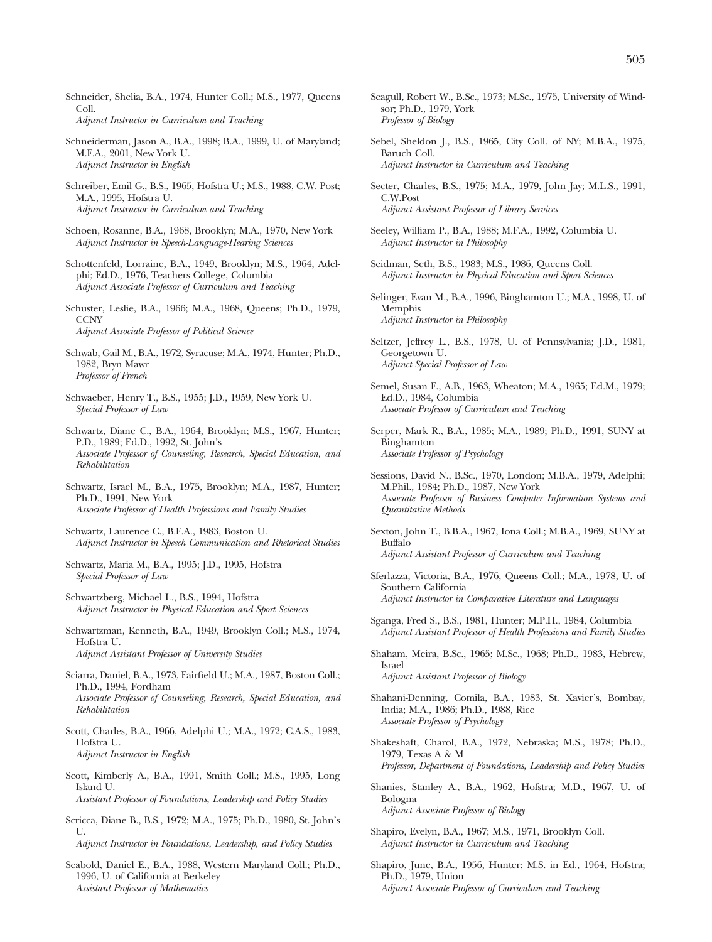- Schneider, Shelia, B.A., 1974, Hunter Coll.; M.S., 1977, Queens Coll. *Adjunct Instructor in Curriculum and Teaching*
- Schneiderman, Jason A., B.A., 1998; B.A., 1999, U. of Maryland; M.F.A., 2001, New York U. *Adjunct Instructor in English*
- Schreiber, Emil G., B.S., 1965, Hofstra U.; M.S., 1988, C.W. Post; M.A., 1995, Hofstra U. *Adjunct Instructor in Curriculum and Teaching*
- Schoen, Rosanne, B.A., 1968, Brooklyn; M.A., 1970, New York *Adjunct Instructor in Speech-Language-Hearing Sciences*
- Schottenfeld, Lorraine, B.A., 1949, Brooklyn; M.S., 1964, Adelphi; Ed.D., 1976, Teachers College, Columbia *Adjunct Associate Professor of Curriculum and Teaching*
- Schuster, Leslie, B.A., 1966; M.A., 1968, Queens; Ph.D., 1979, **CCNY** *Adjunct Associate Professor of Political Science*
- Schwab, Gail M., B.A., 1972, Syracuse; M.A., 1974, Hunter; Ph.D., 1982, Bryn Mawr *Professor of French*
- Schwaeber, Henry T., B.S., 1955; J.D., 1959, New York U. *Special Professor of Law*
- Schwartz, Diane C., B.A., 1964, Brooklyn; M.S., 1967, Hunter; P.D., 1989; Ed.D., 1992, St. John's *Associate Professor of Counseling, Research, Special Education, and Rehabilitation*
- Schwartz, Israel M., B.A., 1975, Brooklyn; M.A., 1987, Hunter; Ph.D., 1991, New York *Associate Professor of Health Professions and Family Studies*
- Schwartz, Laurence C., B.F.A., 1983, Boston U. *Adjunct Instructor in Speech Communication and Rhetorical Studies*
- Schwartz, Maria M., B.A., 1995; J.D., 1995, Hofstra *Special Professor of Law*
- Schwartzberg, Michael L., B.S., 1994, Hofstra *Adjunct Instructor in Physical Education and Sport Sciences*
- Schwartzman, Kenneth, B.A., 1949, Brooklyn Coll.; M.S., 1974, Hofstra U. *Adjunct Assistant Professor of University Studies*
- Sciarra, Daniel, B.A., 1973, Fairfield U.; M.A., 1987, Boston Coll.; Ph.D., 1994, Fordham *Associate Professor of Counseling, Research, Special Education, and Rehabilitation*
- Scott, Charles, B.A., 1966, Adelphi U.; M.A., 1972; C.A.S., 1983, Hofstra U. *Adjunct Instructor in English*
- Scott, Kimberly A., B.A., 1991, Smith Coll.; M.S., 1995, Long Island U. *Assistant Professor of Foundations, Leadership and Policy Studies*
- Scricca, Diane B., B.S., 1972; M.A., 1975; Ph.D., 1980, St. John's U.

*Adjunct Instructor in Foundations, Leadership, and Policy Studies*

Seabold, Daniel E., B.A., 1988, Western Maryland Coll.; Ph.D., 1996, U. of California at Berkeley *Assistant Professor of Mathematics*

- Seagull, Robert W., B.Sc., 1973; M.Sc., 1975, University of Windsor; Ph.D., 1979, York *Professor of Biology*
- Sebel, Sheldon J., B.S., 1965, City Coll. of NY; M.B.A., 1975, Baruch Coll. *Adjunct Instructor in Curriculum and Teaching*
- Secter, Charles, B.S., 1975; M.A., 1979, John Jay; M.L.S., 1991, C.W.Post *Adjunct Assistant Professor of Library Services*
- Seeley, William P., B.A., 1988; M.F.A., 1992, Columbia U. *Adjunct Instructor in Philosophy*
- Seidman, Seth, B.S., 1983; M.S., 1986, Queens Coll. *Adjunct Instructor in Physical Education and Sport Sciences*
- Selinger, Evan M., B.A., 1996, Binghamton U.; M.A., 1998, U. of Memphis *Adjunct Instructor in Philosophy*
- Seltzer, Jeffrey L., B.S., 1978, U. of Pennsylvania; J.D., 1981, Georgetown U. *Adjunct Special Professor of Law*
- Semel, Susan F., A.B., 1963, Wheaton; M.A., 1965; Ed.M., 1979; Ed.D., 1984, Columbia *Associate Professor of Curriculum and Teaching*
- Serper, Mark R., B.A., 1985; M.A., 1989; Ph.D., 1991, SUNY at Binghamton *Associate Professor of Psychology*
- Sessions, David N., B.Sc., 1970, London; M.B.A., 1979, Adelphi; M.Phil., 1984; Ph.D., 1987, New York *Associate Professor of Business Computer Information Systems and Quantitative Methods*
- Sexton, John T., B.B.A., 1967, Iona Coll.; M.B.A., 1969, SUNY at Buffalo *Adjunct Assistant Professor of Curriculum and Teaching*
- Sferlazza, Victoria, B.A., 1976, Queens Coll.; M.A., 1978, U. of Southern California *Adjunct Instructor in Comparative Literature and Languages*
- Sganga, Fred S., B.S., 1981, Hunter; M.P.H., 1984, Columbia *Adjunct Assistant Professor of Health Professions and Family Studies*
- Shaham, Meira, B.Sc., 1965; M.Sc., 1968; Ph.D., 1983, Hebrew, Israel *Adjunct Assistant Professor of Biology*
- Shahani-Denning, Comila, B.A., 1983, St. Xavier's, Bombay, India; M.A., 1986; Ph.D., 1988, Rice *Associate Professor of Psychology*
- Shakeshaft, Charol, B.A., 1972, Nebraska; M.S., 1978; Ph.D., 1979. Texas A & M *Professor, Department of Foundations, Leadership and Policy Studies*
- Shanies, Stanley A., B.A., 1962, Hofstra; M.D., 1967, U. of Bologna *Adjunct Associate Professor of Biology*
- Shapiro, Evelyn, B.A., 1967; M.S., 1971, Brooklyn Coll. *Adjunct Instructor in Curriculum and Teaching*
- Shapiro, June, B.A., 1956, Hunter; M.S. in Ed., 1964, Hofstra; Ph.D., 1979, Union *Adjunct Associate Professor of Curriculum and Teaching*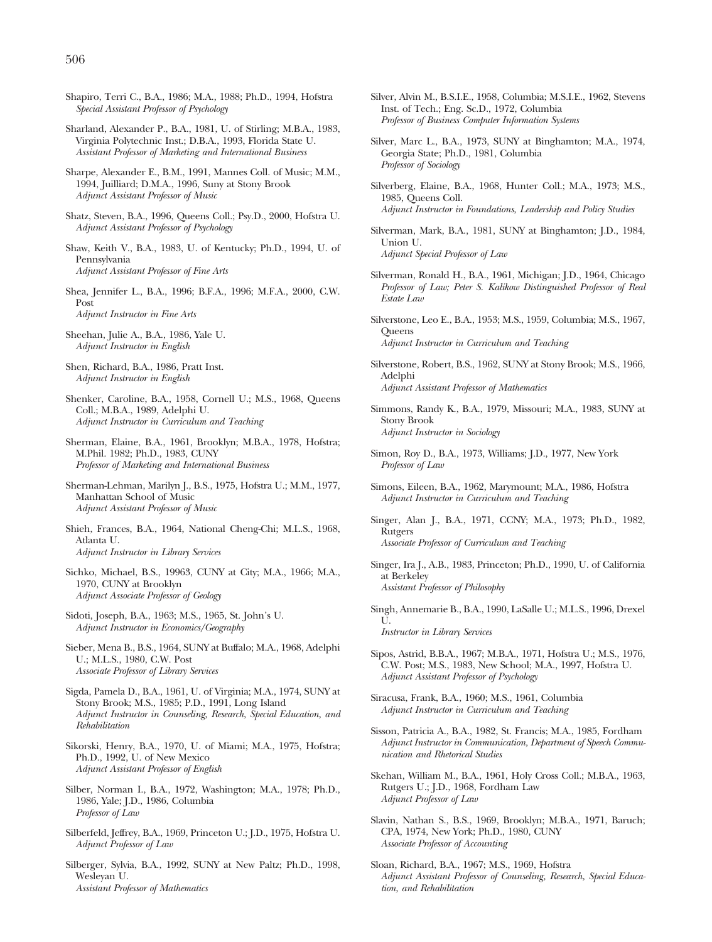- Shapiro, Terri C., B.A., 1986; M.A., 1988; Ph.D., 1994, Hofstra *Special Assistant Professor of Psychology*
- Sharland, Alexander P., B.A., 1981, U. of Stirling; M.B.A., 1983, Virginia Polytechnic Inst.; D.B.A., 1993, Florida State U. *Assistant Professor of Marketing and International Business*
- Sharpe, Alexander E., B.M., 1991, Mannes Coll. of Music; M.M., 1994, Juilliard; D.M.A., 1996, Suny at Stony Brook *Adjunct Assistant Professor of Music*
- Shatz, Steven, B.A., 1996, Queens Coll.; Psy.D., 2000, Hofstra U. *Adjunct Assistant Professor of Psychology*
- Shaw, Keith V., B.A., 1983, U. of Kentucky; Ph.D., 1994, U. of Pennsylvania *Adjunct Assistant Professor of Fine Arts*
- Shea, Jennifer L., B.A., 1996; B.F.A., 1996; M.F.A., 2000, C.W. Post *Adjunct Instructor in Fine Arts*
- Sheehan, Julie A., B.A., 1986, Yale U. *Adjunct Instructor in English*
- Shen, Richard, B.A., 1986, Pratt Inst. *Adjunct Instructor in English*
- Shenker, Caroline, B.A., 1958, Cornell U.; M.S., 1968, Queens Coll.; M.B.A., 1989, Adelphi U. *Adjunct Instructor in Curriculum and Teaching*
- Sherman, Elaine, B.A., 1961, Brooklyn; M.B.A., 1978, Hofstra; M.Phil. 1982; Ph.D., 1983, CUNY *Professor of Marketing and International Business*
- Sherman-Lehman, Marilyn J., B.S., 1975, Hofstra U.; M.M., 1977, Manhattan School of Music *Adjunct Assistant Professor of Music*
- Shieh, Frances, B.A., 1964, National Cheng-Chi; M.L.S., 1968, Atlanta U. *Adjunct Instructor in Library Services*
- Sichko, Michael, B.S., 19963, CUNY at City; M.A., 1966; M.A., 1970, CUNY at Brooklyn *Adjunct Associate Professor of Geology*
- Sidoti, Joseph, B.A., 1963; M.S., 1965, St. John's U. *Adjunct Instructor in Economics/Geography*
- Sieber, Mena B., B.S., 1964, SUNY at Buffalo; M.A., 1968, Adelphi U.; M.L.S., 1980, C.W. Post *Associate Professor of Library Services*
- Sigda, Pamela D., B.A., 1961, U. of Virginia; M.A., 1974, SUNY at Stony Brook; M.S., 1985; P.D., 1991, Long Island *Adjunct Instructor in Counseling, Research, Special Education, and Rehabilitation*
- Sikorski, Henry, B.A., 1970, U. of Miami; M.A., 1975, Hofstra; Ph.D., 1992, U. of New Mexico *Adjunct Assistant Professor of English*
- Silber, Norman I., B.A., 1972, Washington; M.A., 1978; Ph.D., 1986, Yale; J.D., 1986, Columbia *Professor of Law*
- Silberfeld, Jeffrey, B.A., 1969, Princeton U.; J.D., 1975, Hofstra U. *Adjunct Professor of Law*
- Silberger, Sylvia, B.A., 1992, SUNY at New Paltz; Ph.D., 1998, Wesleyan U. *Assistant Professor of Mathematics*
- Silver, Alvin M., B.S.I.E., 1958, Columbia; M.S.I.E., 1962, Stevens Inst. of Tech.; Eng. Sc.D., 1972, Columbia *Professor of Business Computer Information Systems*
- Silver, Marc L., B.A., 1973, SUNY at Binghamton; M.A., 1974, Georgia State; Ph.D., 1981, Columbia *Professor of Sociology*
- Silverberg, Elaine, B.A., 1968, Hunter Coll.; M.A., 1973; M.S., 1985, Queens Coll. *Adjunct Instructor in Foundations, Leadership and Policy Studies*
- Silverman, Mark, B.A., 1981, SUNY at Binghamton; J.D., 1984, Union U. *Adjunct Special Professor of Law*
- Silverman, Ronald H., B.A., 1961, Michigan; J.D., 1964, Chicago *Professor of Law; Peter S. Kalikow Distinguished Professor of Real Estate Law*
- Silverstone, Leo E., B.A., 1953; M.S., 1959, Columbia; M.S., 1967, **Queens** *Adjunct Instructor in Curriculum and Teaching*
- Silverstone, Robert, B.S., 1962, SUNY at Stony Brook; M.S., 1966, Adelphi *Adjunct Assistant Professor of Mathematics*
- Simmons, Randy K., B.A., 1979, Missouri; M.A., 1983, SUNY at Stony Brook *Adjunct Instructor in Sociology*
- Simon, Roy D., B.A., 1973, Williams; J.D., 1977, New York *Professor of Law*
- Simons, Eileen, B.A., 1962, Marymount; M.A., 1986, Hofstra *Adjunct Instructor in Curriculum and Teaching*
- Singer, Alan J., B.A., 1971, CCNY; M.A., 1973; Ph.D., 1982, **Rutgers** *Associate Professor of Curriculum and Teaching*
- Singer, Ira J., A.B., 1983, Princeton; Ph.D., 1990, U. of California at Berkeley *Assistant Professor of Philosophy*
- Singh, Annemarie B., B.A., 1990, LaSalle U.; M.L.S., 1996, Drexel U.
	- *Instructor in Library Services*
- Sipos, Astrid, B.B.A., 1967; M.B.A., 1971, Hofstra U.; M.S., 1976, C.W. Post; M.S., 1983, New School; M.A., 1997, Hofstra U. *Adjunct Assistant Professor of Psychology*
- Siracusa, Frank, B.A., 1960; M.S., 1961, Columbia *Adjunct Instructor in Curriculum and Teaching*
- Sisson, Patricia A., B.A., 1982, St. Francis; M.A., 1985, Fordham *Adjunct Instructor in Communication, Department of Speech Communication and Rhetorical Studies*
- Skehan, William M., B.A., 1961, Holy Cross Coll.; M.B.A., 1963, Rutgers U.; J.D., 1968, Fordham Law *Adjunct Professor of Law*
- Slavin, Nathan S., B.S., 1969, Brooklyn; M.B.A., 1971, Baruch; CPA, 1974, New York; Ph.D., 1980, CUNY *Associate Professor of Accounting*
- Sloan, Richard, B.A., 1967; M.S., 1969, Hofstra *Adjunct Assistant Professor of Counseling, Research, Special Education, and Rehabilitation*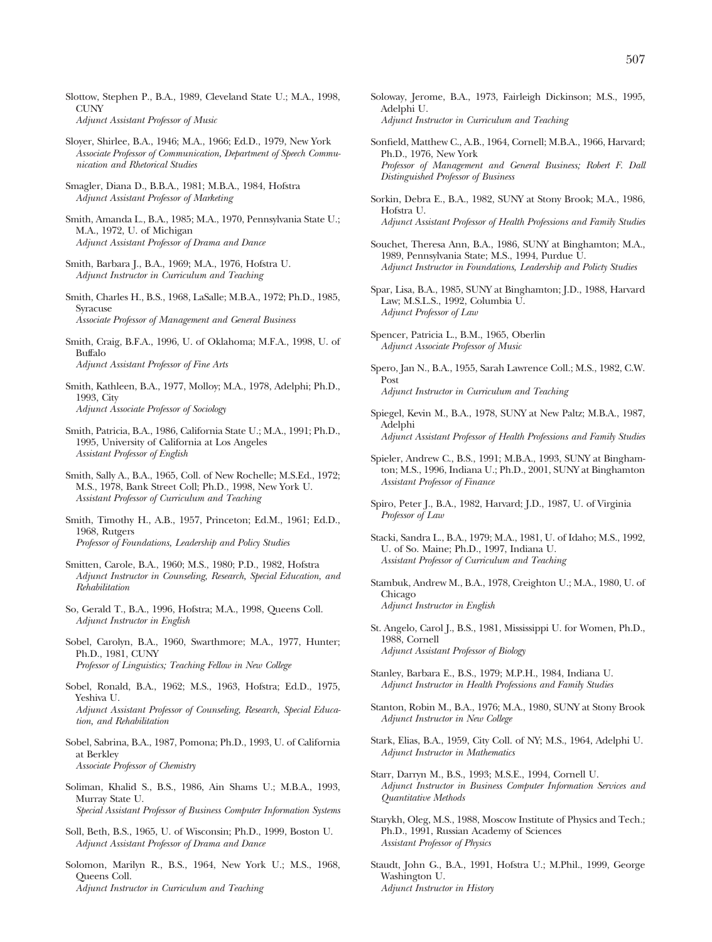- Slottow, Stephen P., B.A., 1989, Cleveland State U.; M.A., 1998, **CUNY** *Adjunct Assistant Professor of Music*
- Sloyer, Shirlee, B.A., 1946; M.A., 1966; Ed.D., 1979, New York *Associate Professor of Communication, Department of Speech Communication and Rhetorical Studies*
- Smagler, Diana D., B.B.A., 1981; M.B.A., 1984, Hofstra *Adjunct Assistant Professor of Marketing*
- Smith, Amanda L., B.A., 1985; M.A., 1970, Pennsylvania State U.; M.A., 1972, U. of Michigan *Adjunct Assistant Professor of Drama and Dance*
- Smith, Barbara J., B.A., 1969; M.A., 1976, Hofstra U. *Adjunct Instructor in Curriculum and Teaching*
- Smith, Charles H., B.S., 1968, LaSalle; M.B.A., 1972; Ph.D., 1985, Syracuse *Associate Professor of Management and General Business*
- Smith, Craig, B.F.A., 1996, U. of Oklahoma; M.F.A., 1998, U. of Buffalo *Adjunct Assistant Professor of Fine Arts*
- Smith, Kathleen, B.A., 1977, Molloy; M.A., 1978, Adelphi; Ph.D., 1993, City *Adjunct Associate Professor of Sociology*
- Smith, Patricia, B.A., 1986, California State U.; M.A., 1991; Ph.D., 1995, University of California at Los Angeles *Assistant Professor of English*
- Smith, Sally A., B.A., 1965, Coll. of New Rochelle; M.S.Ed., 1972; M.S., 1978, Bank Street Coll; Ph.D., 1998, New York U. *Assistant Professor of Curriculum and Teaching*
- Smith, Timothy H., A.B., 1957, Princeton; Ed.M., 1961; Ed.D., 1968, Rutgers *Professor of Foundations, Leadership and Policy Studies*
- Smitten, Carole, B.A., 1960; M.S., 1980; P.D., 1982, Hofstra *Adjunct Instructor in Counseling, Research, Special Education, and Rehabilitation*
- So, Gerald T., B.A., 1996, Hofstra; M.A., 1998, Queens Coll. *Adjunct Instructor in English*
- Sobel, Carolyn, B.A., 1960, Swarthmore; M.A., 1977, Hunter; Ph.D., 1981, CUNY *Professor of Linguistics; Teaching Fellow in New College*
- Sobel, Ronald, B.A., 1962; M.S., 1963, Hofstra; Ed.D., 1975, Yeshiva U. *Adjunct Assistant Professor of Counseling, Research, Special Educa-*
- *tion, and Rehabilitation* Sobel, Sabrina, B.A., 1987, Pomona; Ph.D., 1993, U. of California at Berkley

*Associate Professor of Chemistry*

- Soliman, Khalid S., B.S., 1986, Ain Shams U.; M.B.A., 1993, Murray State U. *Special Assistant Professor of Business Computer Information Systems*
- Soll, Beth, B.S., 1965, U. of Wisconsin; Ph.D., 1999, Boston U. *Adjunct Assistant Professor of Drama and Dance*
- Solomon, Marilyn R., B.S., 1964, New York U.; M.S., 1968, Queens Coll.

*Adjunct Instructor in Curriculum and Teaching*

- Soloway, Jerome, B.A., 1973, Fairleigh Dickinson; M.S., 1995, Adelphi U. *Adjunct Instructor in Curriculum and Teaching*
- Sonfield, Matthew C., A.B., 1964, Cornell; M.B.A., 1966, Harvard; Ph.D., 1976, New York *Professor of Management and General Business; Robert F. Dall Distinguished Professor of Business*
- Sorkin, Debra E., B.A., 1982, SUNY at Stony Brook; M.A., 1986, Hofstra U. *Adjunct Assistant Professor of Health Professions and Family Studies*
- Souchet, Theresa Ann, B.A., 1986, SUNY at Binghamton; M.A., 1989, Pennsylvania State; M.S., 1994, Purdue U. *Adjunct Instructor in Foundations, Leadership and Policty Studies*
- Spar, Lisa, B.A., 1985, SUNY at Binghamton; J.D., 1988, Harvard Law; M.S.L.S., 1992, Columbia U. *Adjunct Professor of Law*
- Spencer, Patricia L., B.M., 1965, Oberlin *Adjunct Associate Professor of Music*
- Spero, Jan N., B.A., 1955, Sarah Lawrence Coll.; M.S., 1982, C.W. Post *Adjunct Instructor in Curriculum and Teaching*
- Spiegel, Kevin M., B.A., 1978, SUNY at New Paltz; M.B.A., 1987, Adelphi *Adjunct Assistant Professor of Health Professions and Family Studies*
- Spieler, Andrew C., B.S., 1991; M.B.A., 1993, SUNY at Binghamton; M.S., 1996, Indiana U.; Ph.D., 2001, SUNY at Binghamton *Assistant Professor of Finance*
- Spiro, Peter J., B.A., 1982, Harvard; J.D., 1987, U. of Virginia *Professor of Law*
- Stacki, Sandra L., B.A., 1979; M.A., 1981, U. of Idaho; M.S., 1992, U. of So. Maine; Ph.D., 1997, Indiana U. *Assistant Professor of Curriculum and Teaching*
- Stambuk, Andrew M., B.A., 1978, Creighton U.; M.A., 1980, U. of Chicago *Adjunct Instructor in English*
- St. Angelo, Carol J., B.S., 1981, Mississippi U. for Women, Ph.D., 1988, Cornell *Adjunct Assistant Professor of Biology*
- Stanley, Barbara E., B.S., 1979; M.P.H., 1984, Indiana U. *Adjunct Instructor in Health Professions and Family Studies*
- Stanton, Robin M., B.A., 1976; M.A., 1980, SUNY at Stony Brook *Adjunct Instructor in New College*
- Stark, Elias, B.A., 1959, City Coll. of NY; M.S., 1964, Adelphi U. *Adjunct Instructor in Mathematics*
- Starr, Darryn M., B.S., 1993; M.S.E., 1994, Cornell U. *Adjunct Instructor in Business Computer Information Services and Quantitative Methods*
- Starykh, Oleg, M.S., 1988, Moscow Institute of Physics and Tech.; Ph.D., 1991, Russian Academy of Sciences *Assistant Professor of Physics*
- Staudt, John G., B.A., 1991, Hofstra U.; M.Phil., 1999, George Washington U. *Adjunct Instructor in History*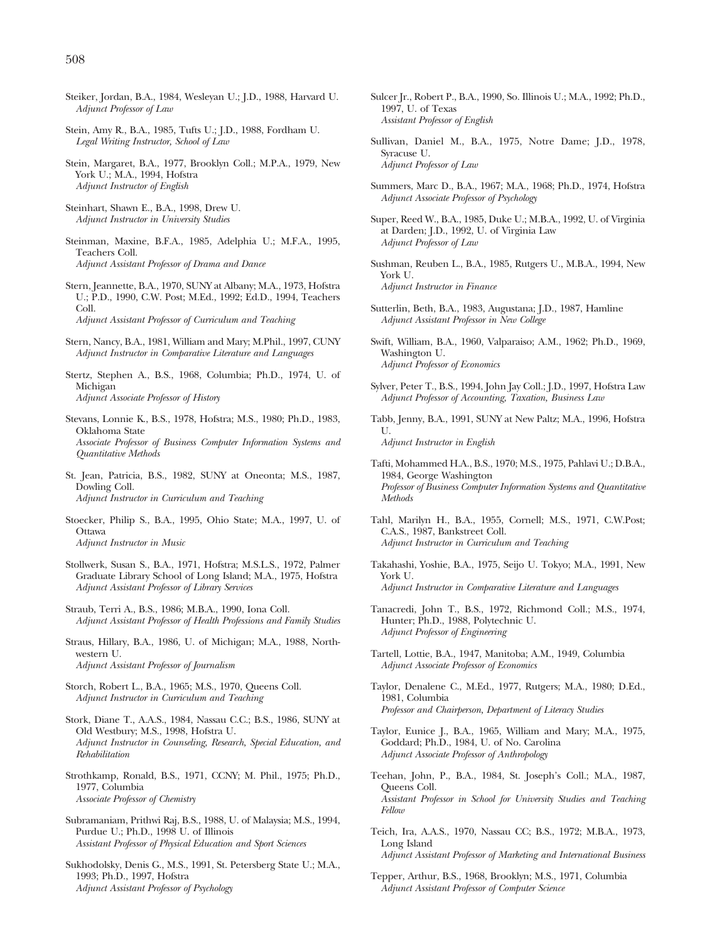- Steiker, Jordan, B.A., 1984, Wesleyan U.; J.D., 1988, Harvard U. *Adjunct Professor of Law*
- Stein, Amy R., B.A., 1985, Tufts U.; J.D., 1988, Fordham U. *Legal Writing Instructor, School of Law*
- Stein, Margaret, B.A., 1977, Brooklyn Coll.; M.P.A., 1979, New York U.; M.A., 1994, Hofstra *Adjunct Instructor of English*
- Steinhart, Shawn E., B.A., 1998, Drew U. *Adjunct Instructor in University Studies*
- Steinman, Maxine, B.F.A., 1985, Adelphia U.; M.F.A., 1995, Teachers Coll. *Adjunct Assistant Professor of Drama and Dance*
- Stern, Jeannette, B.A., 1970, SUNY at Albany; M.A., 1973, Hofstra U.; P.D., 1990, C.W. Post; M.Ed., 1992; Ed.D., 1994, Teachers Coll.

*Adjunct Assistant Professor of Curriculum and Teaching*

- Stern, Nancy, B.A., 1981, William and Mary; M.Phil., 1997, CUNY *Adjunct Instructor in Comparative Literature and Languages*
- Stertz, Stephen A., B.S., 1968, Columbia; Ph.D., 1974, U. of Michigan *Adjunct Associate Professor of History*
- Stevans, Lonnie K., B.S., 1978, Hofstra; M.S., 1980; Ph.D., 1983, Oklahoma State *Associate Professor of Business Computer Information Systems and Quantitative Methods*
- St. Jean, Patricia, B.S., 1982, SUNY at Oneonta; M.S., 1987, Dowling Coll. *Adjunct Instructor in Curriculum and Teaching*
- Stoecker, Philip S., B.A., 1995, Ohio State; M.A., 1997, U. of **Ottawa** *Adjunct Instructor in Music*
- Stollwerk, Susan S., B.A., 1971, Hofstra; M.S.L.S., 1972, Palmer Graduate Library School of Long Island; M.A., 1975, Hofstra *Adjunct Assistant Professor of Library Services*
- Straub, Terri A., B.S., 1986; M.B.A., 1990, Iona Coll. *Adjunct Assistant Professor of Health Professions and Family Studies*
- Straus, Hillary, B.A., 1986, U. of Michigan; M.A., 1988, Northwestern U. *Adjunct Assistant Professor of Journalism*
- Storch, Robert L., B.A., 1965; M.S., 1970, Queens Coll. *Adjunct Instructor in Curriculum and Teaching*
- Stork, Diane T., A.A.S., 1984, Nassau C.C.; B.S., 1986, SUNY at Old Westbury; M.S., 1998, Hofstra U. *Adjunct Instructor in Counseling, Research, Special Education, and Rehabilitation*
- Strothkamp, Ronald, B.S., 1971, CCNY; M. Phil., 1975; Ph.D., 1977, Columbia *Associate Professor of Chemistry*
- Subramaniam, Prithwi Raj, B.S., 1988, U. of Malaysia; M.S., 1994, Purdue U.; Ph.D., 1998 U. of Illinois *Assistant Professor of Physical Education and Sport Sciences*
- Sukhodolsky, Denis G., M.S., 1991, St. Petersberg State U.; M.A., 1993; Ph.D., 1997, Hofstra *Adjunct Assistant Professor of Psychology*
- Sulcer Jr., Robert P., B.A., 1990, So. Illinois U.; M.A., 1992; Ph.D., 1997, U. of Texas *Assistant Professor of English*
- Sullivan, Daniel M., B.A., 1975, Notre Dame; J.D., 1978, Syracuse U. *Adjunct Professor of Law*
- Summers, Marc D., B.A., 1967; M.A., 1968; Ph.D., 1974, Hofstra *Adjunct Associate Professor of Psychology*
- Super, Reed W., B.A., 1985, Duke U.; M.B.A., 1992, U. of Virginia at Darden; J.D., 1992, U. of Virginia Law *Adjunct Professor of Law*
- Sushman, Reuben L., B.A., 1985, Rutgers U., M.B.A., 1994, New York U. *Adjunct Instructor in Finance*
- Sutterlin, Beth, B.A., 1983, Augustana; J.D., 1987, Hamline *Adjunct Assistant Professor in New College*
- Swift, William, B.A., 1960, Valparaiso; A.M., 1962; Ph.D., 1969, Washington U. *Adjunct Professor of Economics*
- Sylver, Peter T., B.S., 1994, John Jay Coll.; J.D., 1997, Hofstra Law *Adjunct Professor of Accounting, Taxation, Business Law*
- Tabb, Jenny, B.A., 1991, SUNY at New Paltz; M.A., 1996, Hofstra U. *Adjunct Instructor in English*
- Tafti, Mohammed H.A., B.S., 1970; M.S., 1975, Pahlavi U.; D.B.A., 1984, George Washington *Professor of Business Computer Information Systems and Quantitative Methods*
- Tahl, Marilyn H., B.A., 1955, Cornell; M.S., 1971, C.W.Post; C.A.S., 1987, Bankstreet Coll. *Adjunct Instructor in Curriculum and Teaching*
- Takahashi, Yoshie, B.A., 1975, Seijo U. Tokyo; M.A., 1991, New York U. *Adjunct Instructor in Comparative Literature and Languages*
- Tanacredi, John T., B.S., 1972, Richmond Coll.; M.S., 1974, Hunter; Ph.D., 1988, Polytechnic U. *Adjunct Professor of Engineering*
- Tartell, Lottie, B.A., 1947, Manitoba; A.M., 1949, Columbia *Adjunct Associate Professor of Economics*
- Taylor, Denalene C., M.Ed., 1977, Rutgers; M.A., 1980; D.Ed., 1981, Columbia *Professor and Chairperson, Department of Literacy Studies*
- Taylor, Eunice J., B.A., 1965, William and Mary; M.A., 1975, Goddard; Ph.D., 1984, U. of No. Carolina *Adjunct Associate Professor of Anthropology*
- Teehan, John, P., B.A., 1984, St. Joseph's Coll.; M.A., 1987, Queens Coll. *Assistant Professor in School for University Studies and Teaching Fellow*
- Teich, Ira, A.A.S., 1970, Nassau CC; B.S., 1972; M.B.A., 1973, Long Island *Adjunct Assistant Professor of Marketing and International Business*
- Tepper, Arthur, B.S., 1968, Brooklyn; M.S., 1971, Columbia *Adjunct Assistant Professor of Computer Science*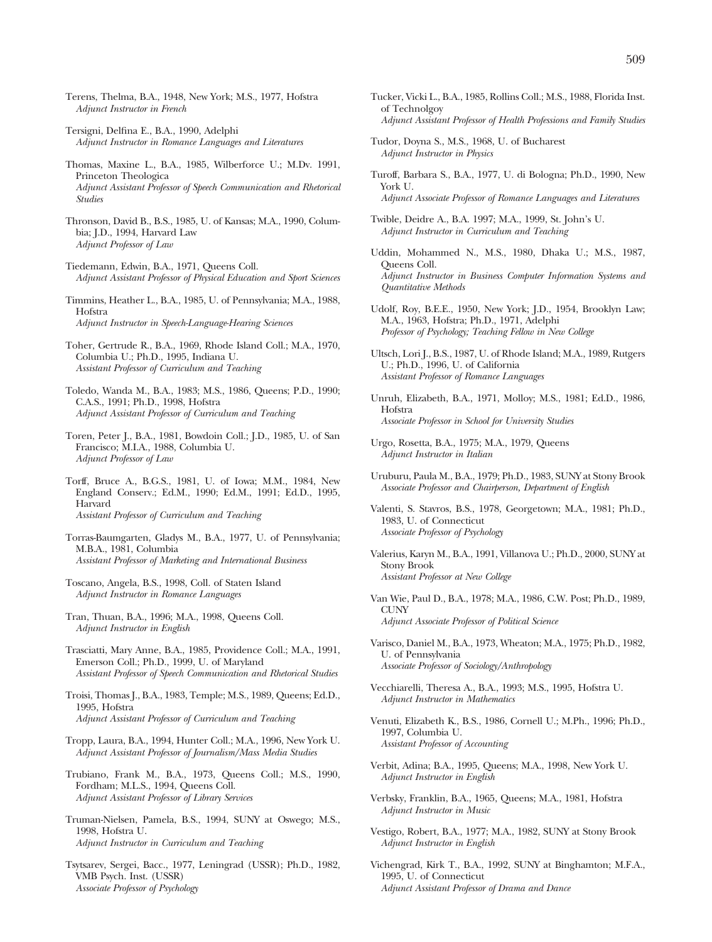- Terens, Thelma, B.A., 1948, New York; M.S., 1977, Hofstra *Adjunct Instructor in French*
- Tersigni, Delfina E., B.A., 1990, Adelphi *Adjunct Instructor in Romance Languages and Literatures*
- Thomas, Maxine L., B.A., 1985, Wilberforce U.; M.Dv. 1991, Princeton Theologica *Adjunct Assistant Professor of Speech Communication and Rhetorical Studies*
- Thronson, David B., B.S., 1985, U. of Kansas; M.A., 1990, Columbia; J.D., 1994, Harvard Law *Adjunct Professor of Law*
- Tiedemann, Edwin, B.A., 1971, Queens Coll. *Adjunct Assistant Professor of Physical Education and Sport Sciences*
- Timmins, Heather L., B.A., 1985, U. of Pennsylvania; M.A., 1988, Hofstra *Adjunct Instructor in Speech-Language-Hearing Sciences*
- Toher, Gertrude R., B.A., 1969, Rhode Island Coll.; M.A., 1970, Columbia U.; Ph.D., 1995, Indiana U. *Assistant Professor of Curriculum and Teaching*
- Toledo, Wanda M., B.A., 1983; M.S., 1986, Queens; P.D., 1990; C.A.S., 1991; Ph.D., 1998, Hofstra *Adjunct Assistant Professor of Curriculum and Teaching*
- Toren, Peter J., B.A., 1981, Bowdoin Coll.; J.D., 1985, U. of San Francisco; M.I.A., 1988, Columbia U. *Adjunct Professor of Law*
- Torff, Bruce A., B.G.S., 1981, U. of Iowa; M.M., 1984, New England Conserv.; Ed.M., 1990; Ed.M., 1991; Ed.D., 1995, Harvard *Assistant Professor of Curriculum and Teaching*
- Torras-Baumgarten, Gladys M., B.A., 1977, U. of Pennsylvania; M.B.A., 1981, Columbia *Assistant Professor of Marketing and International Business*
- Toscano, Angela, B.S., 1998, Coll. of Staten Island *Adjunct Instructor in Romance Languages*
- Tran, Thuan, B.A., 1996; M.A., 1998, Queens Coll. *Adjunct Instructor in English*
- Trasciatti, Mary Anne, B.A., 1985, Providence Coll.; M.A., 1991, Emerson Coll.; Ph.D., 1999, U. of Maryland *Assistant Professor of Speech Communication and Rhetorical Studies*
- Troisi, Thomas J., B.A., 1983, Temple; M.S., 1989, Queens; Ed.D., 1995, Hofstra *Adjunct Assistant Professor of Curriculum and Teaching*
- Tropp, Laura, B.A., 1994, Hunter Coll.; M.A., 1996, New York U. *Adjunct Assistant Professor of Journalism/Mass Media Studies*
- Trubiano, Frank M., B.A., 1973, Queens Coll.; M.S., 1990, Fordham; M.L.S., 1994, Queens Coll. *Adjunct Assistant Professor of Library Services*
- Truman-Nielsen, Pamela, B.S., 1994, SUNY at Oswego; M.S., 1998, Hofstra U. *Adjunct Instructor in Curriculum and Teaching*
- Tsytsarev, Sergei, Bacc., 1977, Leningrad (USSR); Ph.D., 1982, VMB Psych. Inst. (USSR) *Associate Professor of Psychology*
- Tucker, Vicki L., B.A., 1985, Rollins Coll.; M.S., 1988, Florida Inst. of Technolgoy *Adjunct Assistant Professor of Health Professions and Family Studies*
- Tudor, Doyna S., M.S., 1968, U. of Bucharest *Adjunct Instructor in Physics*
- Turoff, Barbara S., B.A., 1977, U. di Bologna; Ph.D., 1990, New York U. *Adjunct Associate Professor of Romance Languages and Literatures*
- Twible, Deidre A., B.A. 1997; M.A., 1999, St. John's U. *Adjunct Instructor in Curriculum and Teaching*
- Uddin, Mohammed N., M.S., 1980, Dhaka U.; M.S., 1987, Queens Coll. *Adjunct Instructor in Business Computer Information Systems and Quantitative Methods*
- Udolf, Roy, B.E.E., 1950, New York; J.D., 1954, Brooklyn Law; M.A., 1963, Hofstra; Ph.D., 1971, Adelphi *Professor of Psychology; Teaching Fellow in New College*
- Ultsch, Lori J., B.S., 1987, U. of Rhode Island; M.A., 1989, Rutgers U.; Ph.D., 1996, U. of California *Assistant Professor of Romance Languages*
- Unruh, Elizabeth, B.A., 1971, Molloy; M.S., 1981; Ed.D., 1986, Hofstra *Associate Professor in School for University Studies*
- Urgo, Rosetta, B.A., 1975; M.A., 1979, Queens *Adjunct Instructor in Italian*
- Uruburu, Paula M., B.A., 1979; Ph.D., 1983, SUNY at Stony Brook *Associate Professor and Chairperson, Department of English*
- Valenti, S. Stavros, B.S., 1978, Georgetown; M.A., 1981; Ph.D., 1983, U. of Connecticut *Associate Professor of Psychology*
- Valerius, Karyn M., B.A., 1991, Villanova U.; Ph.D., 2000, SUNY at Stony Brook *Assistant Professor at New College*
- Van Wie, Paul D., B.A., 1978; M.A., 1986, C.W. Post; Ph.D., 1989, **CUNY** *Adjunct Associate Professor of Political Science*
- Varisco, Daniel M., B.A., 1973, Wheaton; M.A., 1975; Ph.D., 1982, U. of Pennsylvania *Associate Professor of Sociology/Anthropology*
- Vecchiarelli, Theresa A., B.A., 1993; M.S., 1995, Hofstra U. *Adjunct Instructor in Mathematics*
- Venuti, Elizabeth K., B.S., 1986, Cornell U.; M.Ph., 1996; Ph.D., 1997, Columbia U. *Assistant Professor of Accounting*
- Verbit, Adina; B.A., 1995, Queens; M.A., 1998, New York U. *Adjunct Instructor in English*
- Verbsky, Franklin, B.A., 1965, Queens; M.A., 1981, Hofstra *Adjunct Instructor in Music*
- Vestigo, Robert, B.A., 1977; M.A., 1982, SUNY at Stony Brook *Adjunct Instructor in English*
- Vichengrad, Kirk T., B.A., 1992, SUNY at Binghamton; M.F.A., 1995, U. of Connecticut *Adjunct Assistant Professor of Drama and Dance*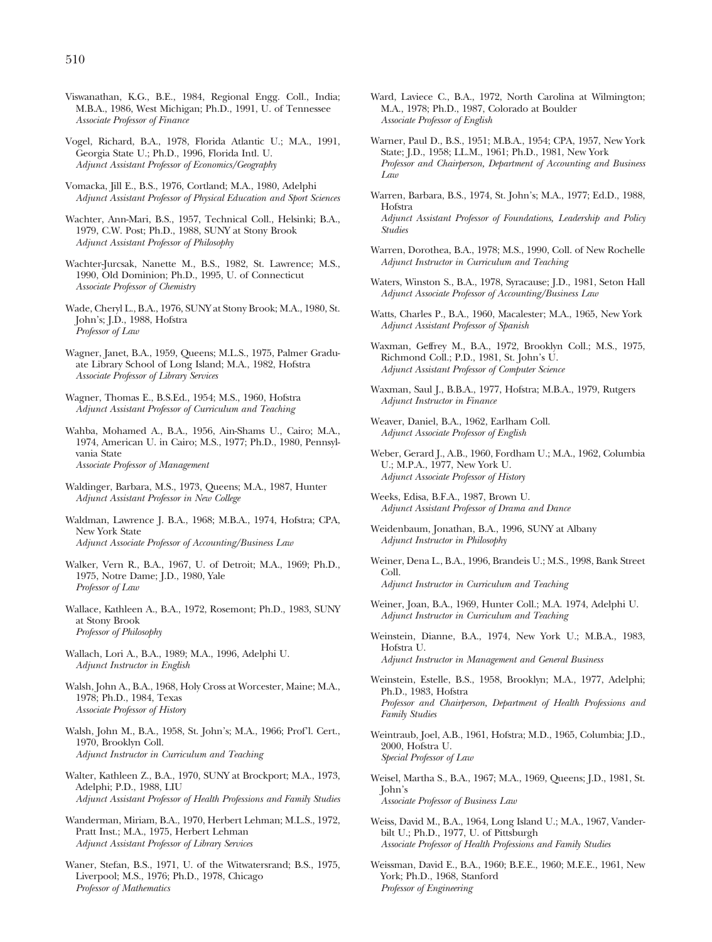- Viswanathan, K.G., B.E., 1984, Regional Engg. Coll., India; M.B.A., 1986, West Michigan; Ph.D., 1991, U. of Tennessee *Associate Professor of Finance*
- Vogel, Richard, B.A., 1978, Florida Atlantic U.; M.A., 1991, Georgia State U.; Ph.D., 1996, Florida Intl. U. *Adjunct Assistant Professor of Economics/Geography*
- Vomacka, Jill E., B.S., 1976, Cortland; M.A., 1980, Adelphi *Adjunct Assistant Professor of Physical Education and Sport Sciences*
- Wachter, Ann-Mari, B.S., 1957, Technical Coll., Helsinki; B.A., 1979, C.W. Post; Ph.D., 1988, SUNY at Stony Brook *Adjunct Assistant Professor of Philosophy*
- Wachter-Jurcsak, Nanette M., B.S., 1982, St. Lawrence; M.S., 1990, Old Dominion; Ph.D., 1995, U. of Connecticut *Associate Professor of Chemistry*
- Wade, Cheryl L., B.A., 1976, SUNY at Stony Brook; M.A., 1980, St. John's; J.D., 1988, Hofstra *Professor of Law*
- Wagner, Janet, B.A., 1959, Queens; M.L.S., 1975, Palmer Graduate Library School of Long Island; M.A., 1982, Hofstra *Associate Professor of Library Services*
- Wagner, Thomas E., B.S.Ed., 1954; M.S., 1960, Hofstra *Adjunct Assistant Professor of Curriculum and Teaching*
- Wahba, Mohamed A., B.A., 1956, Ain-Shams U., Cairo; M.A., 1974, American U. in Cairo; M.S., 1977; Ph.D., 1980, Pennsylvania State *Associate Professor of Management*
- Waldinger, Barbara, M.S., 1973, Queens; M.A., 1987, Hunter *Adjunct Assistant Professor in New College*
- Waldman, Lawrence J. B.A., 1968; M.B.A., 1974, Hofstra; CPA, New York State *Adjunct Associate Professor of Accounting/Business Law*
- Walker, Vern R., B.A., 1967, U. of Detroit; M.A., 1969; Ph.D., 1975, Notre Dame; J.D., 1980, Yale *Professor of Law*
- Wallace, Kathleen A., B.A., 1972, Rosemont; Ph.D., 1983, SUNY at Stony Brook *Professor of Philosophy*
- Wallach, Lori A., B.A., 1989; M.A., 1996, Adelphi U. *Adjunct Instructor in English*
- Walsh, John A., B.A., 1968, Holy Cross at Worcester, Maine; M.A., 1978; Ph.D., 1984, Texas *Associate Professor of History*
- Walsh, John M., B.A., 1958, St. John's; M.A., 1966; Prof'l. Cert., 1970, Brooklyn Coll. *Adjunct Instructor in Curriculum and Teaching*
- Walter, Kathleen Z., B.A., 1970, SUNY at Brockport; M.A., 1973, Adelphi; P.D., 1988, LIU *Adjunct Assistant Professor of Health Professions and Family Studies*
- Wanderman, Miriam, B.A., 1970, Herbert Lehman; M.L.S., 1972, Pratt Inst.; M.A., 1975, Herbert Lehman *Adjunct Assistant Professor of Library Services*
- Waner, Stefan, B.S., 1971, U. of the Witwatersrand; B.S., 1975, Liverpool; M.S., 1976; Ph.D., 1978, Chicago *Professor of Mathematics*
- Ward, Laviece C., B.A., 1972, North Carolina at Wilmington; M.A., 1978; Ph.D., 1987, Colorado at Boulder *Associate Professor of English*
- Warner, Paul D., B.S., 1951; M.B.A., 1954; CPA, 1957, New York State; J.D., 1958; LL.M., 1961; Ph.D., 1981, New York *Professor and Chairperson, Department of Accounting and Business Law*
- Warren, Barbara, B.S., 1974, St. John's; M.A., 1977; Ed.D., 1988, Hofstra *Adjunct Assistant Professor of Foundations, Leadership and Policy Studies*
- Warren, Dorothea, B.A., 1978; M.S., 1990, Coll. of New Rochelle *Adjunct Instructor in Curriculum and Teaching*
- Waters, Winston S., B.A., 1978, Syracause; J.D., 1981, Seton Hall *Adjunct Associate Professor of Accounting/Business Law*
- Watts, Charles P., B.A., 1960, Macalester; M.A., 1965, New York *Adjunct Assistant Professor of Spanish*
- Waxman, Geffrey M., B.A., 1972, Brooklyn Coll.; M.S., 1975, Richmond Coll.; P.D., 1981, St. John's U. *Adjunct Assistant Professor of Computer Science*
- Waxman, Saul J., B.B.A., 1977, Hofstra; M.B.A., 1979, Rutgers *Adjunct Instructor in Finance*
- Weaver, Daniel, B.A., 1962, Earlham Coll. *Adjunct Associate Professor of English*
- Weber, Gerard J., A.B., 1960, Fordham U.; M.A., 1962, Columbia U.; M.P.A., 1977, New York U. *Adjunct Associate Professor of History*
- Weeks, Edisa, B.F.A., 1987, Brown U. *Adjunct Assistant Professor of Drama and Dance*
- Weidenbaum, Jonathan, B.A., 1996, SUNY at Albany *Adjunct Instructor in Philosophy*
- Weiner, Dena L., B.A., 1996, Brandeis U.; M.S., 1998, Bank Street Coll. *Adjunct Instructor in Curriculum and Teaching*
- Weiner, Joan, B.A., 1969, Hunter Coll.; M.A. 1974, Adelphi U. *Adjunct Instructor in Curriculum and Teaching*
- Weinstein, Dianne, B.A., 1974, New York U.; M.B.A., 1983, Hofstra U. *Adjunct Instructor in Management and General Business*
- Weinstein, Estelle, B.S., 1958, Brooklyn; M.A., 1977, Adelphi; Ph.D., 1983, Hofstra *Professor and Chairperson, Department of Health Professions and Family Studies*
- Weintraub, Joel, A.B., 1961, Hofstra; M.D., 1965, Columbia; J.D., 2000, Hofstra U. *Special Professor of Law*
- Weisel, Martha S., B.A., 1967; M.A., 1969, Queens; J.D., 1981, St. John's *Associate Professor of Business Law*
- Weiss, David M., B.A., 1964, Long Island U.; M.A., 1967, Vanderbilt U.; Ph.D., 1977, U. of Pittsburgh *Associate Professor of Health Professions and Family Studies*
- Weissman, David E., B.A., 1960; B.E.E., 1960; M.E.E., 1961, New York; Ph.D., 1968, Stanford *Professor of Engineering*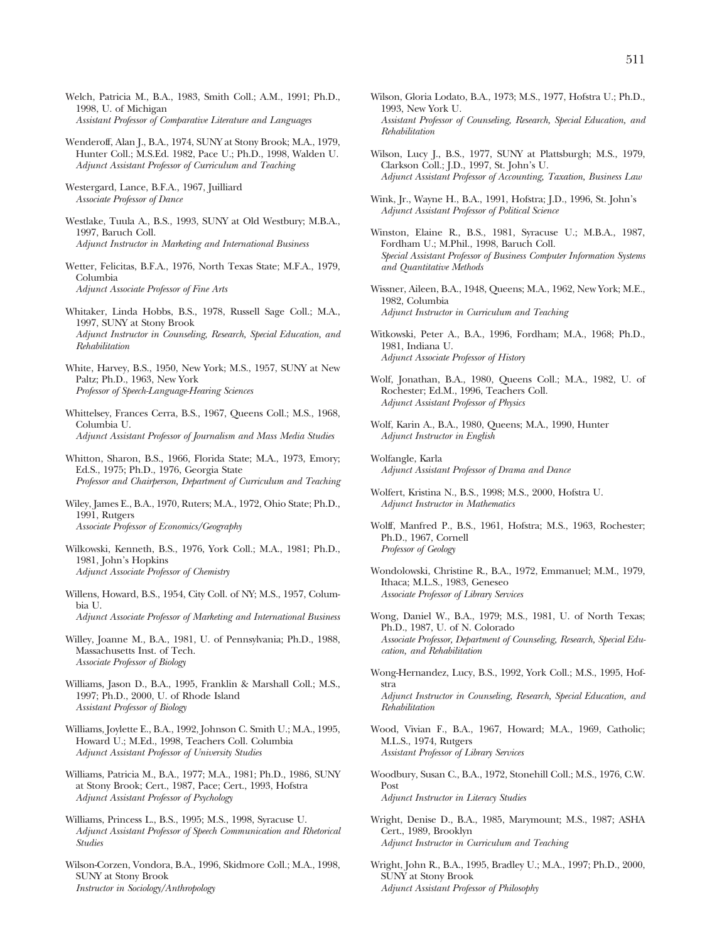- Welch, Patricia M., B.A., 1983, Smith Coll.; A.M., 1991; Ph.D., 1998, U. of Michigan *Assistant Professor of Comparative Literature and Languages*
- Wenderoff, Alan J., B.A., 1974, SUNY at Stony Brook; M.A., 1979, Hunter Coll.; M.S.Ed. 1982, Pace U.; Ph.D., 1998, Walden U. *Adjunct Assistant Professor of Curriculum and Teaching*
- Westergard, Lance, B.F.A., 1967, Juilliard *Associate Professor of Dance*
- Westlake, Tuula A., B.S., 1993, SUNY at Old Westbury; M.B.A., 1997, Baruch Coll. *Adjunct Instructor in Marketing and International Business*
- Wetter, Felicitas, B.F.A., 1976, North Texas State; M.F.A., 1979, Columbia *Adjunct Associate Professor of Fine Arts*
- Whitaker, Linda Hobbs, B.S., 1978, Russell Sage Coll.; M.A., 1997, SUNY at Stony Brook *Adjunct Instructor in Counseling, Research, Special Education, and Rehabilitation*
- White, Harvey, B.S., 1950, New York; M.S., 1957, SUNY at New Paltz; Ph.D., 1963, New York *Professor of Speech-Language-Hearing Sciences*
- Whittelsey, Frances Cerra, B.S., 1967, Queens Coll.; M.S., 1968, Columbia U. *Adjunct Assistant Professor of Journalism and Mass Media Studies*
- Whitton, Sharon, B.S., 1966, Florida State; M.A., 1973, Emory; Ed.S., 1975; Ph.D., 1976, Georgia State *Professor and Chairperson, Department of Curriculum and Teaching*
- Wiley, James E., B.A., 1970, Ruters; M.A., 1972, Ohio State; Ph.D., 1991, Rutgers *Associate Professor of Economics/Geography*
- Wilkowski, Kenneth, B.S., 1976, York Coll.; M.A., 1981; Ph.D., 1981, John's Hopkins *Adjunct Associate Professor of Chemistry*
- Willens, Howard, B.S., 1954, City Coll. of NY; M.S., 1957, Columbia U. *Adjunct Associate Professor of Marketing and International Business*
- Willey, Joanne M., B.A., 1981, U. of Pennsylvania; Ph.D., 1988, Massachusetts Inst. of Tech. *Associate Professor of Biology*
- Williams, Jason D., B.A., 1995, Franklin & Marshall Coll.; M.S., 1997; Ph.D., 2000, U. of Rhode Island *Assistant Professor of Biology*
- Williams, Joylette E., B.A., 1992, Johnson C. Smith U.; M.A., 1995, Howard U.; M.Ed., 1998, Teachers Coll. Columbia *Adjunct Assistant Professor of University Studies*
- Williams, Patricia M., B.A., 1977; M.A., 1981; Ph.D., 1986, SUNY at Stony Brook; Cert., 1987, Pace; Cert., 1993, Hofstra *Adjunct Assistant Professor of Psychology*
- Williams, Princess L., B.S., 1995; M.S., 1998, Syracuse U. *Adjunct Assistant Professor of Speech Communication and Rhetorical Studies*
- Wilson-Corzen, Vondora, B.A., 1996, Skidmore Coll.; M.A., 1998, SUNY at Stony Brook *Instructor in Sociology/Anthropology*
- Wilson, Gloria Lodato, B.A., 1973; M.S., 1977, Hofstra U.; Ph.D., 1993, New York U. *Assistant Professor of Counseling, Research, Special Education, and Rehabilitation*
- Wilson, Lucy J., B.S., 1977, SUNY at Plattsburgh; M.S., 1979, Clarkson Coll.; J.D., 1997, St. John's U. *Adjunct Assistant Professor of Accounting, Taxation, Business Law*
- Wink, Jr., Wayne H., B.A., 1991, Hofstra; J.D., 1996, St. John's *Adjunct Assistant Professor of Political Science*
- Winston, Elaine R., B.S., 1981, Syracuse U.; M.B.A., 1987, Fordham U.; M.Phil., 1998, Baruch Coll. *Special Assistant Professor of Business Computer Information Systems and Quantitative Methods*
- Wissner, Aileen, B.A., 1948, Queens; M.A., 1962, New York; M.E., 1982, Columbia *Adjunct Instructor in Curriculum and Teaching*
- Witkowski, Peter A., B.A., 1996, Fordham; M.A., 1968; Ph.D., 1981, Indiana U. *Adjunct Associate Professor of History*
- Wolf, Jonathan, B.A., 1980, Queens Coll.; M.A., 1982, U. of Rochester; Ed.M., 1996, Teachers Coll. *Adjunct Assistant Professor of Physics*
- Wolf, Karin A., B.A., 1980, Queens; M.A., 1990, Hunter *Adjunct Instructor in English*
- Wolfangle, Karla *Adjunct Assistant Professor of Drama and Dance*
- Wolfert, Kristina N., B.S., 1998; M.S., 2000, Hofstra U. *Adjunct Instructor in Mathematics*
- Wolff, Manfred P., B.S., 1961, Hofstra; M.S., 1963, Rochester; Ph.D., 1967, Cornell *Professor of Geology*
- Wondolowski, Christine R., B.A., 1972, Emmanuel; M.M., 1979, Ithaca; M.L.S., 1983, Geneseo *Associate Professor of Library Services*
- Wong, Daniel W., B.A., 1979; M.S., 1981, U. of North Texas; Ph.D., 1987, U. of N. Colorado *Associate Professor, Department of Counseling, Research, Special Education, and Rehabilitation*
- Wong-Hernandez, Lucy, B.S., 1992, York Coll.; M.S., 1995, Hofstra *Adjunct Instructor in Counseling, Research, Special Education, and Rehabilitation*
- Wood, Vivian F., B.A., 1967, Howard; M.A., 1969, Catholic; M.L.S., 1974, Rutgers *Assistant Professor of Library Services*
- Woodbury, Susan C., B.A., 1972, Stonehill Coll.; M.S., 1976, C.W. Post *Adjunct Instructor in Literacy Studies*
- Wright, Denise D., B.A., 1985, Marymount; M.S., 1987; ASHA Cert., 1989, Brooklyn *Adjunct Instructor in Curriculum and Teaching*
- Wright, John R., B.A., 1995, Bradley U.; M.A., 1997; Ph.D., 2000, SUNY at Stony Brook *Adjunct Assistant Professor of Philosophy*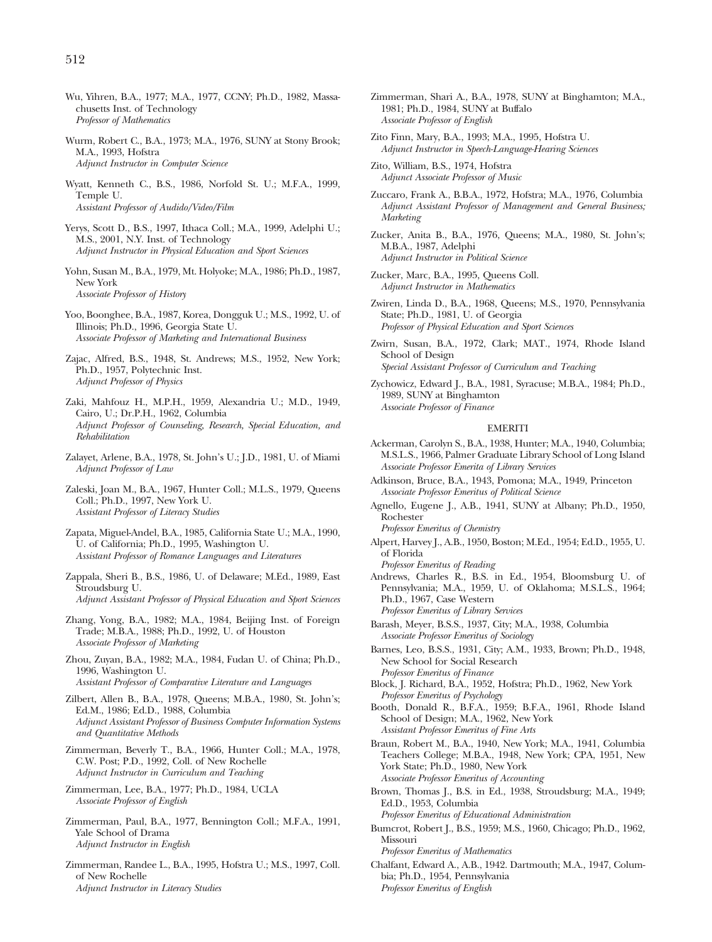- Wu, Yihren, B.A., 1977; M.A., 1977, CCNY; Ph.D., 1982, Massachusetts Inst. of Technology *Professor of Mathematics*
- Wurm, Robert C., B.A., 1973; M.A., 1976, SUNY at Stony Brook; M.A., 1993, Hofstra *Adjunct Instructor in Computer Science*
- Wyatt, Kenneth C., B.S., 1986, Norfold St. U.; M.F.A., 1999, Temple U. *Assistant Professor of Audido/Video/Film*
- Yerys, Scott D., B.S., 1997, Ithaca Coll.; M.A., 1999, Adelphi U.; M.S., 2001, N.Y. Inst. of Technology *Adjunct Instructor in Physical Education and Sport Sciences*
- Yohn, Susan M., B.A., 1979, Mt. Holyoke; M.A., 1986; Ph.D., 1987, New York *Associate Professor of History*
- Yoo, Boonghee, B.A., 1987, Korea, Dongguk U.; M.S., 1992, U. of Illinois; Ph.D., 1996, Georgia State U. *Associate Professor of Marketing and International Business*
- Zajac, Alfred, B.S., 1948, St. Andrews; M.S., 1952, New York; Ph.D., 1957, Polytechnic Inst. *Adjunct Professor of Physics*
- Zaki, Mahfouz H., M.P.H., 1959, Alexandria U.; M.D., 1949, Cairo, U.; Dr.P.H., 1962, Columbia *Adjunct Professor of Counseling, Research, Special Education, and Rehabilitation*
- Zalayet, Arlene, B.A., 1978, St. John's U.; J.D., 1981, U. of Miami *Adjunct Professor of Law*
- Zaleski, Joan M., B.A., 1967, Hunter Coll.; M.L.S., 1979, Queens Coll.; Ph.D., 1997, New York U. *Assistant Professor of Literacy Studies*
- Zapata, Miguel-Andel, B.A., 1985, California State U.; M.A., 1990, U. of California; Ph.D., 1995, Washington U. *Assistant Professor of Romance Languages and Literatures*
- Zappala, Sheri B., B.S., 1986, U. of Delaware; M.Ed., 1989, East Stroudsburg U. *Adjunct Assistant Professor of Physical Education and Sport Sciences*
- Zhang, Yong, B.A., 1982; M.A., 1984, Beijing Inst. of Foreign
- Trade; M.B.A., 1988; Ph.D., 1992, U. of Houston *Associate Professor of Marketing*
- Zhou, Zuyan, B.A., 1982; M.A., 1984, Fudan U. of China; Ph.D., 1996, Washington U. *Assistant Professor of Comparative Literature and Languages*
- Zilbert, Allen B., B.A., 1978, Queens; M.B.A., 1980, St. John's; Ed.M., 1986; Ed.D., 1988, Columbia *Adjunct Assistant Professor of Business Computer Information Systems and Quantitative Methods*
- Zimmerman, Beverly T., B.A., 1966, Hunter Coll.; M.A., 1978, C.W. Post; P.D., 1992, Coll. of New Rochelle *Adjunct Instructor in Curriculum and Teaching*
- Zimmerman, Lee, B.A., 1977; Ph.D., 1984, UCLA *Associate Professor of English*
- Zimmerman, Paul, B.A., 1977, Bennington Coll.; M.F.A., 1991, Yale School of Drama *Adjunct Instructor in English*
- Zimmerman, Randee L., B.A., 1995, Hofstra U.; M.S., 1997, Coll. of New Rochelle *Adjunct Instructor in Literacy Studies*
- Zimmerman, Shari A., B.A., 1978, SUNY at Binghamton; M.A., 1981; Ph.D., 1984, SUNY at Buffalo *Associate Professor of English*
- Zito Finn, Mary, B.A., 1993; M.A., 1995, Hofstra U. *Adjunct Instructor in Speech-Language-Hearing Sciences*
- Zito, William, B.S., 1974, Hofstra *Adjunct Associate Professor of Music*
- Zuccaro, Frank A., B.B.A., 1972, Hofstra; M.A., 1976, Columbia *Adjunct Assistant Professor of Management and General Business; Marketing*

Zucker, Anita B., B.A., 1976, Queens; M.A., 1980, St. John's; M.B.A., 1987, Adelphi *Adjunct Instructor in Political Science*

- Zucker, Marc, B.A., 1995, Queens Coll. *Adjunct Instructor in Mathematics*
- Zwiren, Linda D., B.A., 1968, Queens; M.S., 1970, Pennsylvania State; Ph.D., 1981, U. of Georgia *Professor of Physical Education and Sport Sciences*
- Zwirn, Susan, B.A., 1972, Clark; MAT., 1974, Rhode Island School of Design *Special Assistant Professor of Curriculum and Teaching*
- Zychowicz, Edward J., B.A., 1981, Syracuse; M.B.A., 1984; Ph.D., 1989, SUNY at Binghamton *Associate Professor of Finance*

## EMERITI

- Ackerman, Carolyn S., B.A., 1938, Hunter; M.A., 1940, Columbia; M.S.L.S., 1966, Palmer Graduate Library School of Long Island *Associate Professor Emerita of Library Services*
- Adkinson, Bruce, B.A., 1943, Pomona; M.A., 1949, Princeton *Associate Professor Emeritus of Political Science*
- Agnello, Eugene J., A.B., 1941, SUNY at Albany; Ph.D., 1950, Rochester

*Professor Emeritus of Chemistry*

Alpert, Harvey J., A.B., 1950, Boston; M.Ed., 1954; Ed.D., 1955, U. of Florida

*Professor Emeritus of Reading*

- Andrews, Charles R., B.S. in Ed., 1954, Bloomsburg U. of Pennsylvania; M.A., 1959, U. of Oklahoma; M.S.L.S., 1964; Ph.D., 1967, Case Western *Professor Emeritus of Library Services*
- Barash, Meyer, B.S.S., 1937, City; M.A., 1938, Columbia *Associate Professor Emeritus of Sociology*
- Barnes, Leo, B.S.S., 1931, City; A.M., 1933, Brown; Ph.D., 1948, New School for Social Research *Professor Emeritus of Finance*
- Block, J. Richard, B.A., 1952, Hofstra; Ph.D., 1962, New York *Professor Emeritus of Psychology*
- Booth, Donald R., B.F.A., 1959; B.F.A., 1961, Rhode Island School of Design; M.A., 1962, New York *Assistant Professor Emeritus of Fine Arts*

Braun, Robert M., B.A., 1940, New York; M.A., 1941, Columbia Teachers College; M.B.A., 1948, New York; CPA, 1951, New York State; Ph.D., 1980, New York *Associate Professor Emeritus of Accounting*

Brown, Thomas J., B.S. in Ed., 1938, Stroudsburg; M.A., 1949; Ed.D., 1953, Columbia

*Professor Emeritus of Educational Administration*

Bumcrot, Robert J., B.S., 1959; M.S., 1960, Chicago; Ph.D., 1962, Missouri

*Professor Emeritus of Mathematics*

Chalfant, Edward A., A.B., 1942. Dartmouth; M.A., 1947, Columbia; Ph.D., 1954, Pennsylvania *Professor Emeritus of English*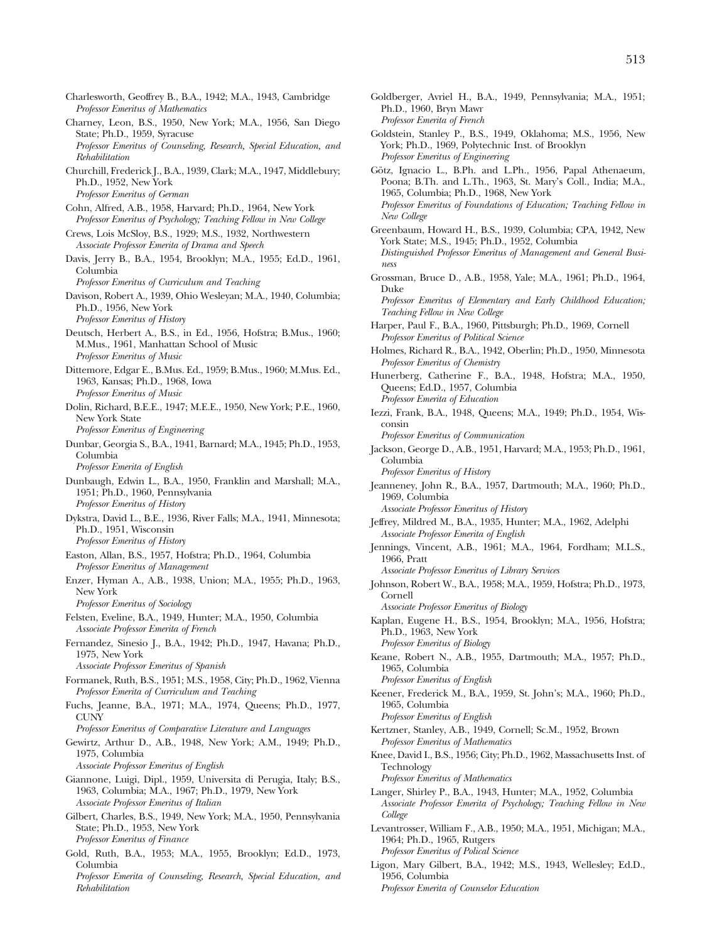- Charlesworth, Geoffrey B., B.A., 1942; M.A., 1943, Cambridge *Professor Emeritus of Mathematics* Charney, Leon, B.S., 1950, New York; M.A., 1956, San Diego State; Ph.D., 1959, Syracuse *Professor Emeritus of Counseling, Research, Special Education, and Rehabilitation* Churchill, Frederick J., B.A., 1939, Clark; M.A., 1947, Middlebury; Ph.D., 1952, New York *Professor Emeritus of German* Cohn, Alfred, A.B., 1958, Harvard; Ph.D., 1964, New York *Professor Emeritus of Psychology; Teaching Fellow in New College* Crews, Lois McSloy, B.S., 1929; M.S., 1932, Northwestern *Associate Professor Emerita of Drama and Speech* Davis, Jerry B., B.A., 1954, Brooklyn; M.A., 1955; Ed.D., 1961, Columbia *Professor Emeritus of Curriculum and Teaching* Davison, Robert A., 1939, Ohio Wesleyan; M.A., 1940, Columbia; Ph.D., 1956, New York *Professor Emeritus of History* Deutsch, Herbert A., B.S., in Ed., 1956, Hofstra; B.Mus., 1960; M.Mus., 1961, Manhattan School of Music *Professor Emeritus of Music* Dittemore, Edgar E., B.Mus. Ed., 1959; B.Mus., 1960; M.Mus. Ed., 1963, Kansas; Ph.D., 1968, Iowa *Professor Emeritus of Music* Dolin, Richard, B.E.E., 1947; M.E.E., 1950, New York; P.E., 1960, New York State *Professor Emeritus of Engineering* Dunbar, Georgia S., B.A., 1941, Barnard; M.A., 1945; Ph.D., 1953, Columbia *Professor Emerita of English* Dunbaugh, Edwin L., B.A., 1950, Franklin and Marshall; M.A., 1951; Ph.D., 1960, Pennsylvania *Professor Emeritus of History* Dykstra, David L., B.E., 1936, River Falls; M.A., 1941, Minnesota; Ph.D., 1951, Wisconsin *Professor Emeritus of History* Easton, Allan, B.S., 1957, Hofstra; Ph.D., 1964, Columbia *Professor Emeritus of Management* Enzer, Hyman A., A.B., 1938, Union; M.A., 1955; Ph.D., 1963, New York *Professor Emeritus of Sociology* Felsten, Eveline, B.A., 1949, Hunter; M.A., 1950, Columbia *Associate Professor Emerita of French* Fernandez, Sinesio J., B.A., 1942; Ph.D., 1947, Havana; Ph.D., 1975, New York *Associate Professor Emeritus of Spanish* Formanek, Ruth, B.S., 1951; M.S., 1958, City; Ph.D., 1962, Vienna *Professor Emerita of Curriculum and Teaching* Fuchs, Jeanne, B.A., 1971; M.A., 1974, Queens; Ph.D., 1977, CUNY *Professor Emeritus of Comparative Literature and Languages* Gewirtz, Arthur D., A.B., 1948, New York; A.M., 1949; Ph.D., 1975, Columbia *Associate Professor Emeritus of English* Giannone, Luigi, Dipl., 1959, Universita di Perugia, Italy; B.S., 1963, Columbia; M.A., 1967; Ph.D., 1979, New York *Associate Professor Emeritus of Italian* Gilbert, Charles, B.S., 1949, New York; M.A., 1950, Pennsylvania State; Ph.D., 1953, New York *Professor Emeritus of Finance* Gold, Ruth, B.A., 1953; M.A., 1955, Brooklyn; Ed.D., 1973, Columbia *Professor Emerita of Counseling, Research, Special Education, and Rehabilitation*
- Goldberger, Avriel H., B.A., 1949, Pennsylvania; M.A., 1951; Ph.D., 1960, Bryn Mawr *Professor Emerita of French* Goldstein, Stanley P., B.S., 1949, Oklahoma; M.S., 1956, New York; Ph.D., 1969, Polytechnic Inst. of Brooklyn *Professor Emeritus of Engineering* Götz, Ignacio L., B.Ph. and L.Ph., 1956, Papal Athenaeum, Poona; B.Th. and L.Th., 1963, St. Mary's Coll., India; M.A., 1965, Columbia; Ph.D., 1968, New York *Professor Emeritus of Foundations of Education; Teaching Fellow in New College* Greenbaum, Howard H., B.S., 1939, Columbia; CPA, 1942, New York State; M.S., 1945; Ph.D., 1952, Columbia *Distinguished Professor Emeritus of Management and General Business* Grossman, Bruce D., A.B., 1958, Yale; M.A., 1961; Ph.D., 1964, Duke *Professor Emeritus of Elementary and Early Childhood Education; Teaching Fellow in New College* Harper, Paul F., B.A., 1960, Pittsburgh; Ph.D., 1969, Cornell *Professor Emeritus of Political Science* Holmes, Richard R., B.A., 1942, Oberlin; Ph.D., 1950, Minnesota *Professor Emeritus of Chemistry* Hunerberg, Catherine F., B.A., 1948, Hofstra; M.A., 1950, Queens; Ed.D., 1957, Columbia *Professor Emerita of Education* Iezzi, Frank, B.A., 1948, Queens; M.A., 1949; Ph.D., 1954, Wisconsin *Professor Emeritus of Communication* Jackson, George D., A.B., 1951, Harvard; M.A., 1953; Ph.D., 1961, Columbia *Professor Emeritus of History* Jeanneney, John R., B.A., 1957, Dartmouth; M.A., 1960; Ph.D., 1969, Columbia *Associate Professor Emeritus of History* Jeffrey, Mildred M., B.A., 1935, Hunter; M.A., 1962, Adelphi *Associate Professor Emerita of English* Jennings, Vincent, A.B., 1961; M.A., 1964, Fordham; M.L.S., 1966, Pratt *Associate Professor Emeritus of Library Services* Johnson, Robert W., B.A., 1958; M.A., 1959, Hofstra; Ph.D., 1973, Cornell *Associate Professor Emeritus of Biology* Kaplan, Eugene H., B.S., 1954, Brooklyn; M.A., 1956, Hofstra; Ph.D., 1963, New York *Professor Emeritus of Biology* Keane, Robert N., A.B., 1955, Dartmouth; M.A., 1957; Ph.D., 1965, Columbia *Professor Emeritus of English* Keener, Frederick M., B.A., 1959, St. John's; M.A., 1960; Ph.D.,
	- 1965, Columbia *Professor Emeritus of English*
	- Kertzner, Stanley, A.B., 1949, Cornell; Sc.M., 1952, Brown *Professor Emeritus of Mathematics*
	- Knee, David I., B.S., 1956; City; Ph.D., 1962, Massachusetts Inst. of Technology *Professor Emeritus of Mathematics*
	- Langer, Shirley P., B.A., 1943, Hunter; M.A., 1952, Columbia *Associate Professor Emerita of Psychology; Teaching Fellow in New College*
	- Levantrosser, William F., A.B., 1950; M.A., 1951, Michigan; M.A., 1964; Ph.D., 1965, Rutgers *Professor Emeritus of Polical Science*
	- Ligon, Mary Gilbert, B.A., 1942; M.S., 1943, Wellesley; Ed.D., 1956, Columbia *Professor Emerita of Counselor Education*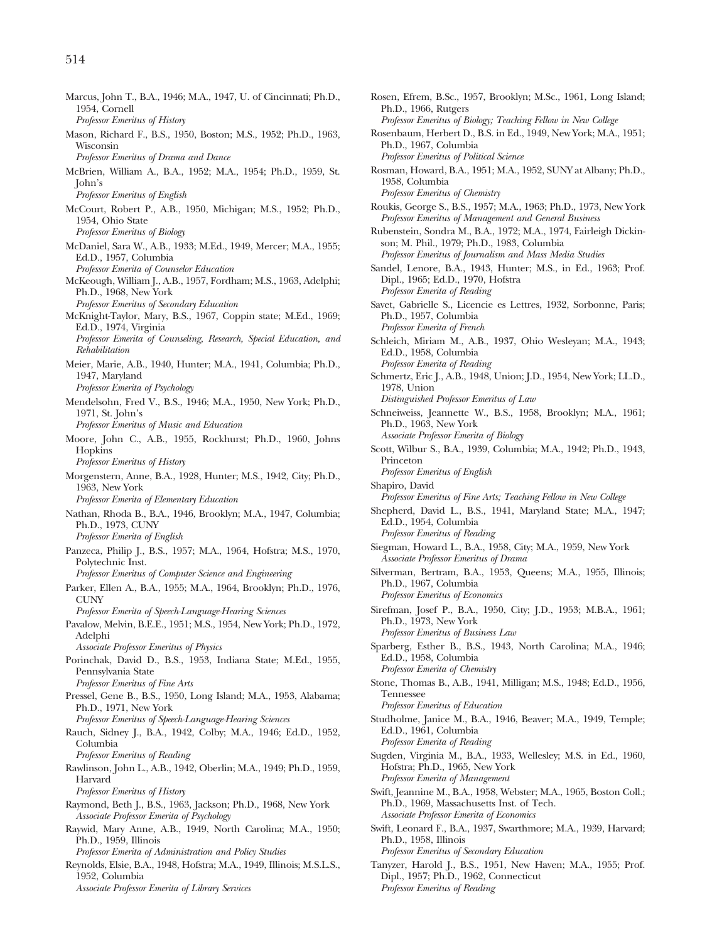- Marcus, John T., B.A., 1946; M.A., 1947, U. of Cincinnati; Ph.D., 1954, Cornell *Professor Emeritus of History* Mason, Richard F., B.S., 1950, Boston; M.S., 1952; Ph.D., 1963, Wisconsin *Professor Emeritus of Drama and Dance* McBrien, William A., B.A., 1952; M.A., 1954; Ph.D., 1959, St. John's *Professor Emeritus of English* McCourt, Robert P., A.B., 1950, Michigan; M.S., 1952; Ph.D., 1954, Ohio State *Professor Emeritus of Biology* McDaniel, Sara W., A.B., 1933; M.Ed., 1949, Mercer; M.A., 1955; Ed.D., 1957, Columbia *Professor Emerita of Counselor Education* McKeough, William J., A.B., 1957, Fordham; M.S., 1963, Adelphi; Ph.D., 1968, New York *Professor Emeritus of Secondary Education* McKnight-Taylor, Mary, B.S., 1967, Coppin state; M.Ed., 1969; Ed.D., 1974, Virginia *Professor Emerita of Counseling, Research, Special Education, and Rehabilitation* Meier, Marie, A.B., 1940, Hunter; M.A., 1941, Columbia; Ph.D., 1947, Maryland *Professor Emerita of Psychology* Mendelsohn, Fred V., B.S., 1946; M.A., 1950, New York; Ph.D., 1971, St. John's *Professor Emeritus of Music and Education* Moore, John C., A.B., 1955, Rockhurst; Ph.D., 1960, Johns Hopkins *Professor Emeritus of History* Morgenstern, Anne, B.A., 1928, Hunter; M.S., 1942, City; Ph.D., 1963, New York *Professor Emerita of Elementary Education* Nathan, Rhoda B., B.A., 1946, Brooklyn; M.A., 1947, Columbia; Ph.D., 1973, CUNY *Professor Emerita of English* Panzeca, Philip J., B.S., 1957; M.A., 1964, Hofstra; M.S., 1970, Polytechnic Inst. *Professor Emeritus of Computer Science and Engineering* Parker, Ellen A., B.A., 1955; M.A., 1964, Brooklyn; Ph.D., 1976, **CUNY** *Professor Emerita of Speech-Language-Hearing Sciences* Pavalow, Melvin, B.E.E., 1951; M.S., 1954, New York; Ph.D., 1972, Adelphi *Associate Professor Emeritus of Physics* Porinchak, David D., B.S., 1953, Indiana State; M.Ed., 1955, Pennsylvania State *Professor Emeritus of Fine Arts* Pressel, Gene B., B.S., 1950, Long Island; M.A., 1953, Alabama; Ph.D., 1971, New York *Professor Emeritus of Speech-Language-Hearing Sciences* Rauch, Sidney J., B.A., 1942, Colby; M.A., 1946; Ed.D., 1952, Columbia *Professor Emeritus of Reading* Rawlinson, John L., A.B., 1942, Oberlin; M.A., 1949; Ph.D., 1959, Harvard *Professor Emeritus of History* Raymond, Beth J., B.S., 1963, Jackson; Ph.D., 1968, New York *Associate Professor Emerita of Psychology* Raywid, Mary Anne, A.B., 1949, North Carolina; M.A., 1950; Ph.D., 1959, Illinois *Professor Emerita of Administration and Policy Studies*
- Reynolds, Elsie, B.A., 1948, Hofstra; M.A., 1949, Illinois; M.S.L.S., 1952, Columbia
	- *Associate Professor Emerita of Library Services*
- Rosen, Efrem, B.Sc., 1957, Brooklyn; M.Sc., 1961, Long Island; Ph.D., 1966, Rutgers *Professor Emeritus of Biology; Teaching Fellow in New College* Rosenbaum, Herbert D., B.S. in Ed., 1949, New York; M.A., 1951; Ph.D., 1967, Columbia *Professor Emeritus of Political Science* Rosman, Howard, B.A., 1951; M.A., 1952, SUNY at Albany; Ph.D., 1958, Columbia *Professor Emeritus of Chemistry* Roukis, George S., B.S., 1957; M.A., 1963; Ph.D., 1973, New York *Professor Emeritus of Management and General Business* Rubenstein, Sondra M., B.A., 1972; M.A., 1974, Fairleigh Dickinson; M. Phil., 1979; Ph.D., 1983, Columbia *Professor Emeritus of Journalism and Mass Media Studies* Sandel, Lenore, B.A., 1943, Hunter; M.S., in Ed., 1963; Prof. Dipl., 1965; Ed.D., 1970, Hofstra *Professor Emerita of Reading* Savet, Gabrielle S., Licencie es Lettres, 1932, Sorbonne, Paris; Ph.D., 1957, Columbia *Professor Emerita of French* Schleich, Miriam M., A.B., 1937, Ohio Wesleyan; M.A., 1943; Ed.D., 1958, Columbia *Professor Emerita of Reading* Schmertz, Eric J., A.B., 1948, Union; J.D., 1954, New York; LL.D., 1978, Union *Distinguished Professor Emeritus of Law* Schneiweiss, Jeannette W., B.S., 1958, Brooklyn; M.A., 1961; Ph.D., 1963, New York *Associate Professor Emerita of Biology* Scott, Wilbur S., B.A., 1939, Columbia; M.A., 1942; Ph.D., 1943, Princeton *Professor Emeritus of English* Shapiro, David *Professor Emeritus of Fine Arts; Teaching Fellow in New College* Shepherd, David L., B.S., 1941, Maryland State; M.A., 1947; Ed.D., 1954, Columbia *Professor Emeritus of Reading* Siegman, Howard L., B.A., 1958, City; M.A., 1959, New York *Associate Professor Emeritus of Drama* Silverman, Bertram, B.A., 1953, Queens; M.A., 1955, Illinois; Ph.D., 1967, Columbia *Professor Emeritus of Economics* Sirefman, Josef P., B.A., 1950, City; J.D., 1953; M.B.A., 1961; Ph.D., 1973, New York *Professor Emeritus of Business Law* Sparberg, Esther B., B.S., 1943, North Carolina; M.A., 1946; Ed.D., 1958, Columbia *Professor Emerita of Chemistry* Stone, Thomas B., A.B., 1941, Milligan; M.S., 1948; Ed.D., 1956, Tennessee *Professor Emeritus of Education* Studholme, Janice M., B.A., 1946, Beaver; M.A., 1949, Temple; Ed.D., 1961, Columbia *Professor Emerita of Reading* Sugden, Virginia M., B.A., 1933, Wellesley; M.S. in Ed., 1960, Hofstra; Ph.D., 1965, New York *Professor Emerita of Management* Swift, Jeannine M., B.A., 1958, Webster; M.A., 1965, Boston Coll.; Ph.D., 1969, Massachusetts Inst. of Tech. *Associate Professor Emerita of Economics* Swift, Leonard F., B.A., 1937, Swarthmore; M.A., 1939, Harvard; Ph.D., 1958, Illinois *Professor Emeritus of Secondary Education*
- Tanyzer, Harold J., B.S., 1951, New Haven; M.A., 1955; Prof. Dipl., 1957; Ph.D., 1962, Connecticut *Professor Emeritus of Reading*